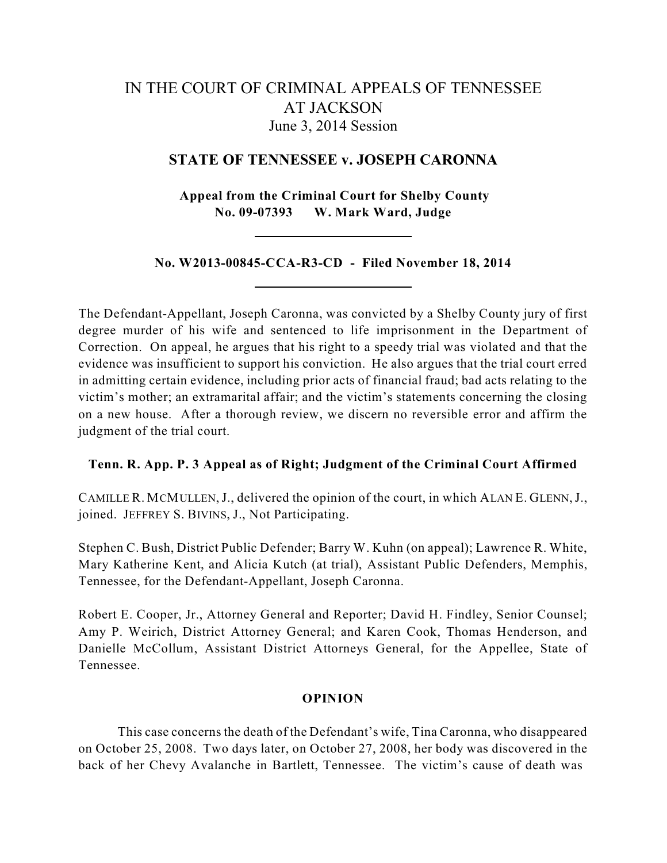# IN THE COURT OF CRIMINAL APPEALS OF TENNESSEE AT JACKSON June 3, 2014 Session

## **STATE OF TENNESSEE v. JOSEPH CARONNA**

**Appeal from the Criminal Court for Shelby County No. 09-07393 W. Mark Ward, Judge**

**No. W2013-00845-CCA-R3-CD - Filed November 18, 2014**

The Defendant-Appellant, Joseph Caronna, was convicted by a Shelby County jury of first degree murder of his wife and sentenced to life imprisonment in the Department of Correction. On appeal, he argues that his right to a speedy trial was violated and that the evidence was insufficient to support his conviction. He also argues that the trial court erred in admitting certain evidence, including prior acts of financial fraud; bad acts relating to the victim's mother; an extramarital affair; and the victim's statements concerning the closing on a new house. After a thorough review, we discern no reversible error and affirm the judgment of the trial court.

### **Tenn. R. App. P. 3 Appeal as of Right; Judgment of the Criminal Court Affirmed**

CAMILLE R. MCMULLEN,J., delivered the opinion of the court, in which ALAN E. GLENN,J., joined. JEFFREY S. BIVINS, J., Not Participating.

Stephen C. Bush, District Public Defender; Barry W. Kuhn (on appeal); Lawrence R. White, Mary Katherine Kent, and Alicia Kutch (at trial), Assistant Public Defenders, Memphis, Tennessee, for the Defendant-Appellant, Joseph Caronna.

Robert E. Cooper, Jr., Attorney General and Reporter; David H. Findley, Senior Counsel; Amy P. Weirich, District Attorney General; and Karen Cook, Thomas Henderson, and Danielle McCollum, Assistant District Attorneys General, for the Appellee, State of Tennessee.

#### **OPINION**

This case concerns the death of the Defendant's wife, Tina Caronna, who disappeared on October 25, 2008. Two days later, on October 27, 2008, her body was discovered in the back of her Chevy Avalanche in Bartlett, Tennessee. The victim's cause of death was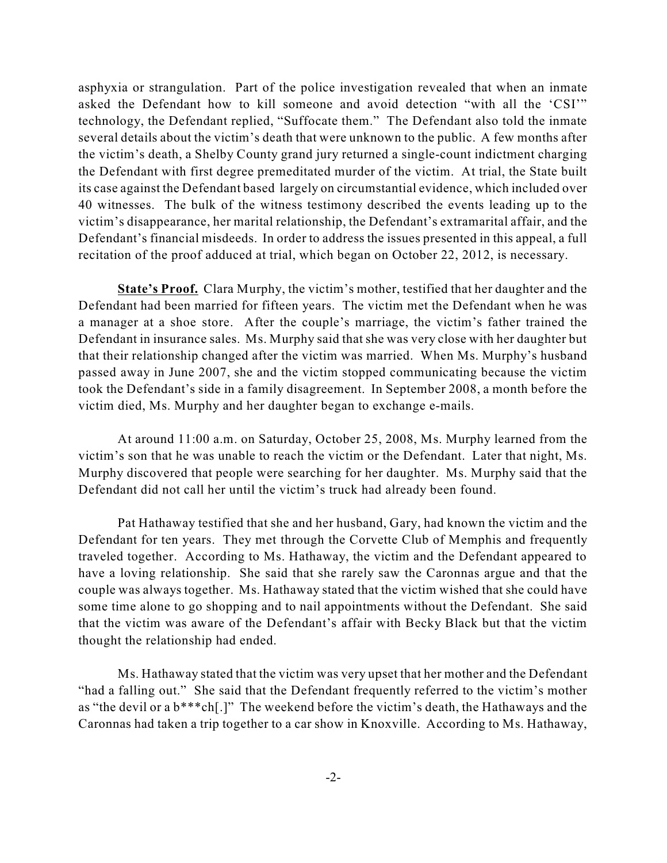asphyxia or strangulation. Part of the police investigation revealed that when an inmate asked the Defendant how to kill someone and avoid detection "with all the 'CSI'" technology, the Defendant replied, "Suffocate them." The Defendant also told the inmate several details about the victim's death that were unknown to the public. A few months after the victim's death, a Shelby County grand jury returned a single-count indictment charging the Defendant with first degree premeditated murder of the victim. At trial, the State built its case against the Defendant based largely on circumstantial evidence, which included over 40 witnesses. The bulk of the witness testimony described the events leading up to the victim's disappearance, her marital relationship, the Defendant's extramarital affair, and the Defendant's financial misdeeds. In order to address the issues presented in this appeal, a full recitation of the proof adduced at trial, which began on October 22, 2012, is necessary.

**State's Proof.** Clara Murphy, the victim's mother, testified that her daughter and the Defendant had been married for fifteen years. The victim met the Defendant when he was a manager at a shoe store. After the couple's marriage, the victim's father trained the Defendant in insurance sales. Ms. Murphy said that she was very close with her daughter but that their relationship changed after the victim was married. When Ms. Murphy's husband passed away in June 2007, she and the victim stopped communicating because the victim took the Defendant's side in a family disagreement. In September 2008, a month before the victim died, Ms. Murphy and her daughter began to exchange e-mails.

At around 11:00 a.m. on Saturday, October 25, 2008, Ms. Murphy learned from the victim's son that he was unable to reach the victim or the Defendant. Later that night, Ms. Murphy discovered that people were searching for her daughter. Ms. Murphy said that the Defendant did not call her until the victim's truck had already been found.

Pat Hathaway testified that she and her husband, Gary, had known the victim and the Defendant for ten years. They met through the Corvette Club of Memphis and frequently traveled together. According to Ms. Hathaway, the victim and the Defendant appeared to have a loving relationship. She said that she rarely saw the Caronnas argue and that the couple was always together. Ms. Hathaway stated that the victim wished that she could have some time alone to go shopping and to nail appointments without the Defendant. She said that the victim was aware of the Defendant's affair with Becky Black but that the victim thought the relationship had ended.

Ms. Hathaway stated that the victim was very upset that her mother and the Defendant "had a falling out." She said that the Defendant frequently referred to the victim's mother as "the devil or a b\*\*\*ch[.]" The weekend before the victim's death, the Hathaways and the Caronnas had taken a trip together to a car show in Knoxville. According to Ms. Hathaway,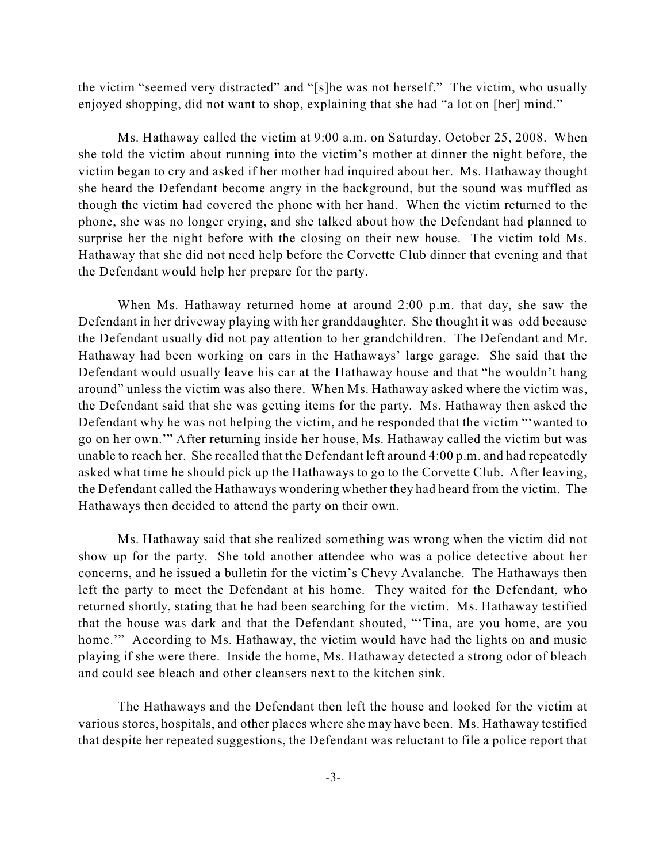the victim "seemed very distracted" and "[s]he was not herself." The victim, who usually enjoyed shopping, did not want to shop, explaining that she had "a lot on [her] mind."

Ms. Hathaway called the victim at 9:00 a.m. on Saturday, October 25, 2008. When she told the victim about running into the victim's mother at dinner the night before, the victim began to cry and asked if her mother had inquired about her. Ms. Hathaway thought she heard the Defendant become angry in the background, but the sound was muffled as though the victim had covered the phone with her hand. When the victim returned to the phone, she was no longer crying, and she talked about how the Defendant had planned to surprise her the night before with the closing on their new house. The victim told Ms. Hathaway that she did not need help before the Corvette Club dinner that evening and that the Defendant would help her prepare for the party.

When Ms. Hathaway returned home at around 2:00 p.m. that day, she saw the Defendant in her driveway playing with her granddaughter. She thought it was odd because the Defendant usually did not pay attention to her grandchildren. The Defendant and Mr. Hathaway had been working on cars in the Hathaways' large garage. She said that the Defendant would usually leave his car at the Hathaway house and that "he wouldn't hang around" unless the victim was also there. When Ms. Hathaway asked where the victim was, the Defendant said that she was getting items for the party. Ms. Hathaway then asked the Defendant why he was not helping the victim, and he responded that the victim "'wanted to go on her own.'" After returning inside her house, Ms. Hathaway called the victim but was unable to reach her. She recalled that the Defendant left around 4:00 p.m. and had repeatedly asked what time he should pick up the Hathaways to go to the Corvette Club. After leaving, the Defendant called the Hathaways wondering whether they had heard from the victim. The Hathaways then decided to attend the party on their own.

Ms. Hathaway said that she realized something was wrong when the victim did not show up for the party. She told another attendee who was a police detective about her concerns, and he issued a bulletin for the victim's Chevy Avalanche. The Hathaways then left the party to meet the Defendant at his home. They waited for the Defendant, who returned shortly, stating that he had been searching for the victim. Ms. Hathaway testified that the house was dark and that the Defendant shouted, "'Tina, are you home, are you home." According to Ms. Hathaway, the victim would have had the lights on and music playing if she were there. Inside the home, Ms. Hathaway detected a strong odor of bleach and could see bleach and other cleansers next to the kitchen sink.

The Hathaways and the Defendant then left the house and looked for the victim at various stores, hospitals, and other places where she may have been. Ms. Hathaway testified that despite her repeated suggestions, the Defendant was reluctant to file a police report that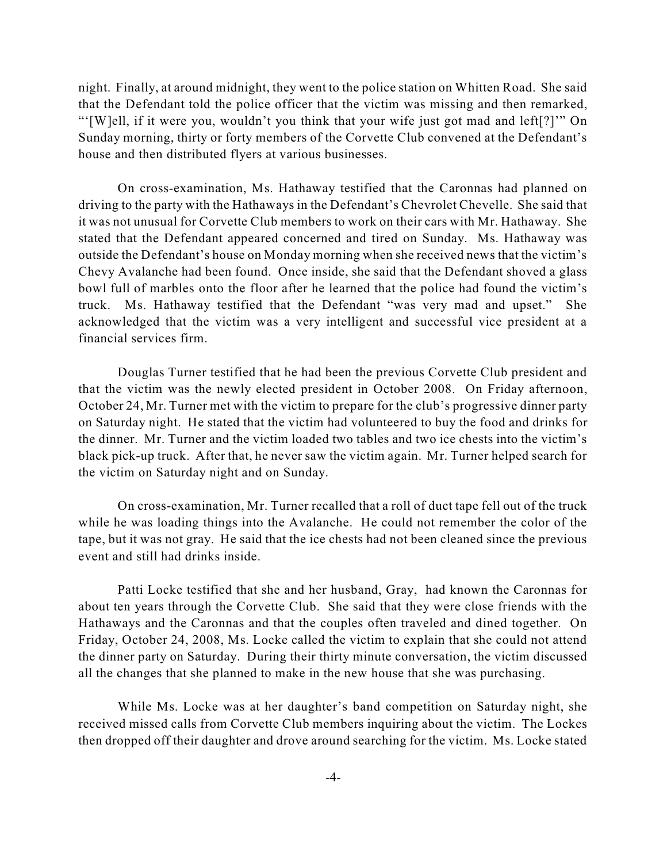night. Finally, at around midnight, they went to the police station on Whitten Road. She said that the Defendant told the police officer that the victim was missing and then remarked, "'[W]ell, if it were you, wouldn't you think that your wife just got mad and left[?]'" On Sunday morning, thirty or forty members of the Corvette Club convened at the Defendant's house and then distributed flyers at various businesses.

On cross-examination, Ms. Hathaway testified that the Caronnas had planned on driving to the party with the Hathaways in the Defendant's Chevrolet Chevelle. She said that it was not unusual for Corvette Club members to work on their cars with Mr. Hathaway. She stated that the Defendant appeared concerned and tired on Sunday. Ms. Hathaway was outside the Defendant's house on Monday morning when she received news that the victim's Chevy Avalanche had been found. Once inside, she said that the Defendant shoved a glass bowl full of marbles onto the floor after he learned that the police had found the victim's truck. Ms. Hathaway testified that the Defendant "was very mad and upset." She acknowledged that the victim was a very intelligent and successful vice president at a financial services firm.

Douglas Turner testified that he had been the previous Corvette Club president and that the victim was the newly elected president in October 2008. On Friday afternoon, October 24, Mr. Turner met with the victim to prepare for the club's progressive dinner party on Saturday night. He stated that the victim had volunteered to buy the food and drinks for the dinner. Mr. Turner and the victim loaded two tables and two ice chests into the victim's black pick-up truck. After that, he never saw the victim again. Mr. Turner helped search for the victim on Saturday night and on Sunday.

On cross-examination, Mr. Turner recalled that a roll of duct tape fell out of the truck while he was loading things into the Avalanche. He could not remember the color of the tape, but it was not gray. He said that the ice chests had not been cleaned since the previous event and still had drinks inside.

Patti Locke testified that she and her husband, Gray, had known the Caronnas for about ten years through the Corvette Club. She said that they were close friends with the Hathaways and the Caronnas and that the couples often traveled and dined together. On Friday, October 24, 2008, Ms. Locke called the victim to explain that she could not attend the dinner party on Saturday. During their thirty minute conversation, the victim discussed all the changes that she planned to make in the new house that she was purchasing.

While Ms. Locke was at her daughter's band competition on Saturday night, she received missed calls from Corvette Club members inquiring about the victim. The Lockes then dropped off their daughter and drove around searching for the victim. Ms. Locke stated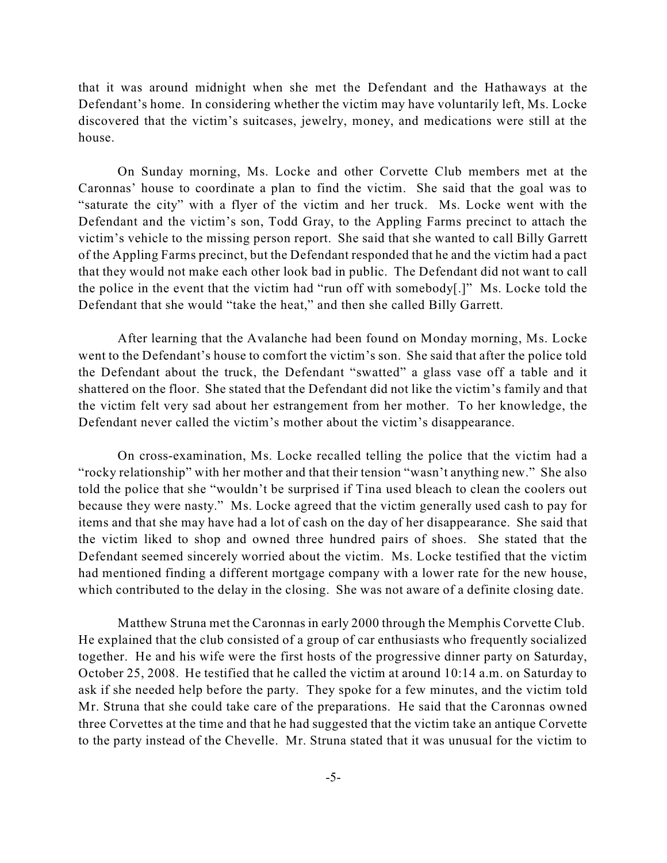that it was around midnight when she met the Defendant and the Hathaways at the Defendant's home. In considering whether the victim may have voluntarily left, Ms. Locke discovered that the victim's suitcases, jewelry, money, and medications were still at the house.

On Sunday morning, Ms. Locke and other Corvette Club members met at the Caronnas' house to coordinate a plan to find the victim. She said that the goal was to "saturate the city" with a flyer of the victim and her truck. Ms. Locke went with the Defendant and the victim's son, Todd Gray, to the Appling Farms precinct to attach the victim's vehicle to the missing person report. She said that she wanted to call Billy Garrett of the Appling Farms precinct, but the Defendant responded that he and the victim had a pact that they would not make each other look bad in public. The Defendant did not want to call the police in the event that the victim had "run off with somebody[.]" Ms. Locke told the Defendant that she would "take the heat," and then she called Billy Garrett.

After learning that the Avalanche had been found on Monday morning, Ms. Locke went to the Defendant's house to comfort the victim's son. She said that after the police told the Defendant about the truck, the Defendant "swatted" a glass vase off a table and it shattered on the floor. She stated that the Defendant did not like the victim's family and that the victim felt very sad about her estrangement from her mother. To her knowledge, the Defendant never called the victim's mother about the victim's disappearance.

On cross-examination, Ms. Locke recalled telling the police that the victim had a "rocky relationship" with her mother and that their tension "wasn't anything new." She also told the police that she "wouldn't be surprised if Tina used bleach to clean the coolers out because they were nasty." Ms. Locke agreed that the victim generally used cash to pay for items and that she may have had a lot of cash on the day of her disappearance. She said that the victim liked to shop and owned three hundred pairs of shoes. She stated that the Defendant seemed sincerely worried about the victim. Ms. Locke testified that the victim had mentioned finding a different mortgage company with a lower rate for the new house, which contributed to the delay in the closing. She was not aware of a definite closing date.

Matthew Struna met the Caronnas in early 2000 through the Memphis Corvette Club. He explained that the club consisted of a group of car enthusiasts who frequently socialized together. He and his wife were the first hosts of the progressive dinner party on Saturday, October 25, 2008. He testified that he called the victim at around 10:14 a.m. on Saturday to ask if she needed help before the party. They spoke for a few minutes, and the victim told Mr. Struna that she could take care of the preparations. He said that the Caronnas owned three Corvettes at the time and that he had suggested that the victim take an antique Corvette to the party instead of the Chevelle. Mr. Struna stated that it was unusual for the victim to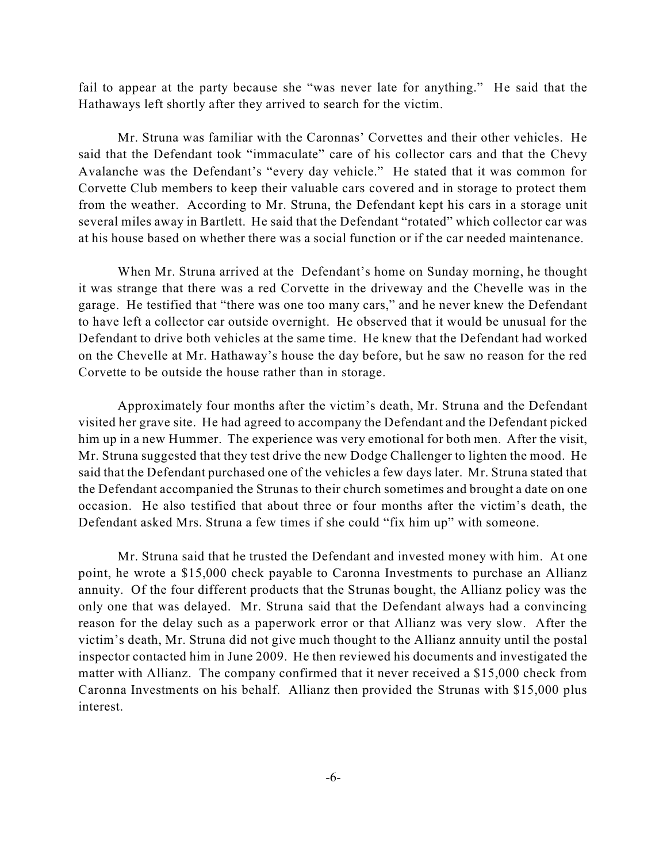fail to appear at the party because she "was never late for anything." He said that the Hathaways left shortly after they arrived to search for the victim.

Mr. Struna was familiar with the Caronnas' Corvettes and their other vehicles. He said that the Defendant took "immaculate" care of his collector cars and that the Chevy Avalanche was the Defendant's "every day vehicle." He stated that it was common for Corvette Club members to keep their valuable cars covered and in storage to protect them from the weather. According to Mr. Struna, the Defendant kept his cars in a storage unit several miles away in Bartlett. He said that the Defendant "rotated" which collector car was at his house based on whether there was a social function or if the car needed maintenance.

When Mr. Struna arrived at the Defendant's home on Sunday morning, he thought it was strange that there was a red Corvette in the driveway and the Chevelle was in the garage. He testified that "there was one too many cars," and he never knew the Defendant to have left a collector car outside overnight. He observed that it would be unusual for the Defendant to drive both vehicles at the same time. He knew that the Defendant had worked on the Chevelle at Mr. Hathaway's house the day before, but he saw no reason for the red Corvette to be outside the house rather than in storage.

Approximately four months after the victim's death, Mr. Struna and the Defendant visited her grave site. He had agreed to accompany the Defendant and the Defendant picked him up in a new Hummer. The experience was very emotional for both men. After the visit, Mr. Struna suggested that they test drive the new Dodge Challenger to lighten the mood. He said that the Defendant purchased one of the vehicles a few days later. Mr. Struna stated that the Defendant accompanied the Strunas to their church sometimes and brought a date on one occasion. He also testified that about three or four months after the victim's death, the Defendant asked Mrs. Struna a few times if she could "fix him up" with someone.

Mr. Struna said that he trusted the Defendant and invested money with him. At one point, he wrote a \$15,000 check payable to Caronna Investments to purchase an Allianz annuity. Of the four different products that the Strunas bought, the Allianz policy was the only one that was delayed. Mr. Struna said that the Defendant always had a convincing reason for the delay such as a paperwork error or that Allianz was very slow. After the victim's death, Mr. Struna did not give much thought to the Allianz annuity until the postal inspector contacted him in June 2009. He then reviewed his documents and investigated the matter with Allianz. The company confirmed that it never received a \$15,000 check from Caronna Investments on his behalf. Allianz then provided the Strunas with \$15,000 plus interest.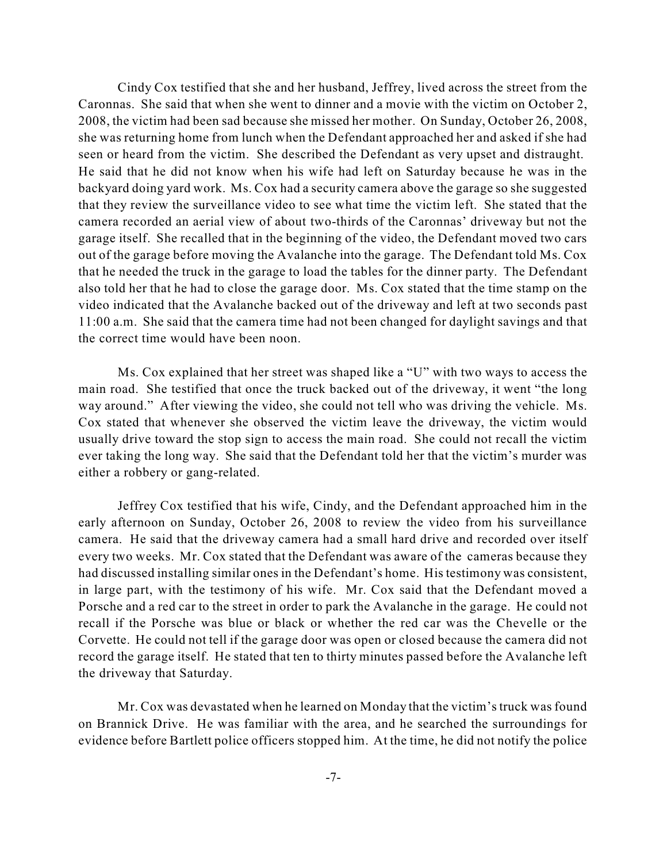Cindy Cox testified that she and her husband, Jeffrey, lived across the street from the Caronnas. She said that when she went to dinner and a movie with the victim on October 2, 2008, the victim had been sad because she missed her mother. On Sunday, October 26, 2008, she was returning home from lunch when the Defendant approached her and asked if she had seen or heard from the victim. She described the Defendant as very upset and distraught. He said that he did not know when his wife had left on Saturday because he was in the backyard doing yard work. Ms. Cox had a security camera above the garage so she suggested that they review the surveillance video to see what time the victim left. She stated that the camera recorded an aerial view of about two-thirds of the Caronnas' driveway but not the garage itself. She recalled that in the beginning of the video, the Defendant moved two cars out of the garage before moving the Avalanche into the garage. The Defendant told Ms. Cox that he needed the truck in the garage to load the tables for the dinner party. The Defendant also told her that he had to close the garage door. Ms. Cox stated that the time stamp on the video indicated that the Avalanche backed out of the driveway and left at two seconds past 11:00 a.m. She said that the camera time had not been changed for daylight savings and that the correct time would have been noon.

Ms. Cox explained that her street was shaped like a "U" with two ways to access the main road. She testified that once the truck backed out of the driveway, it went "the long way around." After viewing the video, she could not tell who was driving the vehicle. Ms. Cox stated that whenever she observed the victim leave the driveway, the victim would usually drive toward the stop sign to access the main road. She could not recall the victim ever taking the long way. She said that the Defendant told her that the victim's murder was either a robbery or gang-related.

Jeffrey Cox testified that his wife, Cindy, and the Defendant approached him in the early afternoon on Sunday, October 26, 2008 to review the video from his surveillance camera. He said that the driveway camera had a small hard drive and recorded over itself every two weeks. Mr. Cox stated that the Defendant was aware of the cameras because they had discussed installing similar ones in the Defendant's home. His testimony was consistent, in large part, with the testimony of his wife. Mr. Cox said that the Defendant moved a Porsche and a red car to the street in order to park the Avalanche in the garage. He could not recall if the Porsche was blue or black or whether the red car was the Chevelle or the Corvette. He could not tell if the garage door was open or closed because the camera did not record the garage itself. He stated that ten to thirty minutes passed before the Avalanche left the driveway that Saturday.

Mr. Cox was devastated when he learned on Monday that the victim'struck wasfound on Brannick Drive. He was familiar with the area, and he searched the surroundings for evidence before Bartlett police officers stopped him. At the time, he did not notify the police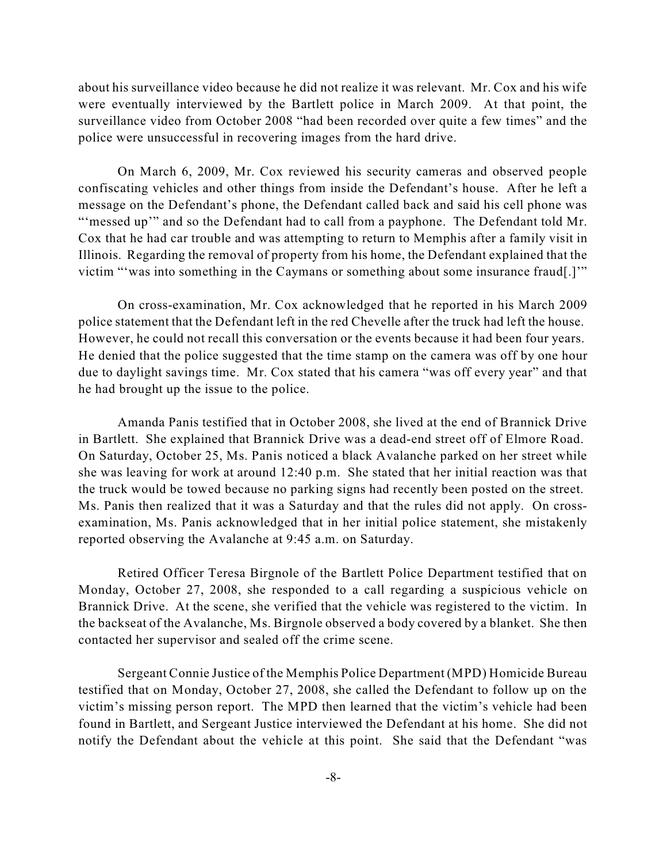about his surveillance video because he did not realize it was relevant. Mr. Cox and his wife were eventually interviewed by the Bartlett police in March 2009. At that point, the surveillance video from October 2008 "had been recorded over quite a few times" and the police were unsuccessful in recovering images from the hard drive.

On March 6, 2009, Mr. Cox reviewed his security cameras and observed people confiscating vehicles and other things from inside the Defendant's house. After he left a message on the Defendant's phone, the Defendant called back and said his cell phone was "'messed up'" and so the Defendant had to call from a payphone. The Defendant told Mr. Cox that he had car trouble and was attempting to return to Memphis after a family visit in Illinois. Regarding the removal of property from his home, the Defendant explained that the victim "'was into something in the Caymans or something about some insurance fraud[.]'"

On cross-examination, Mr. Cox acknowledged that he reported in his March 2009 police statement that the Defendant left in the red Chevelle after the truck had left the house. However, he could not recall this conversation or the events because it had been four years. He denied that the police suggested that the time stamp on the camera was off by one hour due to daylight savings time. Mr. Cox stated that his camera "was off every year" and that he had brought up the issue to the police.

Amanda Panis testified that in October 2008, she lived at the end of Brannick Drive in Bartlett. She explained that Brannick Drive was a dead-end street off of Elmore Road. On Saturday, October 25, Ms. Panis noticed a black Avalanche parked on her street while she was leaving for work at around 12:40 p.m. She stated that her initial reaction was that the truck would be towed because no parking signs had recently been posted on the street. Ms. Panis then realized that it was a Saturday and that the rules did not apply. On crossexamination, Ms. Panis acknowledged that in her initial police statement, she mistakenly reported observing the Avalanche at 9:45 a.m. on Saturday.

Retired Officer Teresa Birgnole of the Bartlett Police Department testified that on Monday, October 27, 2008, she responded to a call regarding a suspicious vehicle on Brannick Drive. At the scene, she verified that the vehicle was registered to the victim. In the backseat of the Avalanche, Ms. Birgnole observed a body covered by a blanket. She then contacted her supervisor and sealed off the crime scene.

Sergeant Connie Justice of the Memphis Police Department (MPD) Homicide Bureau testified that on Monday, October 27, 2008, she called the Defendant to follow up on the victim's missing person report. The MPD then learned that the victim's vehicle had been found in Bartlett, and Sergeant Justice interviewed the Defendant at his home. She did not notify the Defendant about the vehicle at this point. She said that the Defendant "was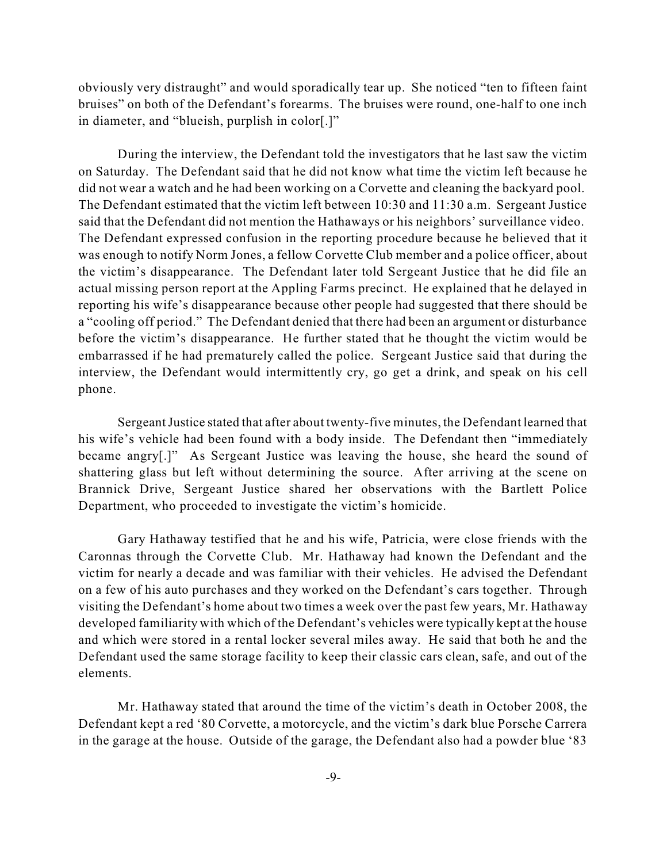obviously very distraught" and would sporadically tear up. She noticed "ten to fifteen faint bruises" on both of the Defendant's forearms. The bruises were round, one-half to one inch in diameter, and "blueish, purplish in color[.]"

During the interview, the Defendant told the investigators that he last saw the victim on Saturday. The Defendant said that he did not know what time the victim left because he did not wear a watch and he had been working on a Corvette and cleaning the backyard pool. The Defendant estimated that the victim left between 10:30 and 11:30 a.m. Sergeant Justice said that the Defendant did not mention the Hathaways or his neighbors' surveillance video. The Defendant expressed confusion in the reporting procedure because he believed that it was enough to notify Norm Jones, a fellow Corvette Club member and a police officer, about the victim's disappearance. The Defendant later told Sergeant Justice that he did file an actual missing person report at the Appling Farms precinct. He explained that he delayed in reporting his wife's disappearance because other people had suggested that there should be a "cooling off period." The Defendant denied that there had been an argument or disturbance before the victim's disappearance. He further stated that he thought the victim would be embarrassed if he had prematurely called the police. Sergeant Justice said that during the interview, the Defendant would intermittently cry, go get a drink, and speak on his cell phone.

SergeantJustice stated that after about twenty-five minutes, the Defendant learned that his wife's vehicle had been found with a body inside. The Defendant then "immediately became angry[.]" As Sergeant Justice was leaving the house, she heard the sound of shattering glass but left without determining the source. After arriving at the scene on Brannick Drive, Sergeant Justice shared her observations with the Bartlett Police Department, who proceeded to investigate the victim's homicide.

Gary Hathaway testified that he and his wife, Patricia, were close friends with the Caronnas through the Corvette Club. Mr. Hathaway had known the Defendant and the victim for nearly a decade and was familiar with their vehicles. He advised the Defendant on a few of his auto purchases and they worked on the Defendant's cars together. Through visiting the Defendant's home about two times a week over the past few years, Mr. Hathaway developed familiarity with which of the Defendant's vehicles were typically kept at the house and which were stored in a rental locker several miles away. He said that both he and the Defendant used the same storage facility to keep their classic cars clean, safe, and out of the elements.

Mr. Hathaway stated that around the time of the victim's death in October 2008, the Defendant kept a red '80 Corvette, a motorcycle, and the victim's dark blue Porsche Carrera in the garage at the house. Outside of the garage, the Defendant also had a powder blue '83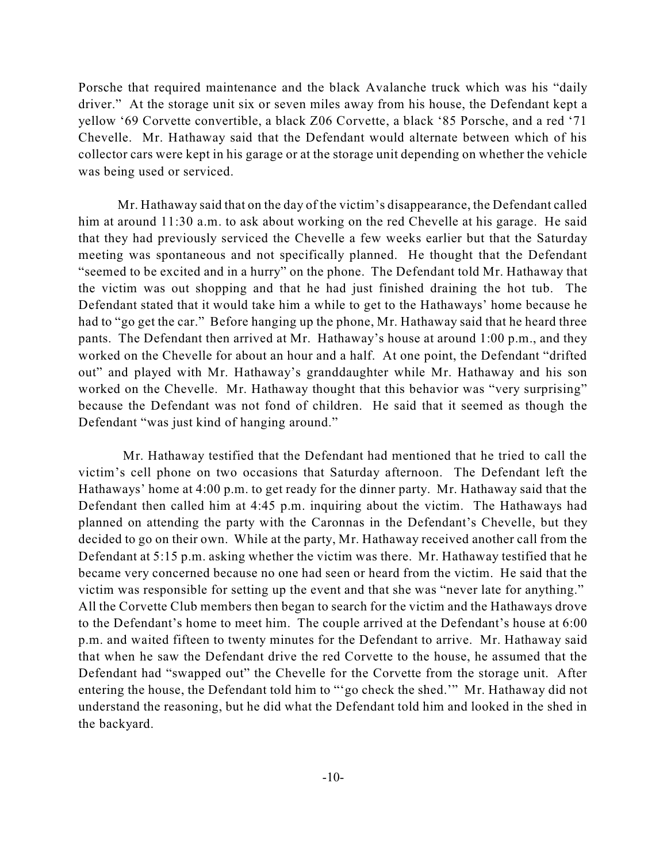Porsche that required maintenance and the black Avalanche truck which was his "daily driver." At the storage unit six or seven miles away from his house, the Defendant kept a yellow '69 Corvette convertible, a black Z06 Corvette, a black '85 Porsche, and a red '71 Chevelle. Mr. Hathaway said that the Defendant would alternate between which of his collector cars were kept in his garage or at the storage unit depending on whether the vehicle was being used or serviced.

Mr. Hathaway said that on the day of the victim's disappearance, the Defendant called him at around 11:30 a.m. to ask about working on the red Chevelle at his garage. He said that they had previously serviced the Chevelle a few weeks earlier but that the Saturday meeting was spontaneous and not specifically planned. He thought that the Defendant "seemed to be excited and in a hurry" on the phone. The Defendant told Mr. Hathaway that the victim was out shopping and that he had just finished draining the hot tub. The Defendant stated that it would take him a while to get to the Hathaways' home because he had to "go get the car." Before hanging up the phone, Mr. Hathaway said that he heard three pants. The Defendant then arrived at Mr. Hathaway's house at around 1:00 p.m., and they worked on the Chevelle for about an hour and a half. At one point, the Defendant "drifted out" and played with Mr. Hathaway's granddaughter while Mr. Hathaway and his son worked on the Chevelle. Mr. Hathaway thought that this behavior was "very surprising" because the Defendant was not fond of children. He said that it seemed as though the Defendant "was just kind of hanging around."

Mr. Hathaway testified that the Defendant had mentioned that he tried to call the victim's cell phone on two occasions that Saturday afternoon. The Defendant left the Hathaways' home at 4:00 p.m. to get ready for the dinner party. Mr. Hathaway said that the Defendant then called him at 4:45 p.m. inquiring about the victim. The Hathaways had planned on attending the party with the Caronnas in the Defendant's Chevelle, but they decided to go on their own. While at the party, Mr. Hathaway received another call from the Defendant at 5:15 p.m. asking whether the victim was there. Mr. Hathaway testified that he became very concerned because no one had seen or heard from the victim. He said that the victim was responsible for setting up the event and that she was "never late for anything." All the Corvette Club members then began to search for the victim and the Hathaways drove to the Defendant's home to meet him. The couple arrived at the Defendant's house at 6:00 p.m. and waited fifteen to twenty minutes for the Defendant to arrive. Mr. Hathaway said that when he saw the Defendant drive the red Corvette to the house, he assumed that the Defendant had "swapped out" the Chevelle for the Corvette from the storage unit. After entering the house, the Defendant told him to "'go check the shed.'" Mr. Hathaway did not understand the reasoning, but he did what the Defendant told him and looked in the shed in the backyard.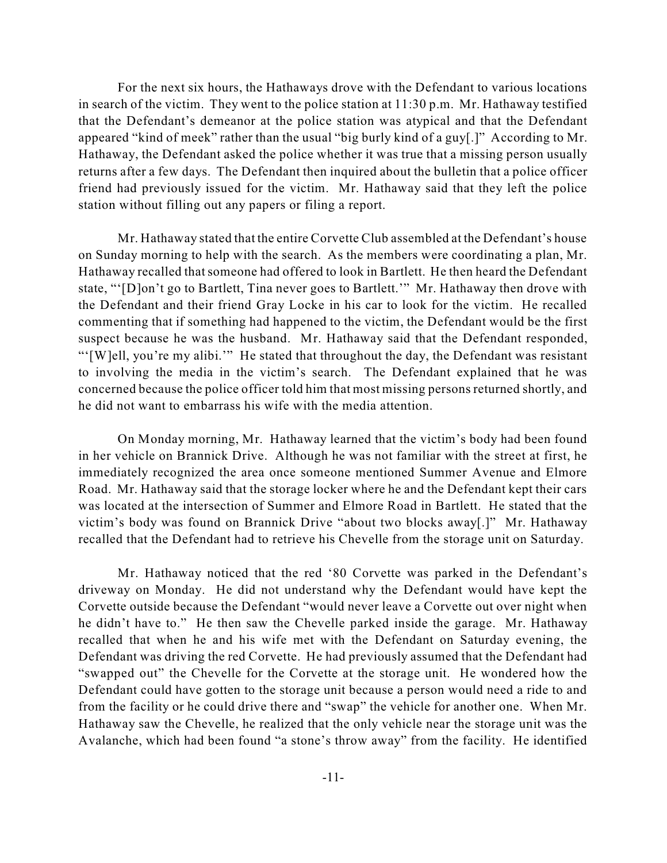For the next six hours, the Hathaways drove with the Defendant to various locations in search of the victim. They went to the police station at 11:30 p.m. Mr. Hathaway testified that the Defendant's demeanor at the police station was atypical and that the Defendant appeared "kind of meek" rather than the usual "big burly kind of a guy[.]" According to Mr. Hathaway, the Defendant asked the police whether it was true that a missing person usually returns after a few days. The Defendant then inquired about the bulletin that a police officer friend had previously issued for the victim. Mr. Hathaway said that they left the police station without filling out any papers or filing a report.

Mr. Hathaway stated that the entire Corvette Club assembled at the Defendant's house on Sunday morning to help with the search. As the members were coordinating a plan, Mr. Hathaway recalled that someone had offered to look in Bartlett. He then heard the Defendant state, "'[D]on't go to Bartlett, Tina never goes to Bartlett.'" Mr. Hathaway then drove with the Defendant and their friend Gray Locke in his car to look for the victim. He recalled commenting that if something had happened to the victim, the Defendant would be the first suspect because he was the husband. Mr. Hathaway said that the Defendant responded, "'[W]ell, you're my alibi.'" He stated that throughout the day, the Defendant was resistant to involving the media in the victim's search. The Defendant explained that he was concerned because the police officer told him that most missing persons returned shortly, and he did not want to embarrass his wife with the media attention.

On Monday morning, Mr. Hathaway learned that the victim's body had been found in her vehicle on Brannick Drive. Although he was not familiar with the street at first, he immediately recognized the area once someone mentioned Summer Avenue and Elmore Road. Mr. Hathaway said that the storage locker where he and the Defendant kept their cars was located at the intersection of Summer and Elmore Road in Bartlett. He stated that the victim's body was found on Brannick Drive "about two blocks away[.]" Mr. Hathaway recalled that the Defendant had to retrieve his Chevelle from the storage unit on Saturday.

Mr. Hathaway noticed that the red '80 Corvette was parked in the Defendant's driveway on Monday. He did not understand why the Defendant would have kept the Corvette outside because the Defendant "would never leave a Corvette out over night when he didn't have to." He then saw the Chevelle parked inside the garage. Mr. Hathaway recalled that when he and his wife met with the Defendant on Saturday evening, the Defendant was driving the red Corvette. He had previously assumed that the Defendant had "swapped out" the Chevelle for the Corvette at the storage unit. He wondered how the Defendant could have gotten to the storage unit because a person would need a ride to and from the facility or he could drive there and "swap" the vehicle for another one. When Mr. Hathaway saw the Chevelle, he realized that the only vehicle near the storage unit was the Avalanche, which had been found "a stone's throw away" from the facility. He identified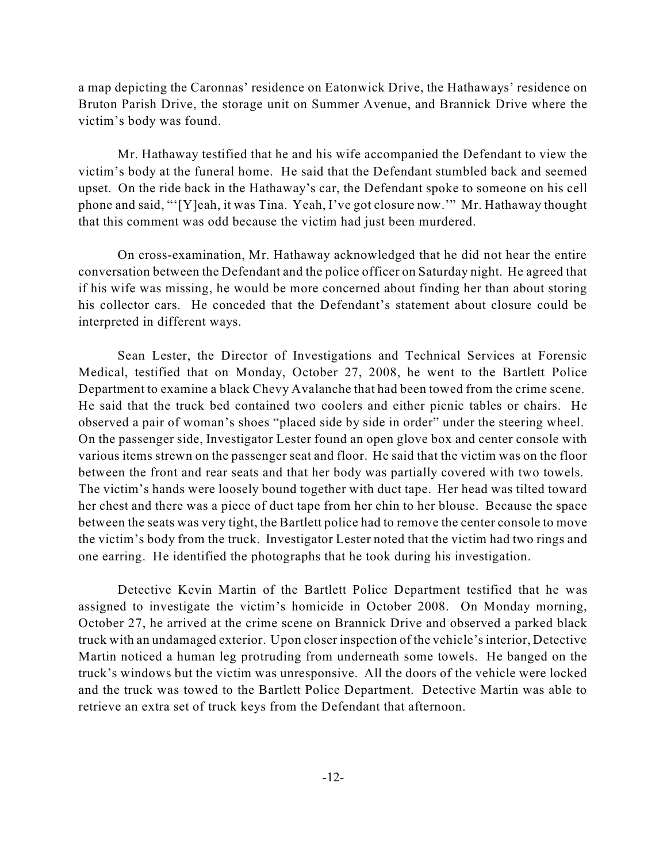a map depicting the Caronnas' residence on Eatonwick Drive, the Hathaways' residence on Bruton Parish Drive, the storage unit on Summer Avenue, and Brannick Drive where the victim's body was found.

Mr. Hathaway testified that he and his wife accompanied the Defendant to view the victim's body at the funeral home. He said that the Defendant stumbled back and seemed upset. On the ride back in the Hathaway's car, the Defendant spoke to someone on his cell phone and said, "'[Y]eah, it was Tina. Yeah, I've got closure now.'" Mr. Hathaway thought that this comment was odd because the victim had just been murdered.

On cross-examination, Mr. Hathaway acknowledged that he did not hear the entire conversation between the Defendant and the police officer on Saturday night. He agreed that if his wife was missing, he would be more concerned about finding her than about storing his collector cars. He conceded that the Defendant's statement about closure could be interpreted in different ways.

Sean Lester, the Director of Investigations and Technical Services at Forensic Medical, testified that on Monday, October 27, 2008, he went to the Bartlett Police Department to examine a black Chevy Avalanche that had been towed from the crime scene. He said that the truck bed contained two coolers and either picnic tables or chairs. He observed a pair of woman's shoes "placed side by side in order" under the steering wheel. On the passenger side, Investigator Lester found an open glove box and center console with various items strewn on the passenger seat and floor. He said that the victim was on the floor between the front and rear seats and that her body was partially covered with two towels. The victim's hands were loosely bound together with duct tape. Her head was tilted toward her chest and there was a piece of duct tape from her chin to her blouse. Because the space between the seats was very tight, the Bartlett police had to remove the center console to move the victim's body from the truck. Investigator Lester noted that the victim had two rings and one earring. He identified the photographs that he took during his investigation.

Detective Kevin Martin of the Bartlett Police Department testified that he was assigned to investigate the victim's homicide in October 2008. On Monday morning, October 27, he arrived at the crime scene on Brannick Drive and observed a parked black truck with an undamaged exterior. Upon closer inspection of the vehicle'sinterior, Detective Martin noticed a human leg protruding from underneath some towels. He banged on the truck's windows but the victim was unresponsive. All the doors of the vehicle were locked and the truck was towed to the Bartlett Police Department. Detective Martin was able to retrieve an extra set of truck keys from the Defendant that afternoon.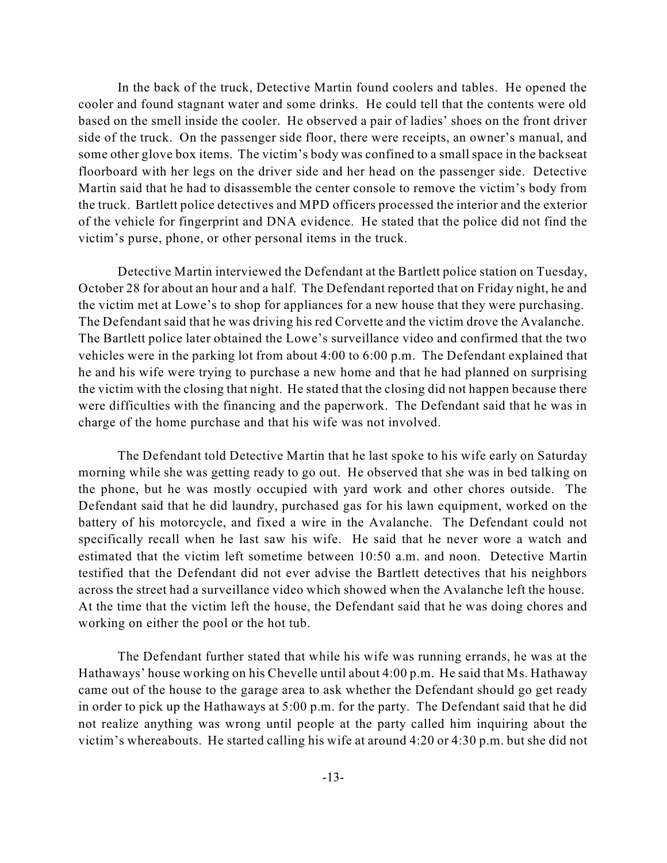In the back of the truck, Detective Martin found coolers and tables. He opened the cooler and found stagnant water and some drinks. He could tell that the contents were old based on the smell inside the cooler. He observed a pair of ladies' shoes on the front driver side of the truck. On the passenger side floor, there were receipts, an owner's manual, and some other glove box items. The victim's body was confined to a small space in the backseat floorboard with her legs on the driver side and her head on the passenger side. Detective Martin said that he had to disassemble the center console to remove the victim's body from the truck. Bartlett police detectives and MPD officers processed the interior and the exterior of the vehicle for fingerprint and DNA evidence. He stated that the police did not find the victim's purse, phone, or other personal items in the truck.

Detective Martin interviewed the Defendant at the Bartlett police station on Tuesday, October 28 for about an hour and a half. The Defendant reported that on Friday night, he and the victim met at Lowe's to shop for appliances for a new house that they were purchasing. The Defendant said that he was driving his red Corvette and the victim drove the Avalanche. The Bartlett police later obtained the Lowe's surveillance video and confirmed that the two vehicles were in the parking lot from about 4:00 to 6:00 p.m. The Defendant explained that he and his wife were trying to purchase a new home and that he had planned on surprising the victim with the closing that night. He stated that the closing did not happen because there were difficulties with the financing and the paperwork. The Defendant said that he was in charge of the home purchase and that his wife was not involved.

The Defendant told Detective Martin that he last spoke to his wife early on Saturday morning while she was getting ready to go out. He observed that she was in bed talking on the phone, but he was mostly occupied with yard work and other chores outside. The Defendant said that he did laundry, purchased gas for his lawn equipment, worked on the battery of his motorcycle, and fixed a wire in the Avalanche. The Defendant could not specifically recall when he last saw his wife. He said that he never wore a watch and estimated that the victim left sometime between 10:50 a.m. and noon. Detective Martin testified that the Defendant did not ever advise the Bartlett detectives that his neighbors across the street had a surveillance video which showed when the Avalanche left the house. At the time that the victim left the house, the Defendant said that he was doing chores and working on either the pool or the hot tub.

The Defendant further stated that while his wife was running errands, he was at the Hathaways' house working on his Chevelle until about 4:00 p.m. He said that Ms. Hathaway came out of the house to the garage area to ask whether the Defendant should go get ready in order to pick up the Hathaways at 5:00 p.m. for the party. The Defendant said that he did not realize anything was wrong until people at the party called him inquiring about the victim's whereabouts. He started calling his wife at around 4:20 or 4:30 p.m. but she did not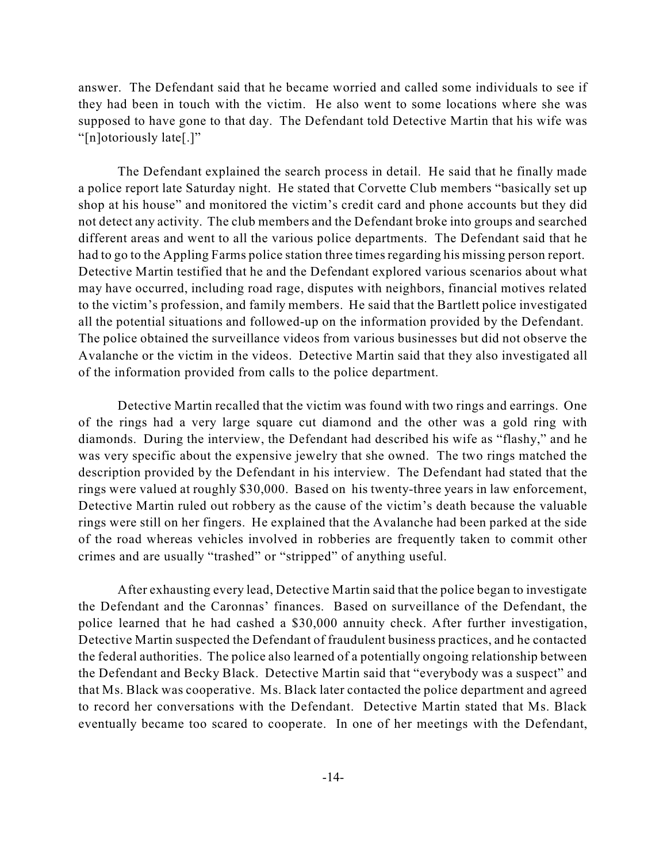answer. The Defendant said that he became worried and called some individuals to see if they had been in touch with the victim. He also went to some locations where she was supposed to have gone to that day. The Defendant told Detective Martin that his wife was "[n]otoriously late[.]"

The Defendant explained the search process in detail. He said that he finally made a police report late Saturday night. He stated that Corvette Club members "basically set up shop at his house" and monitored the victim's credit card and phone accounts but they did not detect any activity. The club members and the Defendant broke into groups and searched different areas and went to all the various police departments. The Defendant said that he had to go to the Appling Farms police station three times regarding his missing person report. Detective Martin testified that he and the Defendant explored various scenarios about what may have occurred, including road rage, disputes with neighbors, financial motives related to the victim's profession, and family members. He said that the Bartlett police investigated all the potential situations and followed-up on the information provided by the Defendant. The police obtained the surveillance videos from various businesses but did not observe the Avalanche or the victim in the videos. Detective Martin said that they also investigated all of the information provided from calls to the police department.

Detective Martin recalled that the victim was found with two rings and earrings. One of the rings had a very large square cut diamond and the other was a gold ring with diamonds. During the interview, the Defendant had described his wife as "flashy," and he was very specific about the expensive jewelry that she owned. The two rings matched the description provided by the Defendant in his interview. The Defendant had stated that the rings were valued at roughly \$30,000. Based on his twenty-three years in law enforcement, Detective Martin ruled out robbery as the cause of the victim's death because the valuable rings were still on her fingers. He explained that the Avalanche had been parked at the side of the road whereas vehicles involved in robberies are frequently taken to commit other crimes and are usually "trashed" or "stripped" of anything useful.

After exhausting every lead, Detective Martin said that the police began to investigate the Defendant and the Caronnas' finances. Based on surveillance of the Defendant, the police learned that he had cashed a \$30,000 annuity check. After further investigation, Detective Martin suspected the Defendant of fraudulent business practices, and he contacted the federal authorities. The police also learned of a potentially ongoing relationship between the Defendant and Becky Black. Detective Martin said that "everybody was a suspect" and that Ms. Black was cooperative. Ms. Black later contacted the police department and agreed to record her conversations with the Defendant. Detective Martin stated that Ms. Black eventually became too scared to cooperate. In one of her meetings with the Defendant,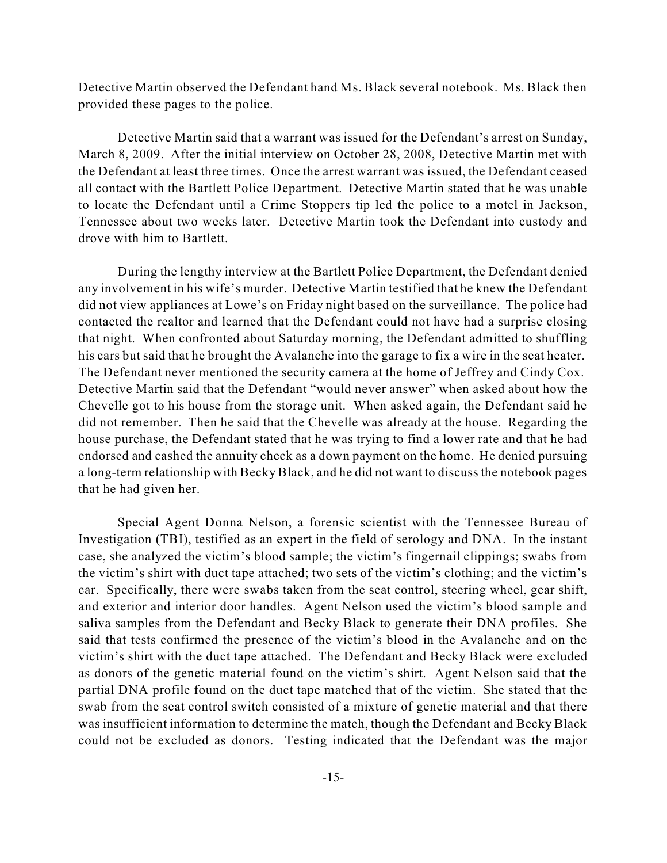Detective Martin observed the Defendant hand Ms. Black several notebook. Ms. Black then provided these pages to the police.

Detective Martin said that a warrant was issued for the Defendant's arrest on Sunday, March 8, 2009. After the initial interview on October 28, 2008, Detective Martin met with the Defendant at least three times. Once the arrest warrant was issued, the Defendant ceased all contact with the Bartlett Police Department. Detective Martin stated that he was unable to locate the Defendant until a Crime Stoppers tip led the police to a motel in Jackson, Tennessee about two weeks later. Detective Martin took the Defendant into custody and drove with him to Bartlett.

During the lengthy interview at the Bartlett Police Department, the Defendant denied any involvement in his wife's murder. Detective Martin testified that he knew the Defendant did not view appliances at Lowe's on Friday night based on the surveillance. The police had contacted the realtor and learned that the Defendant could not have had a surprise closing that night. When confronted about Saturday morning, the Defendant admitted to shuffling his cars but said that he brought the Avalanche into the garage to fix a wire in the seat heater. The Defendant never mentioned the security camera at the home of Jeffrey and Cindy Cox. Detective Martin said that the Defendant "would never answer" when asked about how the Chevelle got to his house from the storage unit. When asked again, the Defendant said he did not remember. Then he said that the Chevelle was already at the house. Regarding the house purchase, the Defendant stated that he was trying to find a lower rate and that he had endorsed and cashed the annuity check as a down payment on the home. He denied pursuing a long-term relationship with Becky Black, and he did not want to discuss the notebook pages that he had given her.

Special Agent Donna Nelson, a forensic scientist with the Tennessee Bureau of Investigation (TBI), testified as an expert in the field of serology and DNA. In the instant case, she analyzed the victim's blood sample; the victim's fingernail clippings; swabs from the victim's shirt with duct tape attached; two sets of the victim's clothing; and the victim's car. Specifically, there were swabs taken from the seat control, steering wheel, gear shift, and exterior and interior door handles. Agent Nelson used the victim's blood sample and saliva samples from the Defendant and Becky Black to generate their DNA profiles. She said that tests confirmed the presence of the victim's blood in the Avalanche and on the victim's shirt with the duct tape attached. The Defendant and Becky Black were excluded as donors of the genetic material found on the victim's shirt. Agent Nelson said that the partial DNA profile found on the duct tape matched that of the victim. She stated that the swab from the seat control switch consisted of a mixture of genetic material and that there was insufficient information to determine the match, though the Defendant and Becky Black could not be excluded as donors. Testing indicated that the Defendant was the major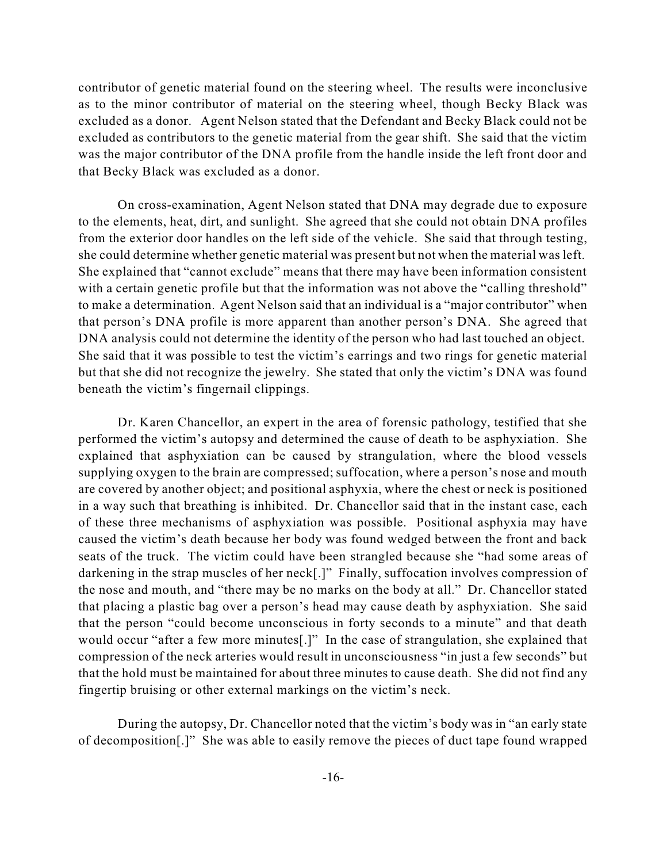contributor of genetic material found on the steering wheel. The results were inconclusive as to the minor contributor of material on the steering wheel, though Becky Black was excluded as a donor. Agent Nelson stated that the Defendant and Becky Black could not be excluded as contributors to the genetic material from the gear shift. She said that the victim was the major contributor of the DNA profile from the handle inside the left front door and that Becky Black was excluded as a donor.

On cross-examination, Agent Nelson stated that DNA may degrade due to exposure to the elements, heat, dirt, and sunlight. She agreed that she could not obtain DNA profiles from the exterior door handles on the left side of the vehicle. She said that through testing, she could determine whether genetic material was present but not when the material was left. She explained that "cannot exclude" means that there may have been information consistent with a certain genetic profile but that the information was not above the "calling threshold" to make a determination. Agent Nelson said that an individual is a "major contributor" when that person's DNA profile is more apparent than another person's DNA. She agreed that DNA analysis could not determine the identity of the person who had last touched an object. She said that it was possible to test the victim's earrings and two rings for genetic material but that she did not recognize the jewelry. She stated that only the victim's DNA was found beneath the victim's fingernail clippings.

Dr. Karen Chancellor, an expert in the area of forensic pathology, testified that she performed the victim's autopsy and determined the cause of death to be asphyxiation. She explained that asphyxiation can be caused by strangulation, where the blood vessels supplying oxygen to the brain are compressed; suffocation, where a person's nose and mouth are covered by another object; and positional asphyxia, where the chest or neck is positioned in a way such that breathing is inhibited. Dr. Chancellor said that in the instant case, each of these three mechanisms of asphyxiation was possible. Positional asphyxia may have caused the victim's death because her body was found wedged between the front and back seats of the truck. The victim could have been strangled because she "had some areas of darkening in the strap muscles of her neck[.]" Finally, suffocation involves compression of the nose and mouth, and "there may be no marks on the body at all." Dr. Chancellor stated that placing a plastic bag over a person's head may cause death by asphyxiation. She said that the person "could become unconscious in forty seconds to a minute" and that death would occur "after a few more minutes[.]" In the case of strangulation, she explained that compression of the neck arteries would result in unconsciousness "in just a few seconds" but that the hold must be maintained for about three minutes to cause death. She did not find any fingertip bruising or other external markings on the victim's neck.

During the autopsy, Dr. Chancellor noted that the victim's body was in "an early state of decomposition[.]" She was able to easily remove the pieces of duct tape found wrapped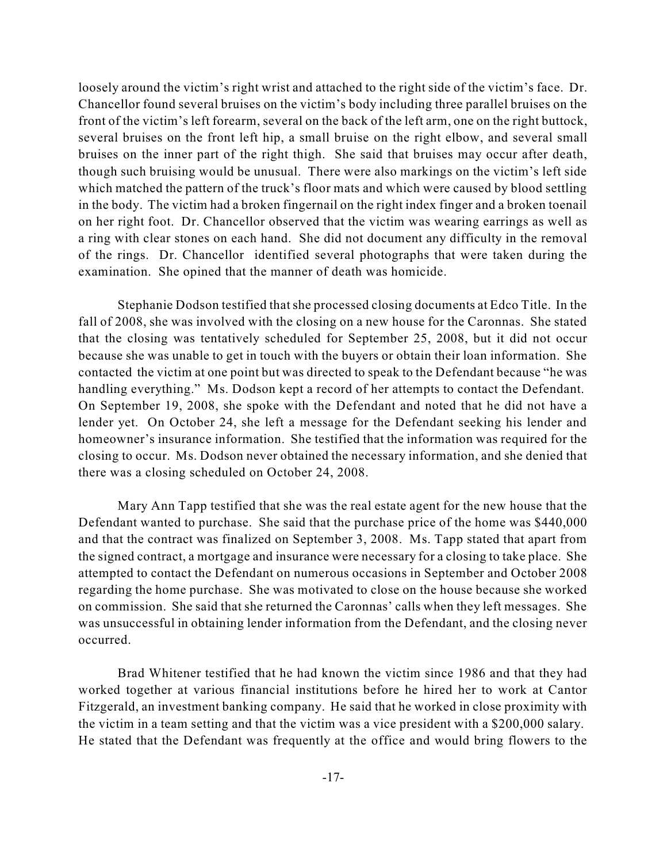loosely around the victim's right wrist and attached to the right side of the victim's face. Dr. Chancellor found several bruises on the victim's body including three parallel bruises on the front of the victim's left forearm, several on the back of the left arm, one on the right buttock, several bruises on the front left hip, a small bruise on the right elbow, and several small bruises on the inner part of the right thigh. She said that bruises may occur after death, though such bruising would be unusual. There were also markings on the victim's left side which matched the pattern of the truck's floor mats and which were caused by blood settling in the body. The victim had a broken fingernail on the right index finger and a broken toenail on her right foot. Dr. Chancellor observed that the victim was wearing earrings as well as a ring with clear stones on each hand. She did not document any difficulty in the removal of the rings. Dr. Chancellor identified several photographs that were taken during the examination. She opined that the manner of death was homicide.

Stephanie Dodson testified that she processed closing documents at Edco Title. In the fall of 2008, she was involved with the closing on a new house for the Caronnas. She stated that the closing was tentatively scheduled for September 25, 2008, but it did not occur because she was unable to get in touch with the buyers or obtain their loan information. She contacted the victim at one point but was directed to speak to the Defendant because "he was handling everything." Ms. Dodson kept a record of her attempts to contact the Defendant. On September 19, 2008, she spoke with the Defendant and noted that he did not have a lender yet. On October 24, she left a message for the Defendant seeking his lender and homeowner's insurance information. She testified that the information was required for the closing to occur. Ms. Dodson never obtained the necessary information, and she denied that there was a closing scheduled on October 24, 2008.

Mary Ann Tapp testified that she was the real estate agent for the new house that the Defendant wanted to purchase. She said that the purchase price of the home was \$440,000 and that the contract was finalized on September 3, 2008. Ms. Tapp stated that apart from the signed contract, a mortgage and insurance were necessary for a closing to take place. She attempted to contact the Defendant on numerous occasions in September and October 2008 regarding the home purchase. She was motivated to close on the house because she worked on commission. She said that she returned the Caronnas' calls when they left messages. She was unsuccessful in obtaining lender information from the Defendant, and the closing never occurred.

Brad Whitener testified that he had known the victim since 1986 and that they had worked together at various financial institutions before he hired her to work at Cantor Fitzgerald, an investment banking company. He said that he worked in close proximity with the victim in a team setting and that the victim was a vice president with a \$200,000 salary. He stated that the Defendant was frequently at the office and would bring flowers to the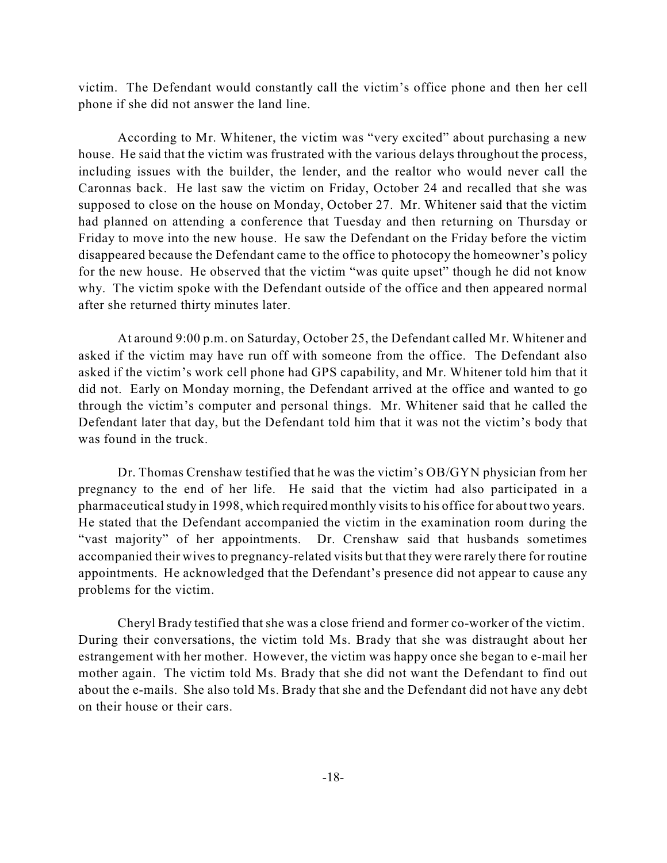victim. The Defendant would constantly call the victim's office phone and then her cell phone if she did not answer the land line.

According to Mr. Whitener, the victim was "very excited" about purchasing a new house. He said that the victim was frustrated with the various delays throughout the process, including issues with the builder, the lender, and the realtor who would never call the Caronnas back. He last saw the victim on Friday, October 24 and recalled that she was supposed to close on the house on Monday, October 27. Mr. Whitener said that the victim had planned on attending a conference that Tuesday and then returning on Thursday or Friday to move into the new house. He saw the Defendant on the Friday before the victim disappeared because the Defendant came to the office to photocopy the homeowner's policy for the new house. He observed that the victim "was quite upset" though he did not know why. The victim spoke with the Defendant outside of the office and then appeared normal after she returned thirty minutes later.

At around 9:00 p.m. on Saturday, October 25, the Defendant called Mr. Whitener and asked if the victim may have run off with someone from the office. The Defendant also asked if the victim's work cell phone had GPS capability, and Mr. Whitener told him that it did not. Early on Monday morning, the Defendant arrived at the office and wanted to go through the victim's computer and personal things. Mr. Whitener said that he called the Defendant later that day, but the Defendant told him that it was not the victim's body that was found in the truck.

Dr. Thomas Crenshaw testified that he was the victim's OB/GYN physician from her pregnancy to the end of her life. He said that the victim had also participated in a pharmaceutical study in 1998, which required monthly visits to his office for about two years. He stated that the Defendant accompanied the victim in the examination room during the "vast majority" of her appointments. Dr. Crenshaw said that husbands sometimes accompanied their wivesto pregnancy-related visits but that they were rarely there for routine appointments. He acknowledged that the Defendant's presence did not appear to cause any problems for the victim.

Cheryl Brady testified that she was a close friend and former co-worker of the victim. During their conversations, the victim told Ms. Brady that she was distraught about her estrangement with her mother. However, the victim was happy once she began to e-mail her mother again. The victim told Ms. Brady that she did not want the Defendant to find out about the e-mails. She also told Ms. Brady that she and the Defendant did not have any debt on their house or their cars.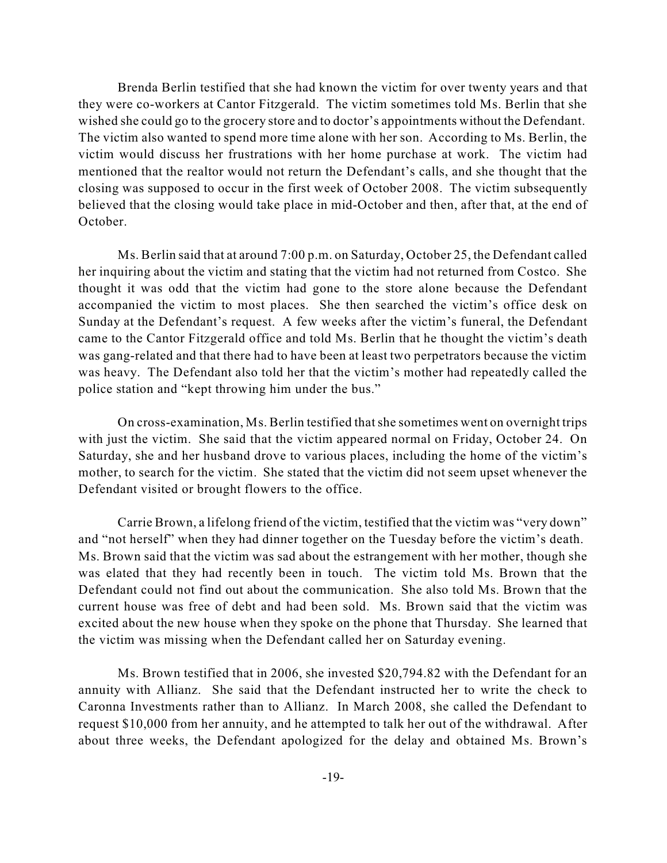Brenda Berlin testified that she had known the victim for over twenty years and that they were co-workers at Cantor Fitzgerald. The victim sometimes told Ms. Berlin that she wished she could go to the grocery store and to doctor's appointments without the Defendant. The victim also wanted to spend more time alone with her son. According to Ms. Berlin, the victim would discuss her frustrations with her home purchase at work. The victim had mentioned that the realtor would not return the Defendant's calls, and she thought that the closing was supposed to occur in the first week of October 2008. The victim subsequently believed that the closing would take place in mid-October and then, after that, at the end of October.

Ms. Berlin said that at around 7:00 p.m. on Saturday, October 25, the Defendant called her inquiring about the victim and stating that the victim had not returned from Costco. She thought it was odd that the victim had gone to the store alone because the Defendant accompanied the victim to most places. She then searched the victim's office desk on Sunday at the Defendant's request. A few weeks after the victim's funeral, the Defendant came to the Cantor Fitzgerald office and told Ms. Berlin that he thought the victim's death was gang-related and that there had to have been at least two perpetrators because the victim was heavy. The Defendant also told her that the victim's mother had repeatedly called the police station and "kept throwing him under the bus."

On cross-examination, Ms. Berlin testified thatshe sometimes went on overnight trips with just the victim. She said that the victim appeared normal on Friday, October 24. On Saturday, she and her husband drove to various places, including the home of the victim's mother, to search for the victim. She stated that the victim did not seem upset whenever the Defendant visited or brought flowers to the office.

Carrie Brown, a lifelong friend of the victim, testified that the victim was "very down" and "not herself" when they had dinner together on the Tuesday before the victim's death. Ms. Brown said that the victim was sad about the estrangement with her mother, though she was elated that they had recently been in touch. The victim told Ms. Brown that the Defendant could not find out about the communication. She also told Ms. Brown that the current house was free of debt and had been sold. Ms. Brown said that the victim was excited about the new house when they spoke on the phone that Thursday. She learned that the victim was missing when the Defendant called her on Saturday evening.

Ms. Brown testified that in 2006, she invested \$20,794.82 with the Defendant for an annuity with Allianz. She said that the Defendant instructed her to write the check to Caronna Investments rather than to Allianz. In March 2008, she called the Defendant to request \$10,000 from her annuity, and he attempted to talk her out of the withdrawal. After about three weeks, the Defendant apologized for the delay and obtained Ms. Brown's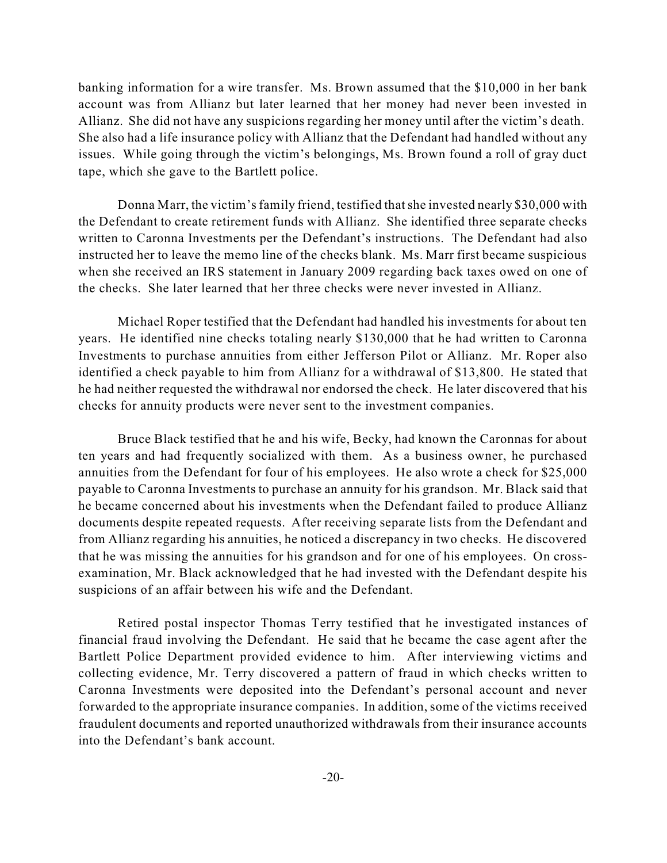banking information for a wire transfer. Ms. Brown assumed that the \$10,000 in her bank account was from Allianz but later learned that her money had never been invested in Allianz. She did not have any suspicions regarding her money until after the victim's death. She also had a life insurance policy with Allianz that the Defendant had handled without any issues. While going through the victim's belongings, Ms. Brown found a roll of gray duct tape, which she gave to the Bartlett police.

Donna Marr, the victim's family friend, testified that she invested nearly \$30,000 with the Defendant to create retirement funds with Allianz. She identified three separate checks written to Caronna Investments per the Defendant's instructions. The Defendant had also instructed her to leave the memo line of the checks blank. Ms. Marr first became suspicious when she received an IRS statement in January 2009 regarding back taxes owed on one of the checks. She later learned that her three checks were never invested in Allianz.

Michael Roper testified that the Defendant had handled his investments for about ten years. He identified nine checks totaling nearly \$130,000 that he had written to Caronna Investments to purchase annuities from either Jefferson Pilot or Allianz. Mr. Roper also identified a check payable to him from Allianz for a withdrawal of \$13,800. He stated that he had neither requested the withdrawal nor endorsed the check. He later discovered that his checks for annuity products were never sent to the investment companies.

Bruce Black testified that he and his wife, Becky, had known the Caronnas for about ten years and had frequently socialized with them. As a business owner, he purchased annuities from the Defendant for four of his employees. He also wrote a check for \$25,000 payable to Caronna Investments to purchase an annuity for his grandson. Mr. Black said that he became concerned about his investments when the Defendant failed to produce Allianz documents despite repeated requests. After receiving separate lists from the Defendant and from Allianz regarding his annuities, he noticed a discrepancy in two checks. He discovered that he was missing the annuities for his grandson and for one of his employees. On crossexamination, Mr. Black acknowledged that he had invested with the Defendant despite his suspicions of an affair between his wife and the Defendant.

Retired postal inspector Thomas Terry testified that he investigated instances of financial fraud involving the Defendant. He said that he became the case agent after the Bartlett Police Department provided evidence to him. After interviewing victims and collecting evidence, Mr. Terry discovered a pattern of fraud in which checks written to Caronna Investments were deposited into the Defendant's personal account and never forwarded to the appropriate insurance companies. In addition, some of the victims received fraudulent documents and reported unauthorized withdrawals from their insurance accounts into the Defendant's bank account.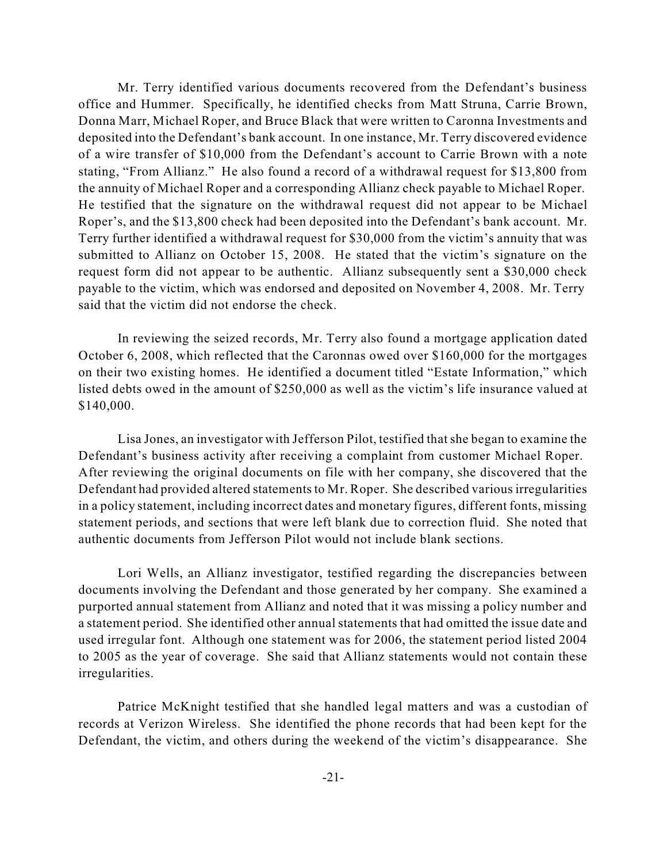Mr. Terry identified various documents recovered from the Defendant's business office and Hummer. Specifically, he identified checks from Matt Struna, Carrie Brown, Donna Marr, Michael Roper, and Bruce Black that were written to Caronna Investments and deposited into the Defendant's bank account. In one instance, Mr. Terry discovered evidence of a wire transfer of \$10,000 from the Defendant's account to Carrie Brown with a note stating, "From Allianz." He also found a record of a withdrawal request for \$13,800 from the annuity of Michael Roper and a corresponding Allianz check payable to Michael Roper. He testified that the signature on the withdrawal request did not appear to be Michael Roper's, and the \$13,800 check had been deposited into the Defendant's bank account. Mr. Terry further identified a withdrawal request for \$30,000 from the victim's annuity that was submitted to Allianz on October 15, 2008. He stated that the victim's signature on the request form did not appear to be authentic. Allianz subsequently sent a \$30,000 check payable to the victim, which was endorsed and deposited on November 4, 2008. Mr. Terry said that the victim did not endorse the check.

In reviewing the seized records, Mr. Terry also found a mortgage application dated October 6, 2008, which reflected that the Caronnas owed over \$160,000 for the mortgages on their two existing homes. He identified a document titled "Estate Information," which listed debts owed in the amount of \$250,000 as well as the victim's life insurance valued at \$140,000.

Lisa Jones, an investigator with Jefferson Pilot, testified thatshe began to examine the Defendant's business activity after receiving a complaint from customer Michael Roper. After reviewing the original documents on file with her company, she discovered that the Defendant had provided altered statements to Mr. Roper. She described various irregularities in a policy statement, including incorrect dates and monetary figures, different fonts, missing statement periods, and sections that were left blank due to correction fluid. She noted that authentic documents from Jefferson Pilot would not include blank sections.

Lori Wells, an Allianz investigator, testified regarding the discrepancies between documents involving the Defendant and those generated by her company. She examined a purported annual statement from Allianz and noted that it was missing a policy number and a statement period. She identified other annual statements that had omitted the issue date and used irregular font. Although one statement was for 2006, the statement period listed 2004 to 2005 as the year of coverage. She said that Allianz statements would not contain these irregularities.

Patrice McKnight testified that she handled legal matters and was a custodian of records at Verizon Wireless. She identified the phone records that had been kept for the Defendant, the victim, and others during the weekend of the victim's disappearance. She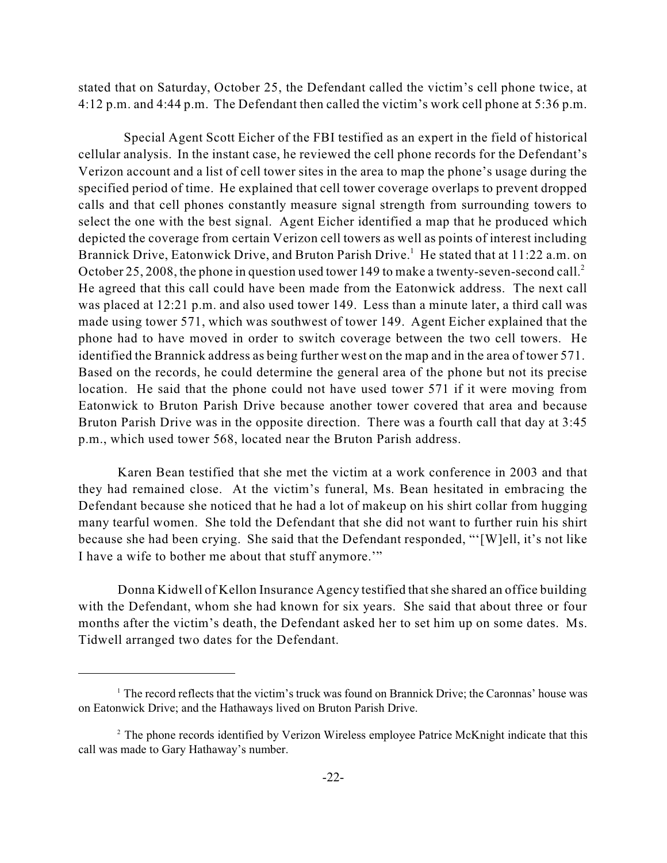stated that on Saturday, October 25, the Defendant called the victim's cell phone twice, at 4:12 p.m. and 4:44 p.m. The Defendant then called the victim's work cell phone at 5:36 p.m.

Special Agent Scott Eicher of the FBI testified as an expert in the field of historical cellular analysis. In the instant case, he reviewed the cell phone records for the Defendant's Verizon account and a list of cell tower sites in the area to map the phone's usage during the specified period of time. He explained that cell tower coverage overlaps to prevent dropped calls and that cell phones constantly measure signal strength from surrounding towers to select the one with the best signal. Agent Eicher identified a map that he produced which depicted the coverage from certain Verizon cell towers as well as points of interest including Brannick Drive, Eatonwick Drive, and Bruton Parish Drive.<sup>1</sup> He stated that at 11:22 a.m. on October 25, 2008, the phone in question used tower 149 to make a twenty-seven-second call.<sup>2</sup> He agreed that this call could have been made from the Eatonwick address. The next call was placed at 12:21 p.m. and also used tower 149. Less than a minute later, a third call was made using tower 571, which was southwest of tower 149. Agent Eicher explained that the phone had to have moved in order to switch coverage between the two cell towers. He identified the Brannick address as being further west on the map and in the area of tower 571. Based on the records, he could determine the general area of the phone but not its precise location. He said that the phone could not have used tower 571 if it were moving from Eatonwick to Bruton Parish Drive because another tower covered that area and because Bruton Parish Drive was in the opposite direction. There was a fourth call that day at 3:45 p.m., which used tower 568, located near the Bruton Parish address.

Karen Bean testified that she met the victim at a work conference in 2003 and that they had remained close. At the victim's funeral, Ms. Bean hesitated in embracing the Defendant because she noticed that he had a lot of makeup on his shirt collar from hugging many tearful women. She told the Defendant that she did not want to further ruin his shirt because she had been crying. She said that the Defendant responded, "'[W]ell, it's not like I have a wife to bother me about that stuff anymore.'"

Donna Kidwell of Kellon Insurance Agency testified thatshe shared an office building with the Defendant, whom she had known for six years. She said that about three or four months after the victim's death, the Defendant asked her to set him up on some dates. Ms. Tidwell arranged two dates for the Defendant.

 $<sup>1</sup>$  The record reflects that the victim's truck was found on Brannick Drive; the Caronnas' house was</sup> on Eatonwick Drive; and the Hathaways lived on Bruton Parish Drive.

 $2^2$  The phone records identified by Verizon Wireless employee Patrice McKnight indicate that this call was made to Gary Hathaway's number.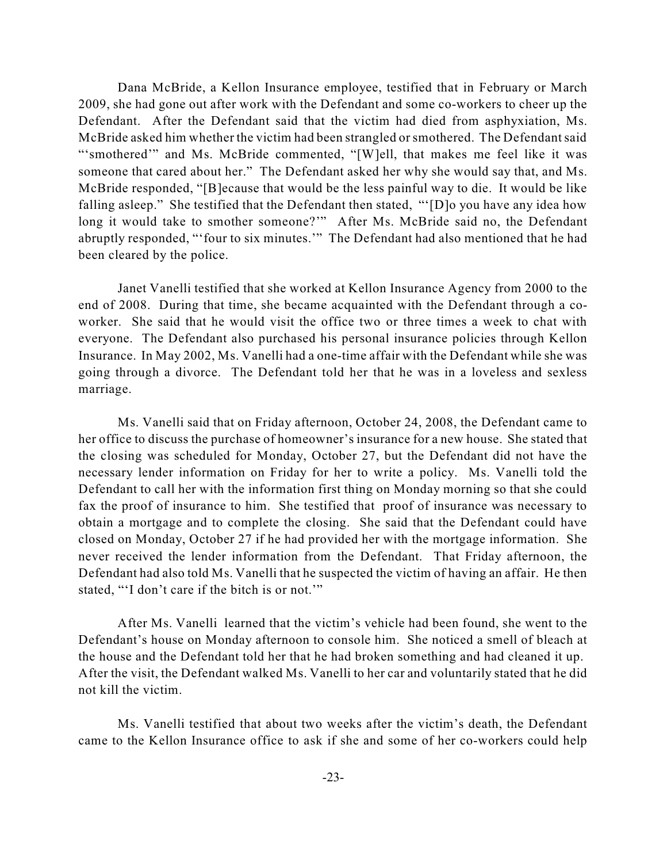Dana McBride, a Kellon Insurance employee, testified that in February or March 2009, she had gone out after work with the Defendant and some co-workers to cheer up the Defendant. After the Defendant said that the victim had died from asphyxiation, Ms. McBride asked him whether the victim had been strangled or smothered. The Defendant said "'smothered'" and Ms. McBride commented, "[W]ell, that makes me feel like it was someone that cared about her." The Defendant asked her why she would say that, and Ms. McBride responded, "[B]ecause that would be the less painful way to die. It would be like falling asleep." She testified that the Defendant then stated, "'[D]o you have any idea how long it would take to smother someone?"" After Ms. McBride said no, the Defendant abruptly responded, "'four to six minutes.'" The Defendant had also mentioned that he had been cleared by the police.

Janet Vanelli testified that she worked at Kellon Insurance Agency from 2000 to the end of 2008. During that time, she became acquainted with the Defendant through a coworker. She said that he would visit the office two or three times a week to chat with everyone. The Defendant also purchased his personal insurance policies through Kellon Insurance. In May 2002, Ms. Vanelli had a one-time affair with the Defendant while she was going through a divorce. The Defendant told her that he was in a loveless and sexless marriage.

Ms. Vanelli said that on Friday afternoon, October 24, 2008, the Defendant came to her office to discuss the purchase of homeowner's insurance for a new house. She stated that the closing was scheduled for Monday, October 27, but the Defendant did not have the necessary lender information on Friday for her to write a policy. Ms. Vanelli told the Defendant to call her with the information first thing on Monday morning so that she could fax the proof of insurance to him. She testified that proof of insurance was necessary to obtain a mortgage and to complete the closing. She said that the Defendant could have closed on Monday, October 27 if he had provided her with the mortgage information. She never received the lender information from the Defendant. That Friday afternoon, the Defendant had also told Ms. Vanelli that he suspected the victim of having an affair. He then stated, "'I don't care if the bitch is or not.'"

After Ms. Vanelli learned that the victim's vehicle had been found, she went to the Defendant's house on Monday afternoon to console him. She noticed a smell of bleach at the house and the Defendant told her that he had broken something and had cleaned it up. After the visit, the Defendant walked Ms. Vanelli to her car and voluntarily stated that he did not kill the victim.

Ms. Vanelli testified that about two weeks after the victim's death, the Defendant came to the Kellon Insurance office to ask if she and some of her co-workers could help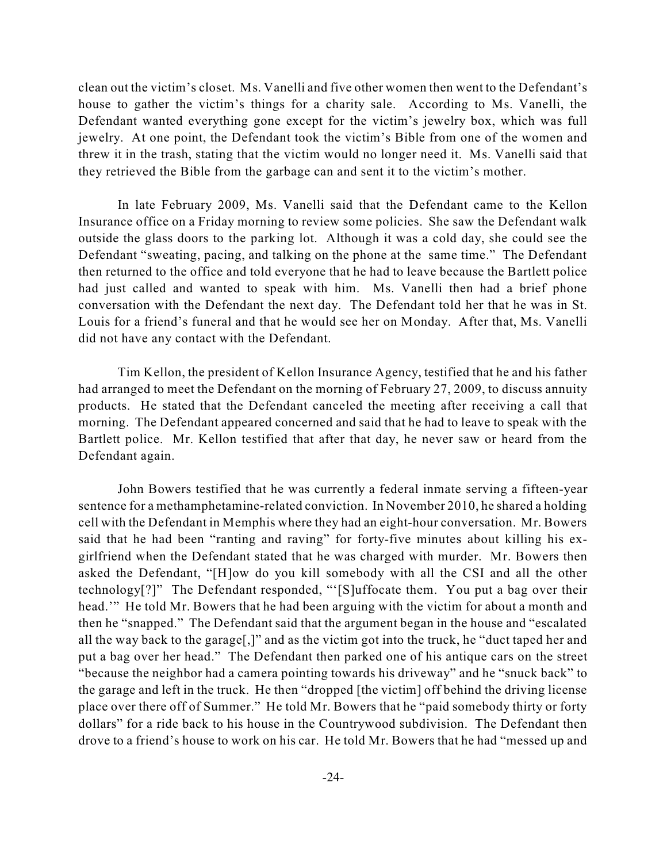clean out the victim's closet. Ms. Vanelli and five other women then went to the Defendant's house to gather the victim's things for a charity sale. According to Ms. Vanelli, the Defendant wanted everything gone except for the victim's jewelry box, which was full jewelry. At one point, the Defendant took the victim's Bible from one of the women and threw it in the trash, stating that the victim would no longer need it. Ms. Vanelli said that they retrieved the Bible from the garbage can and sent it to the victim's mother.

In late February 2009, Ms. Vanelli said that the Defendant came to the Kellon Insurance office on a Friday morning to review some policies. She saw the Defendant walk outside the glass doors to the parking lot. Although it was a cold day, she could see the Defendant "sweating, pacing, and talking on the phone at the same time." The Defendant then returned to the office and told everyone that he had to leave because the Bartlett police had just called and wanted to speak with him. Ms. Vanelli then had a brief phone conversation with the Defendant the next day. The Defendant told her that he was in St. Louis for a friend's funeral and that he would see her on Monday. After that, Ms. Vanelli did not have any contact with the Defendant.

Tim Kellon, the president of Kellon Insurance Agency, testified that he and his father had arranged to meet the Defendant on the morning of February 27, 2009, to discuss annuity products. He stated that the Defendant canceled the meeting after receiving a call that morning. The Defendant appeared concerned and said that he had to leave to speak with the Bartlett police. Mr. Kellon testified that after that day, he never saw or heard from the Defendant again.

John Bowers testified that he was currently a federal inmate serving a fifteen-year sentence for a methamphetamine-related conviction. In November 2010, he shared a holding cell with the Defendant in Memphis where they had an eight-hour conversation. Mr. Bowers said that he had been "ranting and raving" for forty-five minutes about killing his exgirlfriend when the Defendant stated that he was charged with murder. Mr. Bowers then asked the Defendant, "[H]ow do you kill somebody with all the CSI and all the other technology[?]" The Defendant responded, "'[S]uffocate them. You put a bag over their head." He told Mr. Bowers that he had been arguing with the victim for about a month and then he "snapped." The Defendant said that the argument began in the house and "escalated all the way back to the garage[,]" and as the victim got into the truck, he "duct taped her and put a bag over her head." The Defendant then parked one of his antique cars on the street "because the neighbor had a camera pointing towards his driveway" and he "snuck back" to the garage and left in the truck. He then "dropped [the victim] off behind the driving license place over there off of Summer." He told Mr. Bowers that he "paid somebody thirty or forty dollars" for a ride back to his house in the Countrywood subdivision. The Defendant then drove to a friend's house to work on his car. He told Mr. Bowers that he had "messed up and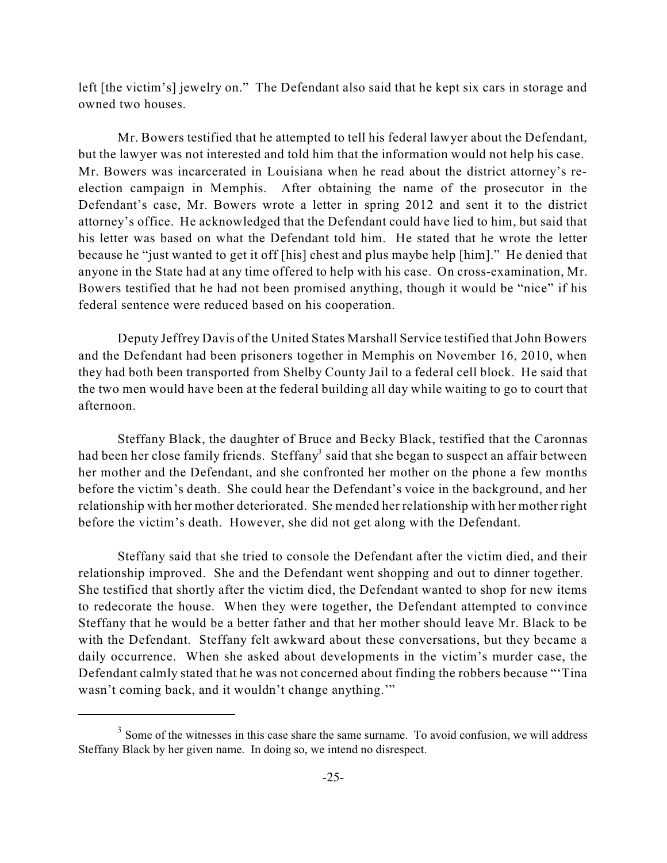left [the victim's] jewelry on." The Defendant also said that he kept six cars in storage and owned two houses.

Mr. Bowers testified that he attempted to tell his federal lawyer about the Defendant, but the lawyer was not interested and told him that the information would not help his case. Mr. Bowers was incarcerated in Louisiana when he read about the district attorney's reelection campaign in Memphis. After obtaining the name of the prosecutor in the Defendant's case, Mr. Bowers wrote a letter in spring 2012 and sent it to the district attorney's office. He acknowledged that the Defendant could have lied to him, but said that his letter was based on what the Defendant told him. He stated that he wrote the letter because he "just wanted to get it off [his] chest and plus maybe help [him]." He denied that anyone in the State had at any time offered to help with his case. On cross-examination, Mr. Bowers testified that he had not been promised anything, though it would be "nice" if his federal sentence were reduced based on his cooperation.

Deputy Jeffrey Davis of the United States Marshall Service testified that John Bowers and the Defendant had been prisoners together in Memphis on November 16, 2010, when they had both been transported from Shelby County Jail to a federal cell block. He said that the two men would have been at the federal building all day while waiting to go to court that afternoon.

Steffany Black, the daughter of Bruce and Becky Black, testified that the Caronnas had been her close family friends. Steffany<sup>3</sup> said that she began to suspect an affair between her mother and the Defendant, and she confronted her mother on the phone a few months before the victim's death. She could hear the Defendant's voice in the background, and her relationship with her mother deteriorated. She mended her relationship with her mother right before the victim's death. However, she did not get along with the Defendant.

Steffany said that she tried to console the Defendant after the victim died, and their relationship improved. She and the Defendant went shopping and out to dinner together. She testified that shortly after the victim died, the Defendant wanted to shop for new items to redecorate the house. When they were together, the Defendant attempted to convince Steffany that he would be a better father and that her mother should leave Mr. Black to be with the Defendant. Steffany felt awkward about these conversations, but they became a daily occurrence. When she asked about developments in the victim's murder case, the Defendant calmly stated that he was not concerned about finding the robbers because "'Tina wasn't coming back, and it wouldn't change anything.'"

 $3$  Some of the witnesses in this case share the same surname. To avoid confusion, we will address Steffany Black by her given name. In doing so, we intend no disrespect.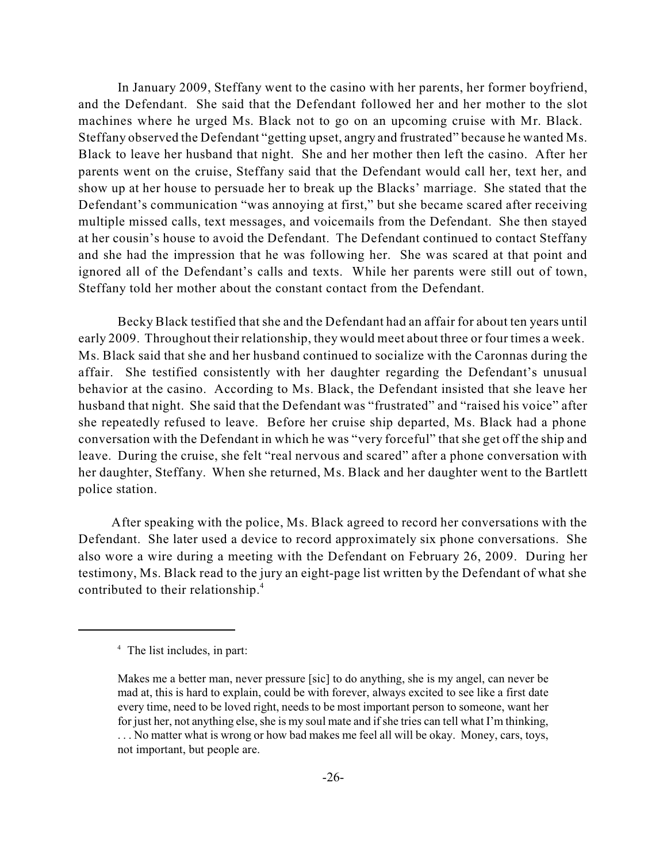In January 2009, Steffany went to the casino with her parents, her former boyfriend, and the Defendant. She said that the Defendant followed her and her mother to the slot machines where he urged Ms. Black not to go on an upcoming cruise with Mr. Black. Steffany observed the Defendant "getting upset, angry and frustrated" because he wanted Ms. Black to leave her husband that night. She and her mother then left the casino. After her parents went on the cruise, Steffany said that the Defendant would call her, text her, and show up at her house to persuade her to break up the Blacks' marriage. She stated that the Defendant's communication "was annoying at first," but she became scared after receiving multiple missed calls, text messages, and voicemails from the Defendant. She then stayed at her cousin's house to avoid the Defendant. The Defendant continued to contact Steffany and she had the impression that he was following her. She was scared at that point and ignored all of the Defendant's calls and texts. While her parents were still out of town, Steffany told her mother about the constant contact from the Defendant.

Becky Black testified that she and the Defendant had an affair for about ten years until early 2009. Throughout their relationship, they would meet about three or four times a week. Ms. Black said that she and her husband continued to socialize with the Caronnas during the affair. She testified consistently with her daughter regarding the Defendant's unusual behavior at the casino. According to Ms. Black, the Defendant insisted that she leave her husband that night. She said that the Defendant was "frustrated" and "raised his voice" after she repeatedly refused to leave. Before her cruise ship departed, Ms. Black had a phone conversation with the Defendant in which he was "very forceful" that she get off the ship and leave. During the cruise, she felt "real nervous and scared" after a phone conversation with her daughter, Steffany. When she returned, Ms. Black and her daughter went to the Bartlett police station.

After speaking with the police, Ms. Black agreed to record her conversations with the Defendant. She later used a device to record approximately six phone conversations. She also wore a wire during a meeting with the Defendant on February 26, 2009. During her testimony, Ms. Black read to the jury an eight-page list written by the Defendant of what she contributed to their relationship. 4

<sup>&</sup>lt;sup>4</sup> The list includes, in part:

Makes me a better man, never pressure [sic] to do anything, she is my angel, can never be mad at, this is hard to explain, could be with forever, always excited to see like a first date every time, need to be loved right, needs to be most important person to someone, want her for just her, not anything else, she is my soul mate and if she tries can tell what I'm thinking,

<sup>. . .</sup> No matter what is wrong or how bad makes me feel all will be okay. Money, cars, toys, not important, but people are.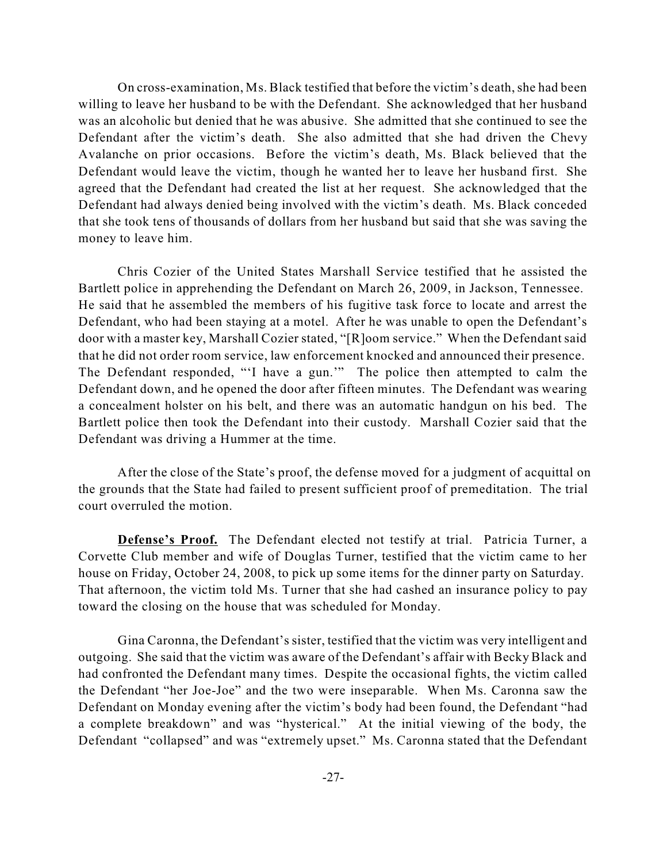On cross-examination, Ms. Black testified that before the victim's death, she had been willing to leave her husband to be with the Defendant. She acknowledged that her husband was an alcoholic but denied that he was abusive. She admitted that she continued to see the Defendant after the victim's death. She also admitted that she had driven the Chevy Avalanche on prior occasions. Before the victim's death, Ms. Black believed that the Defendant would leave the victim, though he wanted her to leave her husband first. She agreed that the Defendant had created the list at her request. She acknowledged that the Defendant had always denied being involved with the victim's death. Ms. Black conceded that she took tens of thousands of dollars from her husband but said that she was saving the money to leave him.

Chris Cozier of the United States Marshall Service testified that he assisted the Bartlett police in apprehending the Defendant on March 26, 2009, in Jackson, Tennessee. He said that he assembled the members of his fugitive task force to locate and arrest the Defendant, who had been staying at a motel. After he was unable to open the Defendant's door with a master key, Marshall Cozier stated, "[R]oom service." When the Defendant said that he did not order room service, law enforcement knocked and announced their presence. The Defendant responded, "'I have a gun.'" The police then attempted to calm the Defendant down, and he opened the door after fifteen minutes. The Defendant was wearing a concealment holster on his belt, and there was an automatic handgun on his bed. The Bartlett police then took the Defendant into their custody. Marshall Cozier said that the Defendant was driving a Hummer at the time.

After the close of the State's proof, the defense moved for a judgment of acquittal on the grounds that the State had failed to present sufficient proof of premeditation. The trial court overruled the motion.

**Defense's Proof.** The Defendant elected not testify at trial. Patricia Turner, a Corvette Club member and wife of Douglas Turner, testified that the victim came to her house on Friday, October 24, 2008, to pick up some items for the dinner party on Saturday. That afternoon, the victim told Ms. Turner that she had cashed an insurance policy to pay toward the closing on the house that was scheduled for Monday.

Gina Caronna, the Defendant's sister, testified that the victim was very intelligent and outgoing. She said that the victim was aware of the Defendant's affair with Becky Black and had confronted the Defendant many times. Despite the occasional fights, the victim called the Defendant "her Joe-Joe" and the two were inseparable. When Ms. Caronna saw the Defendant on Monday evening after the victim's body had been found, the Defendant "had a complete breakdown" and was "hysterical." At the initial viewing of the body, the Defendant "collapsed" and was "extremely upset." Ms. Caronna stated that the Defendant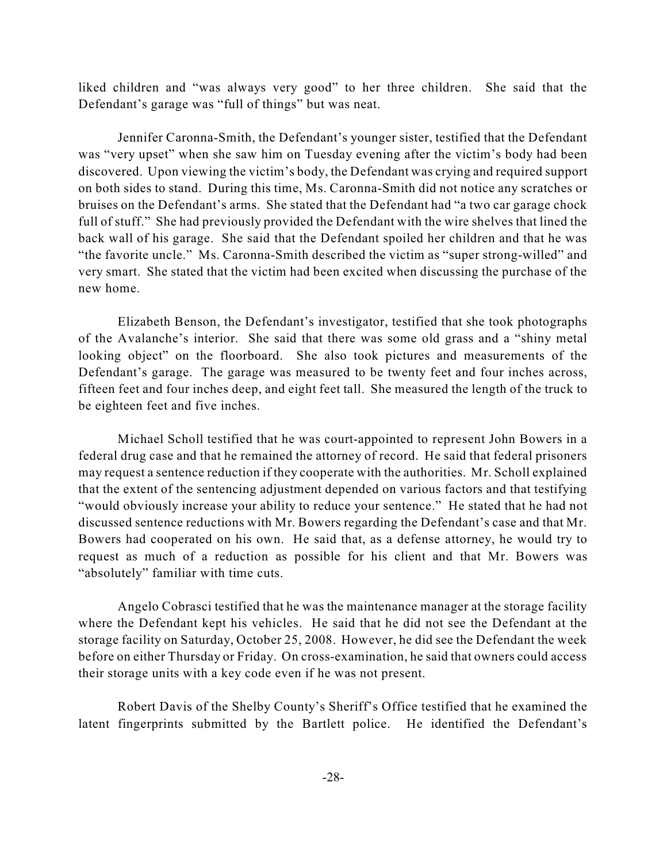liked children and "was always very good" to her three children. She said that the Defendant's garage was "full of things" but was neat.

Jennifer Caronna-Smith, the Defendant's younger sister, testified that the Defendant was "very upset" when she saw him on Tuesday evening after the victim's body had been discovered. Upon viewing the victim's body, the Defendant was crying and required support on both sides to stand. During this time, Ms. Caronna-Smith did not notice any scratches or bruises on the Defendant's arms. She stated that the Defendant had "a two car garage chock full of stuff." She had previously provided the Defendant with the wire shelves that lined the back wall of his garage. She said that the Defendant spoiled her children and that he was "the favorite uncle." Ms. Caronna-Smith described the victim as "super strong-willed" and very smart. She stated that the victim had been excited when discussing the purchase of the new home.

Elizabeth Benson, the Defendant's investigator, testified that she took photographs of the Avalanche's interior. She said that there was some old grass and a "shiny metal looking object" on the floorboard. She also took pictures and measurements of the Defendant's garage. The garage was measured to be twenty feet and four inches across, fifteen feet and four inches deep, and eight feet tall. She measured the length of the truck to be eighteen feet and five inches.

Michael Scholl testified that he was court-appointed to represent John Bowers in a federal drug case and that he remained the attorney of record. He said that federal prisoners may request a sentence reduction if they cooperate with the authorities. Mr. Scholl explained that the extent of the sentencing adjustment depended on various factors and that testifying "would obviously increase your ability to reduce your sentence." He stated that he had not discussed sentence reductions with Mr. Bowers regarding the Defendant's case and that Mr. Bowers had cooperated on his own. He said that, as a defense attorney, he would try to request as much of a reduction as possible for his client and that Mr. Bowers was "absolutely" familiar with time cuts.

Angelo Cobrasci testified that he was the maintenance manager at the storage facility where the Defendant kept his vehicles. He said that he did not see the Defendant at the storage facility on Saturday, October 25, 2008. However, he did see the Defendant the week before on either Thursday or Friday. On cross-examination, he said that owners could access their storage units with a key code even if he was not present.

Robert Davis of the Shelby County's Sheriff's Office testified that he examined the latent fingerprints submitted by the Bartlett police. He identified the Defendant's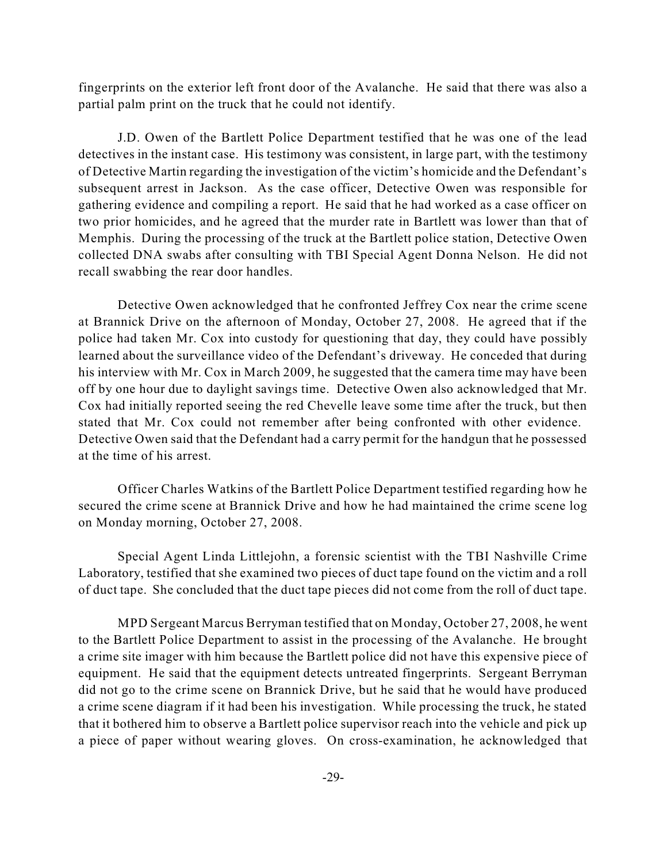fingerprints on the exterior left front door of the Avalanche. He said that there was also a partial palm print on the truck that he could not identify.

J.D. Owen of the Bartlett Police Department testified that he was one of the lead detectives in the instant case. His testimony was consistent, in large part, with the testimony of Detective Martin regarding the investigation of the victim's homicide and the Defendant's subsequent arrest in Jackson. As the case officer, Detective Owen was responsible for gathering evidence and compiling a report. He said that he had worked as a case officer on two prior homicides, and he agreed that the murder rate in Bartlett was lower than that of Memphis. During the processing of the truck at the Bartlett police station, Detective Owen collected DNA swabs after consulting with TBI Special Agent Donna Nelson. He did not recall swabbing the rear door handles.

Detective Owen acknowledged that he confronted Jeffrey Cox near the crime scene at Brannick Drive on the afternoon of Monday, October 27, 2008. He agreed that if the police had taken Mr. Cox into custody for questioning that day, they could have possibly learned about the surveillance video of the Defendant's driveway. He conceded that during his interview with Mr. Cox in March 2009, he suggested that the camera time may have been off by one hour due to daylight savings time. Detective Owen also acknowledged that Mr. Cox had initially reported seeing the red Chevelle leave some time after the truck, but then stated that Mr. Cox could not remember after being confronted with other evidence. Detective Owen said that the Defendant had a carry permit for the handgun that he possessed at the time of his arrest.

Officer Charles Watkins of the Bartlett Police Department testified regarding how he secured the crime scene at Brannick Drive and how he had maintained the crime scene log on Monday morning, October 27, 2008.

Special Agent Linda Littlejohn, a forensic scientist with the TBI Nashville Crime Laboratory, testified that she examined two pieces of duct tape found on the victim and a roll of duct tape. She concluded that the duct tape pieces did not come from the roll of duct tape.

MPD Sergeant Marcus Berryman testified that on Monday, October 27, 2008, he went to the Bartlett Police Department to assist in the processing of the Avalanche. He brought a crime site imager with him because the Bartlett police did not have this expensive piece of equipment. He said that the equipment detects untreated fingerprints. Sergeant Berryman did not go to the crime scene on Brannick Drive, but he said that he would have produced a crime scene diagram if it had been his investigation. While processing the truck, he stated that it bothered him to observe a Bartlett police supervisor reach into the vehicle and pick up a piece of paper without wearing gloves. On cross-examination, he acknowledged that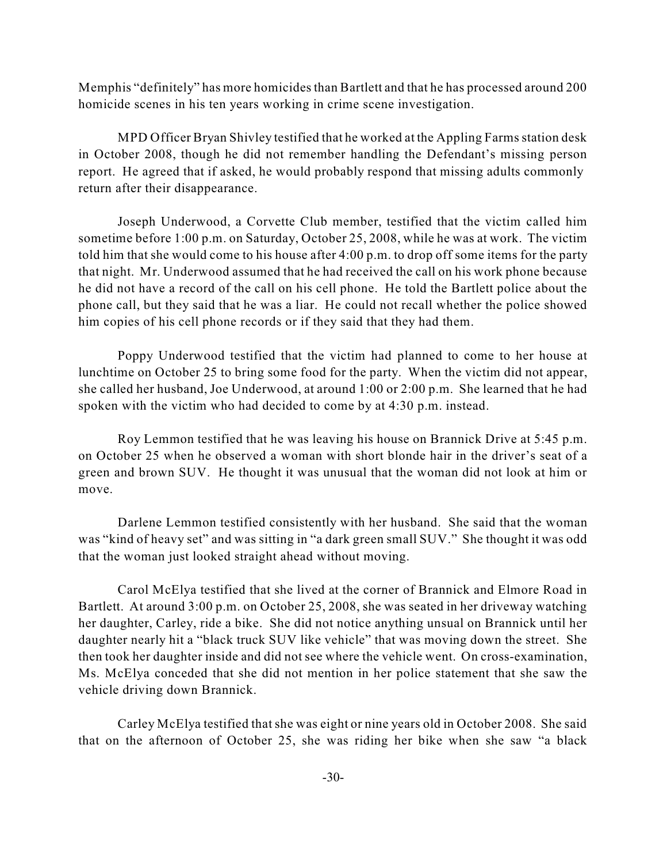Memphis "definitely" has more homicides than Bartlett and that he has processed around 200 homicide scenes in his ten years working in crime scene investigation.

MPD Officer Bryan Shivley testified that he worked at the Appling Farmsstation desk in October 2008, though he did not remember handling the Defendant's missing person report. He agreed that if asked, he would probably respond that missing adults commonly return after their disappearance.

Joseph Underwood, a Corvette Club member, testified that the victim called him sometime before 1:00 p.m. on Saturday, October 25, 2008, while he was at work. The victim told him that she would come to his house after 4:00 p.m. to drop off some items for the party that night. Mr. Underwood assumed that he had received the call on his work phone because he did not have a record of the call on his cell phone. He told the Bartlett police about the phone call, but they said that he was a liar. He could not recall whether the police showed him copies of his cell phone records or if they said that they had them.

Poppy Underwood testified that the victim had planned to come to her house at lunchtime on October 25 to bring some food for the party. When the victim did not appear, she called her husband, Joe Underwood, at around 1:00 or 2:00 p.m. She learned that he had spoken with the victim who had decided to come by at 4:30 p.m. instead.

Roy Lemmon testified that he was leaving his house on Brannick Drive at 5:45 p.m. on October 25 when he observed a woman with short blonde hair in the driver's seat of a green and brown SUV. He thought it was unusual that the woman did not look at him or move.

Darlene Lemmon testified consistently with her husband. She said that the woman was "kind of heavy set" and was sitting in "a dark green small SUV." She thought it was odd that the woman just looked straight ahead without moving.

Carol McElya testified that she lived at the corner of Brannick and Elmore Road in Bartlett. At around 3:00 p.m. on October 25, 2008, she was seated in her driveway watching her daughter, Carley, ride a bike. She did not notice anything unsual on Brannick until her daughter nearly hit a "black truck SUV like vehicle" that was moving down the street. She then took her daughter inside and did not see where the vehicle went. On cross-examination, Ms. McElya conceded that she did not mention in her police statement that she saw the vehicle driving down Brannick.

Carley McElya testified that she was eight or nine years old in October 2008. She said that on the afternoon of October 25, she was riding her bike when she saw "a black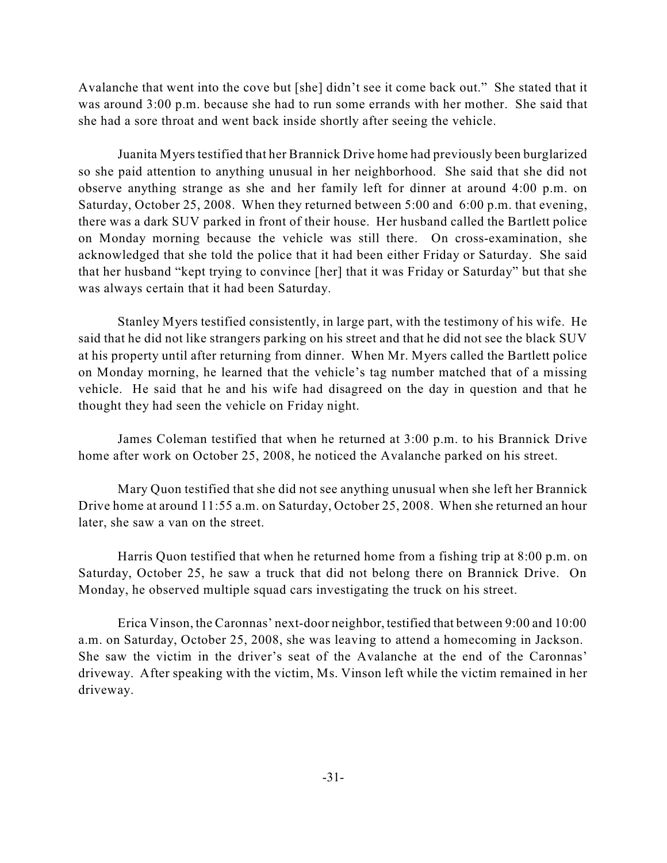Avalanche that went into the cove but [she] didn't see it come back out." She stated that it was around 3:00 p.m. because she had to run some errands with her mother. She said that she had a sore throat and went back inside shortly after seeing the vehicle.

Juanita Myers testified that her Brannick Drive home had previously been burglarized so she paid attention to anything unusual in her neighborhood. She said that she did not observe anything strange as she and her family left for dinner at around 4:00 p.m. on Saturday, October 25, 2008. When they returned between 5:00 and 6:00 p.m. that evening, there was a dark SUV parked in front of their house. Her husband called the Bartlett police on Monday morning because the vehicle was still there. On cross-examination, she acknowledged that she told the police that it had been either Friday or Saturday. She said that her husband "kept trying to convince [her] that it was Friday or Saturday" but that she was always certain that it had been Saturday.

Stanley Myers testified consistently, in large part, with the testimony of his wife. He said that he did not like strangers parking on his street and that he did not see the black SUV at his property until after returning from dinner. When Mr. Myers called the Bartlett police on Monday morning, he learned that the vehicle's tag number matched that of a missing vehicle. He said that he and his wife had disagreed on the day in question and that he thought they had seen the vehicle on Friday night.

James Coleman testified that when he returned at 3:00 p.m. to his Brannick Drive home after work on October 25, 2008, he noticed the Avalanche parked on his street.

Mary Quon testified that she did not see anything unusual when she left her Brannick Drive home at around 11:55 a.m. on Saturday, October 25, 2008. When she returned an hour later, she saw a van on the street.

Harris Quon testified that when he returned home from a fishing trip at 8:00 p.m. on Saturday, October 25, he saw a truck that did not belong there on Brannick Drive. On Monday, he observed multiple squad cars investigating the truck on his street.

Erica Vinson, the Caronnas' next-door neighbor, testified that between 9:00 and 10:00 a.m. on Saturday, October 25, 2008, she was leaving to attend a homecoming in Jackson. She saw the victim in the driver's seat of the Avalanche at the end of the Caronnas' driveway. After speaking with the victim, Ms. Vinson left while the victim remained in her driveway.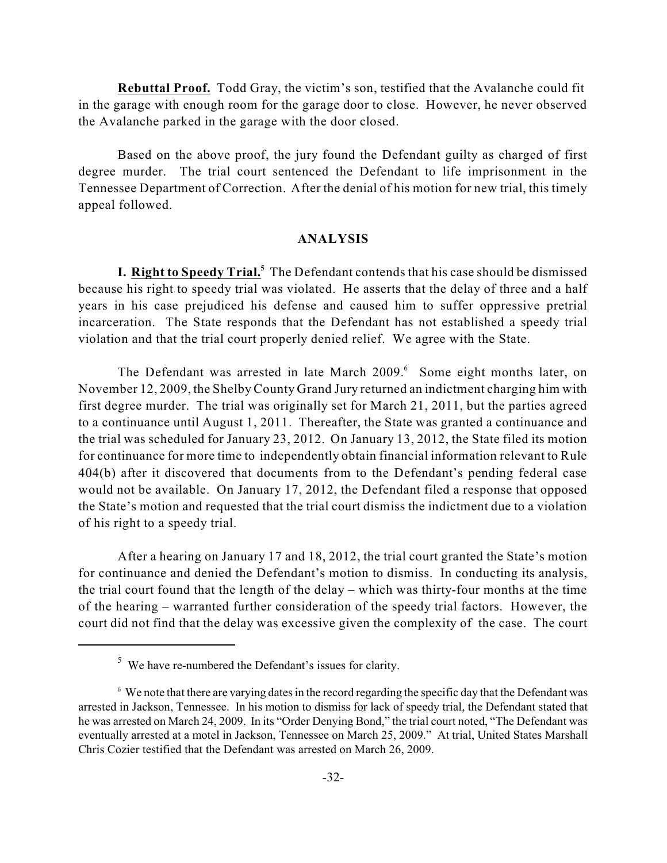**Rebuttal Proof.** Todd Gray, the victim's son, testified that the Avalanche could fit in the garage with enough room for the garage door to close. However, he never observed the Avalanche parked in the garage with the door closed.

Based on the above proof, the jury found the Defendant guilty as charged of first degree murder. The trial court sentenced the Defendant to life imprisonment in the Tennessee Department of Correction. After the denial of his motion for new trial, this timely appeal followed.

#### **ANALYSIS**

**I. Right to Speedy Trial.**<sup>5</sup> The Defendant contends that his case should be dismissed because his right to speedy trial was violated. He asserts that the delay of three and a half years in his case prejudiced his defense and caused him to suffer oppressive pretrial incarceration. The State responds that the Defendant has not established a speedy trial violation and that the trial court properly denied relief. We agree with the State.

The Defendant was arrested in late March 2009.<sup>6</sup> Some eight months later, on November 12, 2009, the Shelby County Grand Jury returned an indictment charging him with first degree murder. The trial was originally set for March 21, 2011, but the parties agreed to a continuance until August 1, 2011. Thereafter, the State was granted a continuance and the trial was scheduled for January 23, 2012. On January 13, 2012, the State filed its motion for continuance for more time to independently obtain financial information relevant to Rule 404(b) after it discovered that documents from to the Defendant's pending federal case would not be available. On January 17, 2012, the Defendant filed a response that opposed the State's motion and requested that the trial court dismiss the indictment due to a violation of his right to a speedy trial.

After a hearing on January 17 and 18, 2012, the trial court granted the State's motion for continuance and denied the Defendant's motion to dismiss. In conducting its analysis, the trial court found that the length of the delay – which was thirty-four months at the time of the hearing – warranted further consideration of the speedy trial factors. However, the court did not find that the delay was excessive given the complexity of the case. The court

 $5$  We have re-numbered the Defendant's issues for clarity.

 $\delta$  We note that there are varying dates in the record regarding the specific day that the Defendant was arrested in Jackson, Tennessee. In his motion to dismiss for lack of speedy trial, the Defendant stated that he was arrested on March 24, 2009. In its "Order Denying Bond," the trial court noted, "The Defendant was eventually arrested at a motel in Jackson, Tennessee on March 25, 2009." At trial, United States Marshall Chris Cozier testified that the Defendant was arrested on March 26, 2009.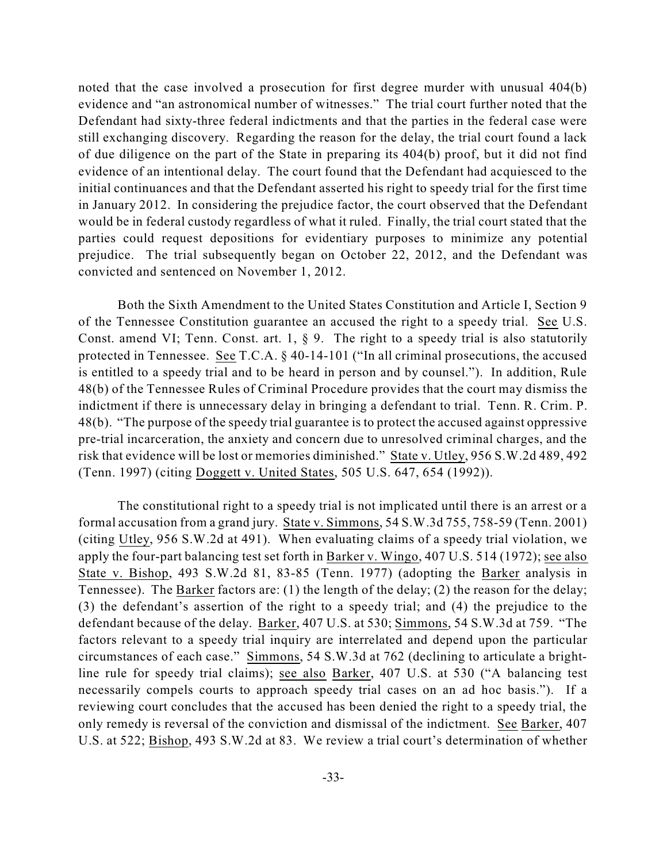noted that the case involved a prosecution for first degree murder with unusual 404(b) evidence and "an astronomical number of witnesses." The trial court further noted that the Defendant had sixty-three federal indictments and that the parties in the federal case were still exchanging discovery. Regarding the reason for the delay, the trial court found a lack of due diligence on the part of the State in preparing its 404(b) proof, but it did not find evidence of an intentional delay. The court found that the Defendant had acquiesced to the initial continuances and that the Defendant asserted his right to speedy trial for the first time in January 2012. In considering the prejudice factor, the court observed that the Defendant would be in federal custody regardless of what it ruled. Finally, the trial court stated that the parties could request depositions for evidentiary purposes to minimize any potential prejudice. The trial subsequently began on October 22, 2012, and the Defendant was convicted and sentenced on November 1, 2012.

Both the Sixth Amendment to the United States Constitution and Article I, Section 9 of the Tennessee Constitution guarantee an accused the right to a speedy trial. See U.S. Const. amend VI; Tenn. Const. art. 1,  $\S$  9. The right to a speedy trial is also statutorily protected in Tennessee. See T.C.A. § 40-14-101 ("In all criminal prosecutions, the accused is entitled to a speedy trial and to be heard in person and by counsel."). In addition, Rule 48(b) of the Tennessee Rules of Criminal Procedure provides that the court may dismiss the indictment if there is unnecessary delay in bringing a defendant to trial. Tenn. R. Crim. P. 48(b). "The purpose of the speedy trial guarantee is to protect the accused against oppressive pre-trial incarceration, the anxiety and concern due to unresolved criminal charges, and the risk that evidence will be lost or memories diminished." State v. Utley, 956 S.W.2d 489, 492 (Tenn. 1997) (citing Doggett v. United States, 505 U.S. 647, 654 (1992)).

The constitutional right to a speedy trial is not implicated until there is an arrest or a formal accusation from a grand jury. State v. Simmons, 54 S.W.3d 755, 758-59 (Tenn. 2001) (citing Utley, 956 S.W.2d at 491). When evaluating claims of a speedy trial violation, we apply the four-part balancing test set forth in Barker v. Wingo, 407 U.S. 514 (1972); see also State v. Bishop, 493 S.W.2d 81, 83-85 (Tenn. 1977) (adopting the Barker analysis in Tennessee). The Barker factors are: (1) the length of the delay; (2) the reason for the delay; (3) the defendant's assertion of the right to a speedy trial; and (4) the prejudice to the defendant because of the delay. Barker, 407 U.S. at 530; Simmons, 54 S.W.3d at 759. "The factors relevant to a speedy trial inquiry are interrelated and depend upon the particular circumstances of each case." Simmons, 54 S.W.3d at 762 (declining to articulate a brightline rule for speedy trial claims); see also Barker, 407 U.S. at 530 ("A balancing test necessarily compels courts to approach speedy trial cases on an ad hoc basis."). If a reviewing court concludes that the accused has been denied the right to a speedy trial, the only remedy is reversal of the conviction and dismissal of the indictment. See Barker, 407 U.S. at 522; Bishop, 493 S.W.2d at 83. We review a trial court's determination of whether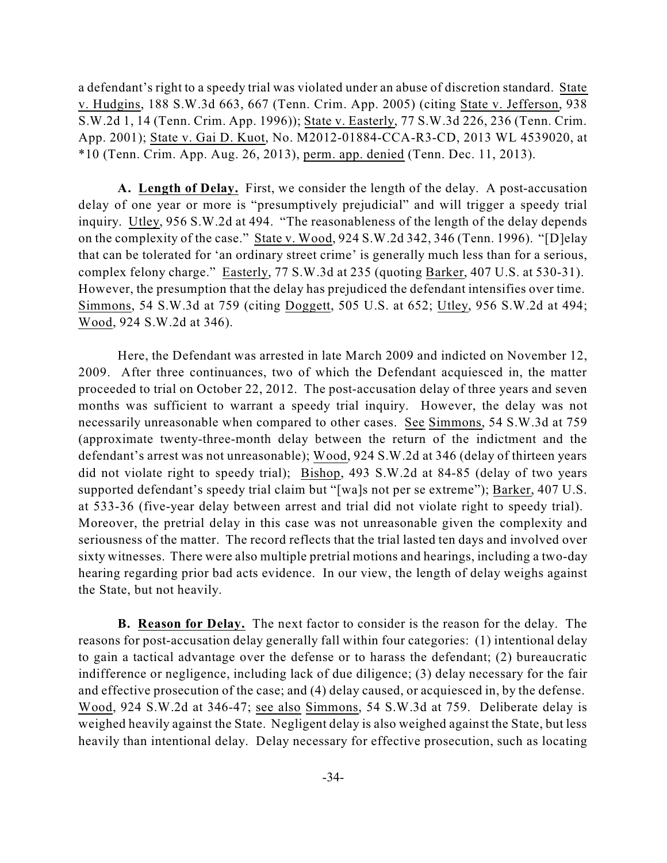a defendant's right to a speedy trial was violated under an abuse of discretion standard. State v. Hudgins, 188 S.W.3d 663, 667 (Tenn. Crim. App. 2005) (citing State v. Jefferson, 938 S.W.2d 1, 14 (Tenn. Crim. App. 1996)); State v. Easterly, 77 S.W.3d 226, 236 (Tenn. Crim. App. 2001); State v. Gai D. Kuot, No. M2012-01884-CCA-R3-CD, 2013 WL 4539020, at \*10 (Tenn. Crim. App. Aug. 26, 2013), perm. app. denied (Tenn. Dec. 11, 2013).

**A. Length of Delay.** First, we consider the length of the delay. A post-accusation delay of one year or more is "presumptively prejudicial" and will trigger a speedy trial inquiry. Utley, 956 S.W.2d at 494. "The reasonableness of the length of the delay depends on the complexity of the case." State v. Wood, 924 S.W.2d 342, 346 (Tenn. 1996). "[D]elay that can be tolerated for 'an ordinary street crime' is generally much less than for a serious, complex felony charge." Easterly, 77 S.W.3d at 235 (quoting Barker, 407 U.S. at 530-31). However, the presumption that the delay has prejudiced the defendant intensifies over time. Simmons, 54 S.W.3d at 759 (citing Doggett, 505 U.S. at 652; Utley, 956 S.W.2d at 494; Wood, 924 S.W.2d at 346).

Here, the Defendant was arrested in late March 2009 and indicted on November 12, 2009. After three continuances, two of which the Defendant acquiesced in, the matter proceeded to trial on October 22, 2012. The post-accusation delay of three years and seven months was sufficient to warrant a speedy trial inquiry. However, the delay was not necessarily unreasonable when compared to other cases. See Simmons, 54 S.W.3d at 759 (approximate twenty-three-month delay between the return of the indictment and the defendant's arrest was not unreasonable); Wood, 924 S.W.2d at 346 (delay of thirteen years did not violate right to speedy trial); Bishop, 493 S.W.2d at 84-85 (delay of two years supported defendant's speedy trial claim but "[wa]s not per se extreme"); Barker, 407 U.S. at 533-36 (five-year delay between arrest and trial did not violate right to speedy trial). Moreover, the pretrial delay in this case was not unreasonable given the complexity and seriousness of the matter. The record reflects that the trial lasted ten days and involved over sixty witnesses. There were also multiple pretrial motions and hearings, including a two-day hearing regarding prior bad acts evidence. In our view, the length of delay weighs against the State, but not heavily.

**B. Reason for Delay.** The next factor to consider is the reason for the delay. The reasons for post-accusation delay generally fall within four categories: (1) intentional delay to gain a tactical advantage over the defense or to harass the defendant; (2) bureaucratic indifference or negligence, including lack of due diligence; (3) delay necessary for the fair and effective prosecution of the case; and (4) delay caused, or acquiesced in, by the defense. Wood, 924 S.W.2d at 346-47; see also Simmons, 54 S.W.3d at 759. Deliberate delay is weighed heavily against the State. Negligent delay is also weighed against the State, but less heavily than intentional delay. Delay necessary for effective prosecution, such as locating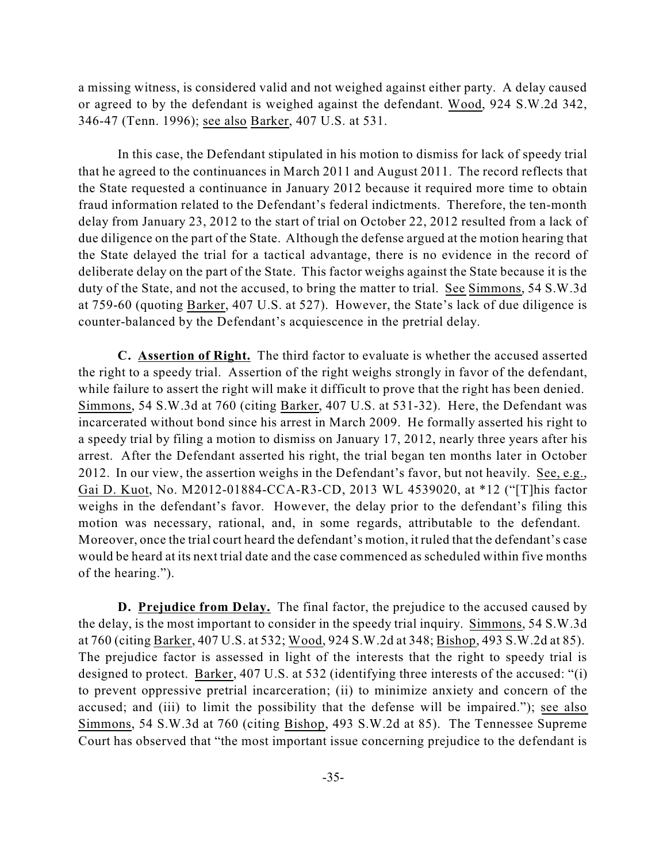a missing witness, is considered valid and not weighed against either party. A delay caused or agreed to by the defendant is weighed against the defendant. Wood, 924 S.W.2d 342, 346-47 (Tenn. 1996); see also Barker, 407 U.S. at 531.

In this case, the Defendant stipulated in his motion to dismiss for lack of speedy trial that he agreed to the continuances in March 2011 and August 2011. The record reflects that the State requested a continuance in January 2012 because it required more time to obtain fraud information related to the Defendant's federal indictments. Therefore, the ten-month delay from January 23, 2012 to the start of trial on October 22, 2012 resulted from a lack of due diligence on the part of the State. Although the defense argued at the motion hearing that the State delayed the trial for a tactical advantage, there is no evidence in the record of deliberate delay on the part of the State. This factor weighs against the State because it is the duty of the State, and not the accused, to bring the matter to trial. See Simmons, 54 S.W.3d at 759-60 (quoting Barker, 407 U.S. at 527). However, the State's lack of due diligence is counter-balanced by the Defendant's acquiescence in the pretrial delay.

**C. Assertion of Right.** The third factor to evaluate is whether the accused asserted the right to a speedy trial. Assertion of the right weighs strongly in favor of the defendant, while failure to assert the right will make it difficult to prove that the right has been denied. Simmons, 54 S.W.3d at 760 (citing Barker, 407 U.S. at 531-32). Here, the Defendant was incarcerated without bond since his arrest in March 2009. He formally asserted his right to a speedy trial by filing a motion to dismiss on January 17, 2012, nearly three years after his arrest. After the Defendant asserted his right, the trial began ten months later in October 2012. In our view, the assertion weighs in the Defendant's favor, but not heavily. See, e.g., Gai D. Kuot, No. M2012-01884-CCA-R3-CD, 2013 WL 4539020, at \*12 ("[T]his factor weighs in the defendant's favor. However, the delay prior to the defendant's filing this motion was necessary, rational, and, in some regards, attributable to the defendant. Moreover, once the trial court heard the defendant's motion, it ruled that the defendant's case would be heard at its next trial date and the case commenced as scheduled within five months of the hearing.").

**D. Prejudice from Delay.** The final factor, the prejudice to the accused caused by the delay, is the most important to consider in the speedy trial inquiry. Simmons, 54 S.W.3d at 760 (citing Barker, 407 U.S. at 532; Wood, 924 S.W.2d at 348; Bishop, 493 S.W.2d at 85). The prejudice factor is assessed in light of the interests that the right to speedy trial is designed to protect. Barker, 407 U.S. at 532 (identifying three interests of the accused: "(i) to prevent oppressive pretrial incarceration; (ii) to minimize anxiety and concern of the accused; and (iii) to limit the possibility that the defense will be impaired."); see also Simmons, 54 S.W.3d at 760 (citing Bishop, 493 S.W.2d at 85). The Tennessee Supreme Court has observed that "the most important issue concerning prejudice to the defendant is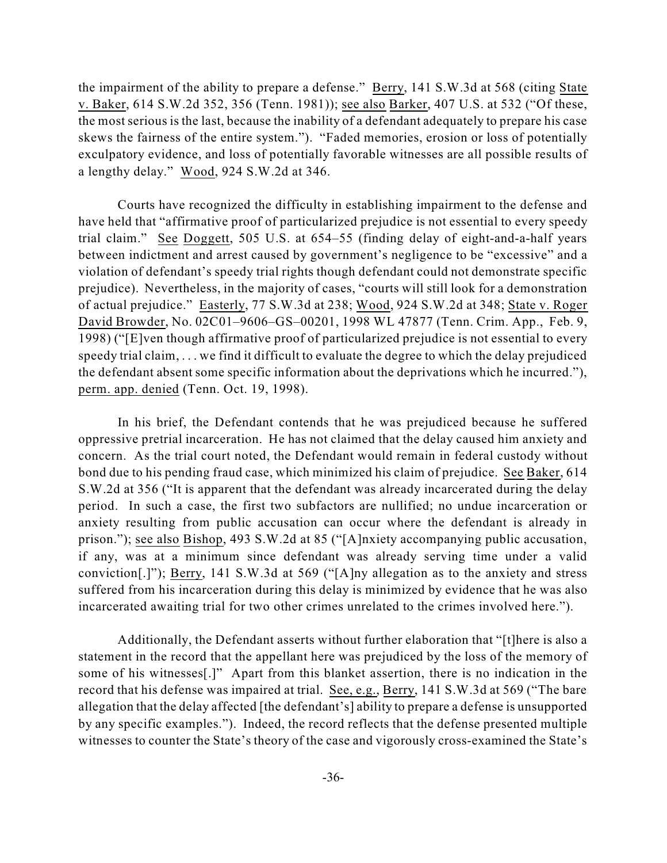the impairment of the ability to prepare a defense." Berry, 141 S.W.3d at 568 (citing State v. Baker, 614 S.W.2d 352, 356 (Tenn. 1981)); see also Barker, 407 U.S. at 532 ("Of these, the most serious is the last, because the inability of a defendant adequately to prepare his case skews the fairness of the entire system."). "Faded memories, erosion or loss of potentially exculpatory evidence, and loss of potentially favorable witnesses are all possible results of a lengthy delay." Wood, 924 S.W.2d at 346.

Courts have recognized the difficulty in establishing impairment to the defense and have held that "affirmative proof of particularized prejudice is not essential to every speedy trial claim." See Doggett, 505 U.S. at 654–55 (finding delay of eight-and-a-half years between indictment and arrest caused by government's negligence to be "excessive" and a violation of defendant's speedy trial rights though defendant could not demonstrate specific prejudice). Nevertheless, in the majority of cases, "courts will still look for a demonstration of actual prejudice." Easterly, 77 S.W.3d at 238; Wood, 924 S.W.2d at 348; State v. Roger David Browder, No. 02C01–9606–GS–00201, 1998 WL 47877 (Tenn. Crim. App., Feb. 9, 1998) ("[E]ven though affirmative proof of particularized prejudice is not essential to every speedy trial claim, . . . we find it difficult to evaluate the degree to which the delay prejudiced the defendant absent some specific information about the deprivations which he incurred."), perm. app. denied (Tenn. Oct. 19, 1998).

In his brief, the Defendant contends that he was prejudiced because he suffered oppressive pretrial incarceration. He has not claimed that the delay caused him anxiety and concern. As the trial court noted, the Defendant would remain in federal custody without bond due to his pending fraud case, which minimized his claim of prejudice. See Baker, 614 S.W.2d at 356 ("It is apparent that the defendant was already incarcerated during the delay period. In such a case, the first two subfactors are nullified; no undue incarceration or anxiety resulting from public accusation can occur where the defendant is already in prison."); see also Bishop, 493 S.W.2d at 85 ("[A]nxiety accompanying public accusation, if any, was at a minimum since defendant was already serving time under a valid conviction[.]"); Berry, 141 S.W.3d at 569 ("[A]ny allegation as to the anxiety and stress suffered from his incarceration during this delay is minimized by evidence that he was also incarcerated awaiting trial for two other crimes unrelated to the crimes involved here.").

Additionally, the Defendant asserts without further elaboration that "[t]here is also a statement in the record that the appellant here was prejudiced by the loss of the memory of some of his witnesses[.]" Apart from this blanket assertion, there is no indication in the record that his defense was impaired at trial. See, e.g., Berry, 141 S.W.3d at 569 ("The bare allegation that the delay affected [the defendant's] ability to prepare a defense is unsupported by any specific examples."). Indeed, the record reflects that the defense presented multiple witnesses to counter the State's theory of the case and vigorously cross-examined the State's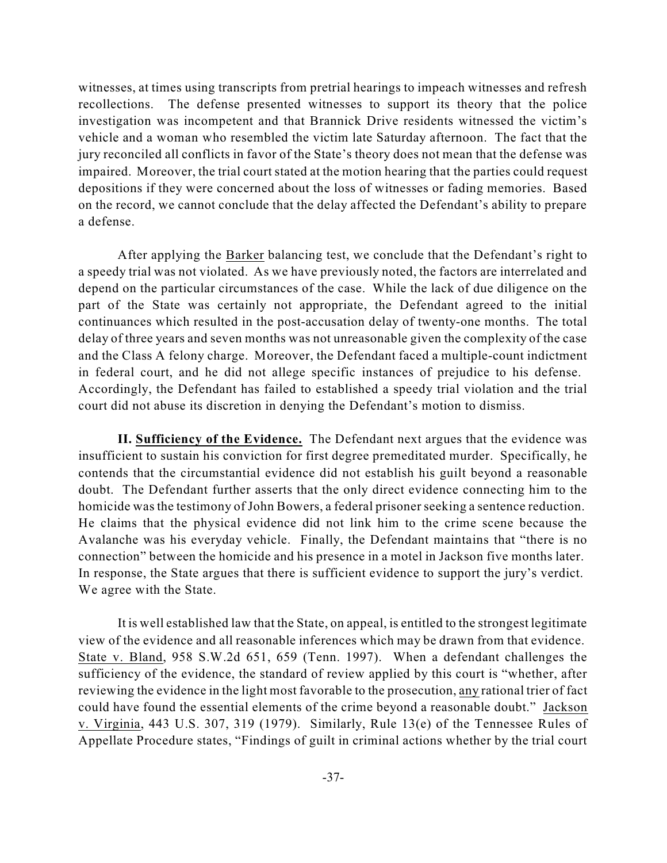witnesses, at times using transcripts from pretrial hearings to impeach witnesses and refresh recollections. The defense presented witnesses to support its theory that the police investigation was incompetent and that Brannick Drive residents witnessed the victim's vehicle and a woman who resembled the victim late Saturday afternoon. The fact that the jury reconciled all conflicts in favor of the State's theory does not mean that the defense was impaired. Moreover, the trial court stated at the motion hearing that the parties could request depositions if they were concerned about the loss of witnesses or fading memories. Based on the record, we cannot conclude that the delay affected the Defendant's ability to prepare a defense.

After applying the Barker balancing test, we conclude that the Defendant's right to a speedy trial was not violated. As we have previously noted, the factors are interrelated and depend on the particular circumstances of the case. While the lack of due diligence on the part of the State was certainly not appropriate, the Defendant agreed to the initial continuances which resulted in the post-accusation delay of twenty-one months. The total delay of three years and seven months was not unreasonable given the complexity of the case and the Class A felony charge. Moreover, the Defendant faced a multiple-count indictment in federal court, and he did not allege specific instances of prejudice to his defense. Accordingly, the Defendant has failed to established a speedy trial violation and the trial court did not abuse its discretion in denying the Defendant's motion to dismiss.

**II. Sufficiency of the Evidence.** The Defendant next argues that the evidence was insufficient to sustain his conviction for first degree premeditated murder. Specifically, he contends that the circumstantial evidence did not establish his guilt beyond a reasonable doubt. The Defendant further asserts that the only direct evidence connecting him to the homicide was the testimony of John Bowers, a federal prisoner seeking a sentence reduction. He claims that the physical evidence did not link him to the crime scene because the Avalanche was his everyday vehicle. Finally, the Defendant maintains that "there is no connection" between the homicide and his presence in a motel in Jackson five months later. In response, the State argues that there is sufficient evidence to support the jury's verdict. We agree with the State.

It is well established law that the State, on appeal, is entitled to the strongest legitimate view of the evidence and all reasonable inferences which may be drawn from that evidence. State v. Bland, 958 S.W.2d 651, 659 (Tenn. 1997). When a defendant challenges the sufficiency of the evidence, the standard of review applied by this court is "whether, after reviewing the evidence in the light most favorable to the prosecution, any rational trier of fact could have found the essential elements of the crime beyond a reasonable doubt." Jackson v. Virginia, 443 U.S. 307, 319 (1979). Similarly, Rule 13(e) of the Tennessee Rules of Appellate Procedure states, "Findings of guilt in criminal actions whether by the trial court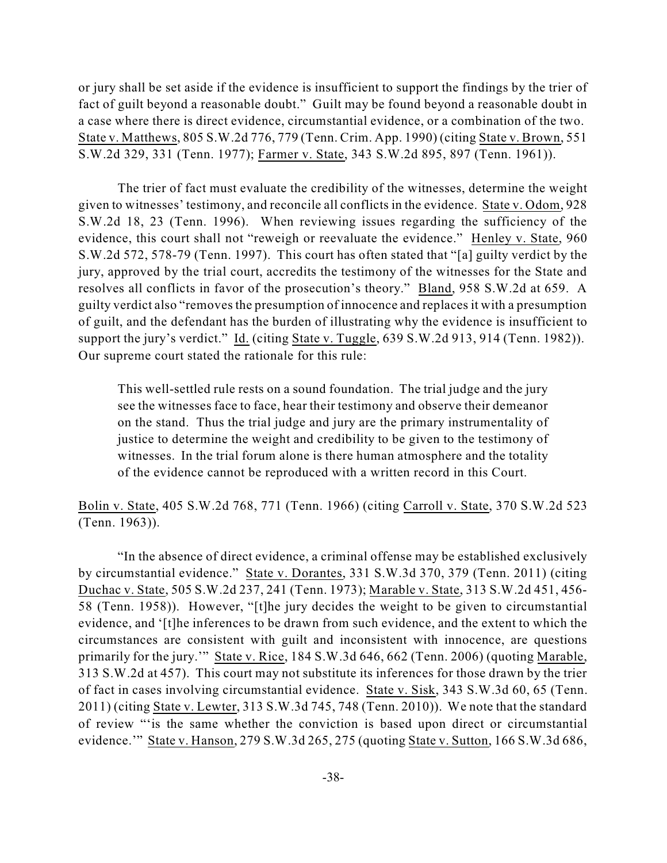or jury shall be set aside if the evidence is insufficient to support the findings by the trier of fact of guilt beyond a reasonable doubt." Guilt may be found beyond a reasonable doubt in a case where there is direct evidence, circumstantial evidence, or a combination of the two. State v. Matthews, 805 S.W.2d 776, 779 (Tenn. Crim. App. 1990) (citing State v. Brown, 551 S.W.2d 329, 331 (Tenn. 1977); Farmer v. State, 343 S.W.2d 895, 897 (Tenn. 1961)).

The trier of fact must evaluate the credibility of the witnesses, determine the weight given to witnesses' testimony, and reconcile all conflicts in the evidence. State v. Odom, 928 S.W.2d 18, 23 (Tenn. 1996). When reviewing issues regarding the sufficiency of the evidence, this court shall not "reweigh or reevaluate the evidence." Henley v. State, 960 S.W.2d 572, 578-79 (Tenn. 1997). This court has often stated that "[a] guilty verdict by the jury, approved by the trial court, accredits the testimony of the witnesses for the State and resolves all conflicts in favor of the prosecution's theory." Bland, 958 S.W.2d at 659. A guilty verdict also "removesthe presumption of innocence and replaces it with a presumption of guilt, and the defendant has the burden of illustrating why the evidence is insufficient to support the jury's verdict." Id. (citing State v. Tuggle, 639 S.W.2d 913, 914 (Tenn. 1982)). Our supreme court stated the rationale for this rule:

This well-settled rule rests on a sound foundation. The trial judge and the jury see the witnesses face to face, hear their testimony and observe their demeanor on the stand. Thus the trial judge and jury are the primary instrumentality of justice to determine the weight and credibility to be given to the testimony of witnesses. In the trial forum alone is there human atmosphere and the totality of the evidence cannot be reproduced with a written record in this Court.

Bolin v. State, 405 S.W.2d 768, 771 (Tenn. 1966) (citing Carroll v. State, 370 S.W.2d 523 (Tenn. 1963)).

"In the absence of direct evidence, a criminal offense may be established exclusively by circumstantial evidence." State v. Dorantes, 331 S.W.3d 370, 379 (Tenn. 2011) (citing Duchac v. State, 505 S.W.2d 237, 241 (Tenn. 1973); Marable v. State, 313 S.W.2d 451, 456- 58 (Tenn. 1958)). However, "[t]he jury decides the weight to be given to circumstantial evidence, and '[t]he inferences to be drawn from such evidence, and the extent to which the circumstances are consistent with guilt and inconsistent with innocence, are questions primarily for the jury.'" State v. Rice, 184 S.W.3d 646, 662 (Tenn. 2006) (quoting Marable, 313 S.W.2d at 457). This court may not substitute its inferences for those drawn by the trier of fact in cases involving circumstantial evidence. State v. Sisk, 343 S.W.3d 60, 65 (Tenn. 2011) (citing State v. Lewter, 313 S.W.3d 745, 748 (Tenn. 2010)). We note that the standard of review "'is the same whether the conviction is based upon direct or circumstantial evidence.'" State v. Hanson, 279 S.W.3d 265, 275 (quoting State v. Sutton, 166 S.W.3d 686,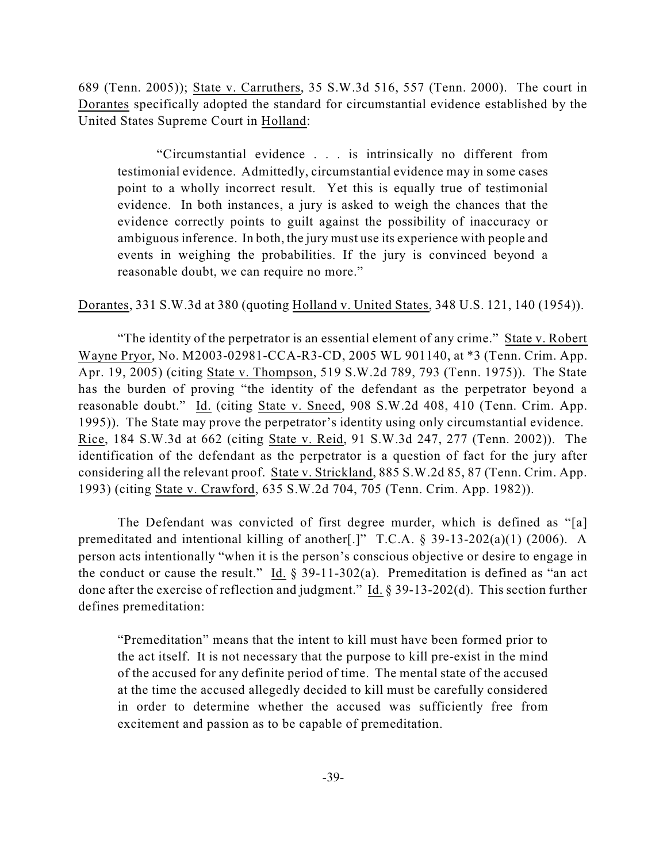689 (Tenn. 2005)); State v. Carruthers, 35 S.W.3d 516, 557 (Tenn. 2000). The court in Dorantes specifically adopted the standard for circumstantial evidence established by the United States Supreme Court in Holland:

"Circumstantial evidence . . . is intrinsically no different from testimonial evidence. Admittedly, circumstantial evidence may in some cases point to a wholly incorrect result. Yet this is equally true of testimonial evidence. In both instances, a jury is asked to weigh the chances that the evidence correctly points to guilt against the possibility of inaccuracy or ambiguous inference. In both, the jury must use its experience with people and events in weighing the probabilities. If the jury is convinced beyond a reasonable doubt, we can require no more."

Dorantes, 331 S.W.3d at 380 (quoting Holland v. United States, 348 U.S. 121, 140 (1954)).

"The identity of the perpetrator is an essential element of any crime." State v. Robert Wayne Pryor, No. M2003-02981-CCA-R3-CD, 2005 WL 901140, at \*3 (Tenn. Crim. App. Apr. 19, 2005) (citing State v. Thompson, 519 S.W.2d 789, 793 (Tenn. 1975)). The State has the burden of proving "the identity of the defendant as the perpetrator beyond a reasonable doubt." Id. (citing State v. Sneed, 908 S.W.2d 408, 410 (Tenn. Crim. App. 1995)). The State may prove the perpetrator's identity using only circumstantial evidence. Rice, 184 S.W.3d at 662 (citing State v. Reid, 91 S.W.3d 247, 277 (Tenn. 2002)). The identification of the defendant as the perpetrator is a question of fact for the jury after considering all the relevant proof. State v. Strickland, 885 S.W.2d 85, 87 (Tenn. Crim. App. 1993) (citing State v. Crawford, 635 S.W.2d 704, 705 (Tenn. Crim. App. 1982)).

The Defendant was convicted of first degree murder, which is defined as "[a] premeditated and intentional killing of another[.]" T.C.A. § 39-13-202(a)(1) (2006). A person acts intentionally "when it is the person's conscious objective or desire to engage in the conduct or cause the result." Id.  $\S$  39-11-302(a). Premeditation is defined as "an act done after the exercise of reflection and judgment." Id. § 39-13-202(d). This section further defines premeditation:

"Premeditation" means that the intent to kill must have been formed prior to the act itself. It is not necessary that the purpose to kill pre-exist in the mind of the accused for any definite period of time. The mental state of the accused at the time the accused allegedly decided to kill must be carefully considered in order to determine whether the accused was sufficiently free from excitement and passion as to be capable of premeditation.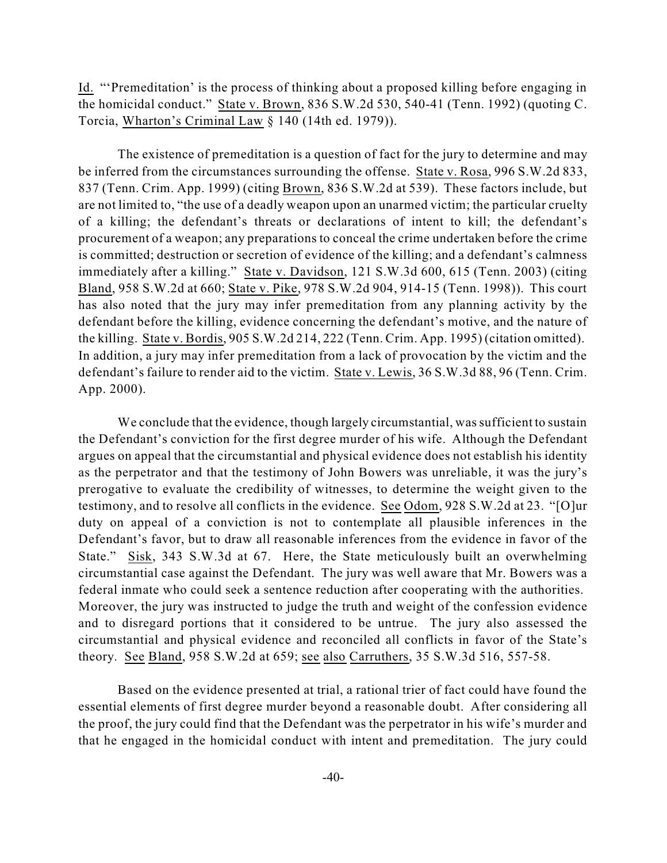Id. "'Premeditation' is the process of thinking about a proposed killing before engaging in the homicidal conduct." State v. Brown, 836 S.W.2d 530, 540-41 (Tenn. 1992) (quoting C. Torcia, Wharton's Criminal Law § 140 (14th ed. 1979)).

The existence of premeditation is a question of fact for the jury to determine and may be inferred from the circumstances surrounding the offense. State v. Rosa, 996 S.W.2d 833, 837 (Tenn. Crim. App. 1999) (citing Brown, 836 S.W.2d at 539). These factors include, but are not limited to, "the use of a deadly weapon upon an unarmed victim; the particular cruelty of a killing; the defendant's threats or declarations of intent to kill; the defendant's procurement of a weapon; any preparations to conceal the crime undertaken before the crime is committed; destruction or secretion of evidence of the killing; and a defendant's calmness immediately after a killing." State v. Davidson, 121 S.W.3d 600, 615 (Tenn. 2003) (citing Bland, 958 S.W.2d at 660; State v. Pike, 978 S.W.2d 904, 914-15 (Tenn. 1998)). This court has also noted that the jury may infer premeditation from any planning activity by the defendant before the killing, evidence concerning the defendant's motive, and the nature of the killing. State v. Bordis, 905 S.W.2d 214, 222 (Tenn. Crim. App. 1995) (citation omitted). In addition, a jury may infer premeditation from a lack of provocation by the victim and the defendant's failure to render aid to the victim. State v. Lewis, 36 S.W.3d 88, 96 (Tenn. Crim. App. 2000).

We conclude that the evidence, though largely circumstantial, was sufficient to sustain the Defendant's conviction for the first degree murder of his wife. Although the Defendant argues on appeal that the circumstantial and physical evidence does not establish his identity as the perpetrator and that the testimony of John Bowers was unreliable, it was the jury's prerogative to evaluate the credibility of witnesses, to determine the weight given to the testimony, and to resolve all conflicts in the evidence. See Odom, 928 S.W.2d at 23. "[O]ur duty on appeal of a conviction is not to contemplate all plausible inferences in the Defendant's favor, but to draw all reasonable inferences from the evidence in favor of the State." Sisk, 343 S.W.3d at 67. Here, the State meticulously built an overwhelming circumstantial case against the Defendant. The jury was well aware that Mr. Bowers was a federal inmate who could seek a sentence reduction after cooperating with the authorities. Moreover, the jury was instructed to judge the truth and weight of the confession evidence and to disregard portions that it considered to be untrue. The jury also assessed the circumstantial and physical evidence and reconciled all conflicts in favor of the State's theory. See Bland, 958 S.W.2d at 659; see also Carruthers, 35 S.W.3d 516, 557-58.

Based on the evidence presented at trial, a rational trier of fact could have found the essential elements of first degree murder beyond a reasonable doubt. After considering all the proof, the jury could find that the Defendant was the perpetrator in his wife's murder and that he engaged in the homicidal conduct with intent and premeditation. The jury could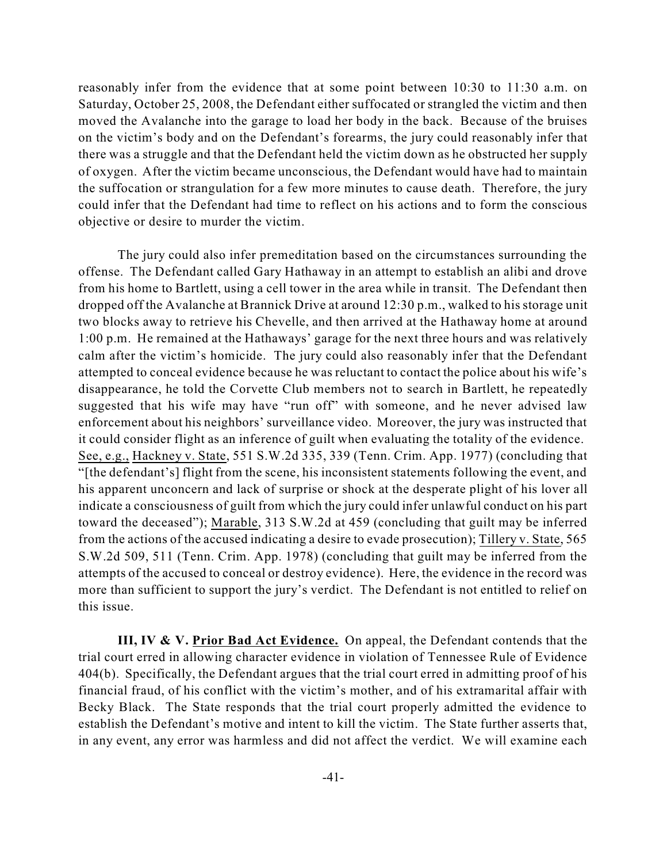reasonably infer from the evidence that at some point between 10:30 to 11:30 a.m. on Saturday, October 25, 2008, the Defendant either suffocated or strangled the victim and then moved the Avalanche into the garage to load her body in the back. Because of the bruises on the victim's body and on the Defendant's forearms, the jury could reasonably infer that there was a struggle and that the Defendant held the victim down as he obstructed her supply of oxygen. After the victim became unconscious, the Defendant would have had to maintain the suffocation or strangulation for a few more minutes to cause death. Therefore, the jury could infer that the Defendant had time to reflect on his actions and to form the conscious objective or desire to murder the victim.

The jury could also infer premeditation based on the circumstances surrounding the offense. The Defendant called Gary Hathaway in an attempt to establish an alibi and drove from his home to Bartlett, using a cell tower in the area while in transit. The Defendant then dropped off the Avalanche at Brannick Drive at around 12:30 p.m., walked to his storage unit two blocks away to retrieve his Chevelle, and then arrived at the Hathaway home at around 1:00 p.m. He remained at the Hathaways' garage for the next three hours and was relatively calm after the victim's homicide. The jury could also reasonably infer that the Defendant attempted to conceal evidence because he was reluctant to contact the police about his wife's disappearance, he told the Corvette Club members not to search in Bartlett, he repeatedly suggested that his wife may have "run off" with someone, and he never advised law enforcement about his neighbors' surveillance video. Moreover, the jury was instructed that it could consider flight as an inference of guilt when evaluating the totality of the evidence. See, e.g., Hackney v. State, 551 S.W.2d 335, 339 (Tenn. Crim. App. 1977) (concluding that "[the defendant's] flight from the scene, his inconsistent statements following the event, and his apparent unconcern and lack of surprise or shock at the desperate plight of his lover all indicate a consciousness of guilt from which the jury could infer unlawful conduct on his part toward the deceased"); Marable, 313 S.W.2d at 459 (concluding that guilt may be inferred from the actions of the accused indicating a desire to evade prosecution); Tillery v. State, 565 S.W.2d 509, 511 (Tenn. Crim. App. 1978) (concluding that guilt may be inferred from the attempts of the accused to conceal or destroy evidence). Here, the evidence in the record was more than sufficient to support the jury's verdict. The Defendant is not entitled to relief on this issue.

**III, IV & V. Prior Bad Act Evidence.** On appeal, the Defendant contends that the trial court erred in allowing character evidence in violation of Tennessee Rule of Evidence 404(b). Specifically, the Defendant argues that the trial court erred in admitting proof of his financial fraud, of his conflict with the victim's mother, and of his extramarital affair with Becky Black. The State responds that the trial court properly admitted the evidence to establish the Defendant's motive and intent to kill the victim. The State further asserts that, in any event, any error was harmless and did not affect the verdict. We will examine each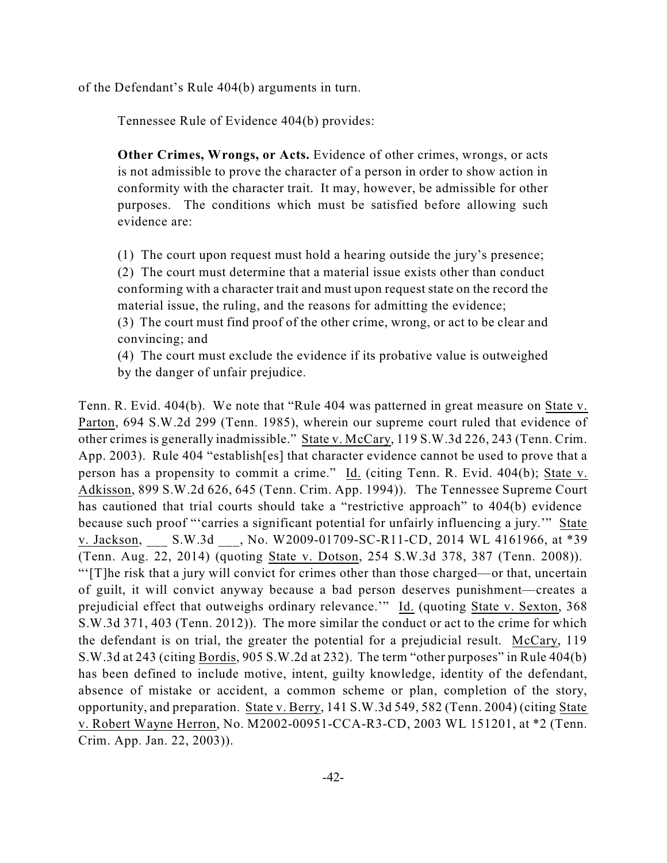of the Defendant's Rule 404(b) arguments in turn.

Tennessee Rule of Evidence 404(b) provides:

**Other Crimes, Wrongs, or Acts.** Evidence of other crimes, wrongs, or acts is not admissible to prove the character of a person in order to show action in conformity with the character trait. It may, however, be admissible for other purposes. The conditions which must be satisfied before allowing such evidence are:

(1) The court upon request must hold a hearing outside the jury's presence; (2) The court must determine that a material issue exists other than conduct conforming with a character trait and must upon request state on the record the material issue, the ruling, and the reasons for admitting the evidence;

(3) The court must find proof of the other crime, wrong, or act to be clear and convincing; and

(4) The court must exclude the evidence if its probative value is outweighed by the danger of unfair prejudice.

Tenn. R. Evid. 404(b). We note that "Rule 404 was patterned in great measure on State v. Parton, 694 S.W.2d 299 (Tenn. 1985), wherein our supreme court ruled that evidence of other crimes is generally inadmissible." State v. McCary, 119 S.W.3d 226, 243 (Tenn. Crim. App. 2003). Rule 404 "establish[es] that character evidence cannot be used to prove that a person has a propensity to commit a crime." Id. (citing Tenn. R. Evid. 404(b); State v. Adkisson, 899 S.W.2d 626, 645 (Tenn. Crim. App. 1994)). The Tennessee Supreme Court has cautioned that trial courts should take a "restrictive approach" to 404(b) evidence because such proof "'carries a significant potential for unfairly influencing a jury.'" State v. Jackson, S.W.3d , No. W2009-01709-SC-R11-CD, 2014 WL 4161966, at \*39 (Tenn. Aug. 22, 2014) (quoting State v. Dotson, 254 S.W.3d 378, 387 (Tenn. 2008)). "'[T]he risk that a jury will convict for crimes other than those charged—or that, uncertain of guilt, it will convict anyway because a bad person deserves punishment—creates a prejudicial effect that outweighs ordinary relevance.'" Id. (quoting State v. Sexton, 368 S.W.3d 371, 403 (Tenn. 2012)). The more similar the conduct or act to the crime for which the defendant is on trial, the greater the potential for a prejudicial result. McCary, 119 S.W.3d at 243 (citing Bordis, 905 S.W.2d at 232). The term "other purposes" in Rule 404(b) has been defined to include motive, intent, guilty knowledge, identity of the defendant, absence of mistake or accident, a common scheme or plan, completion of the story, opportunity, and preparation. State v. Berry, 141 S.W.3d 549, 582 (Tenn. 2004) (citing State v. Robert Wayne Herron, No. M2002-00951-CCA-R3-CD, 2003 WL 151201, at \*2 (Tenn. Crim. App. Jan. 22, 2003)).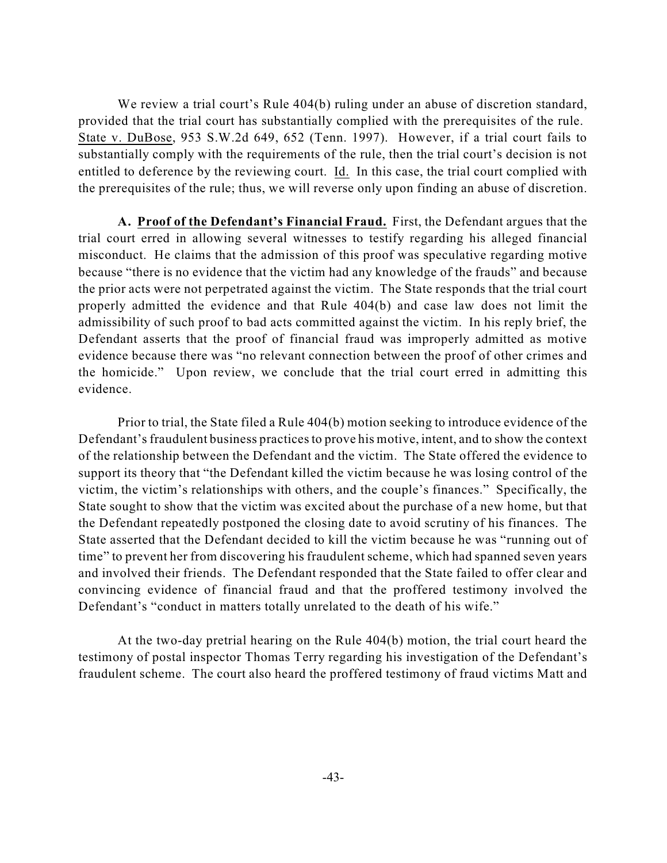We review a trial court's Rule 404(b) ruling under an abuse of discretion standard, provided that the trial court has substantially complied with the prerequisites of the rule. State v. DuBose, 953 S.W.2d 649, 652 (Tenn. 1997). However, if a trial court fails to substantially comply with the requirements of the rule, then the trial court's decision is not entitled to deference by the reviewing court. Id. In this case, the trial court complied with the prerequisites of the rule; thus, we will reverse only upon finding an abuse of discretion.

**A. Proof of the Defendant's Financial Fraud.** First, the Defendant argues that the trial court erred in allowing several witnesses to testify regarding his alleged financial misconduct. He claims that the admission of this proof was speculative regarding motive because "there is no evidence that the victim had any knowledge of the frauds" and because the prior acts were not perpetrated against the victim. The State responds that the trial court properly admitted the evidence and that Rule 404(b) and case law does not limit the admissibility of such proof to bad acts committed against the victim. In his reply brief, the Defendant asserts that the proof of financial fraud was improperly admitted as motive evidence because there was "no relevant connection between the proof of other crimes and the homicide." Upon review, we conclude that the trial court erred in admitting this evidence.

Prior to trial, the State filed a Rule 404(b) motion seeking to introduce evidence of the Defendant's fraudulent business practices to prove his motive, intent, and to show the context of the relationship between the Defendant and the victim. The State offered the evidence to support its theory that "the Defendant killed the victim because he was losing control of the victim, the victim's relationships with others, and the couple's finances." Specifically, the State sought to show that the victim was excited about the purchase of a new home, but that the Defendant repeatedly postponed the closing date to avoid scrutiny of his finances. The State asserted that the Defendant decided to kill the victim because he was "running out of time" to prevent her from discovering his fraudulent scheme, which had spanned seven years and involved their friends. The Defendant responded that the State failed to offer clear and convincing evidence of financial fraud and that the proffered testimony involved the Defendant's "conduct in matters totally unrelated to the death of his wife."

At the two-day pretrial hearing on the Rule 404(b) motion, the trial court heard the testimony of postal inspector Thomas Terry regarding his investigation of the Defendant's fraudulent scheme. The court also heard the proffered testimony of fraud victims Matt and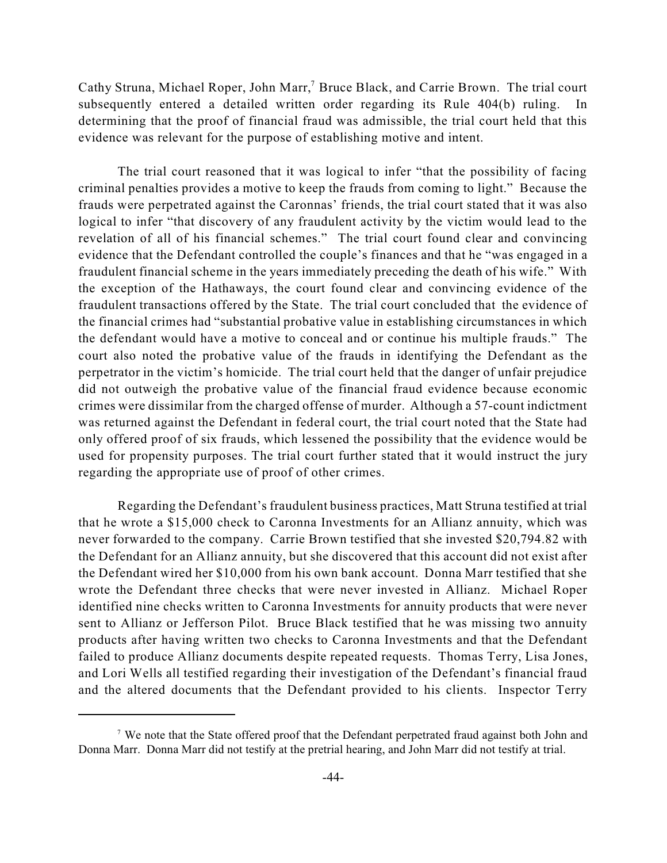Cathy Struna, Michael Roper, John Marr,<sup>7</sup> Bruce Black, and Carrie Brown. The trial court subsequently entered a detailed written order regarding its Rule 404(b) ruling. In determining that the proof of financial fraud was admissible, the trial court held that this evidence was relevant for the purpose of establishing motive and intent.

The trial court reasoned that it was logical to infer "that the possibility of facing criminal penalties provides a motive to keep the frauds from coming to light." Because the frauds were perpetrated against the Caronnas' friends, the trial court stated that it was also logical to infer "that discovery of any fraudulent activity by the victim would lead to the revelation of all of his financial schemes." The trial court found clear and convincing evidence that the Defendant controlled the couple's finances and that he "was engaged in a fraudulent financial scheme in the years immediately preceding the death of his wife." With the exception of the Hathaways, the court found clear and convincing evidence of the fraudulent transactions offered by the State. The trial court concluded that the evidence of the financial crimes had "substantial probative value in establishing circumstances in which the defendant would have a motive to conceal and or continue his multiple frauds." The court also noted the probative value of the frauds in identifying the Defendant as the perpetrator in the victim's homicide. The trial court held that the danger of unfair prejudice did not outweigh the probative value of the financial fraud evidence because economic crimes were dissimilar from the charged offense of murder. Although a 57-count indictment was returned against the Defendant in federal court, the trial court noted that the State had only offered proof of six frauds, which lessened the possibility that the evidence would be used for propensity purposes. The trial court further stated that it would instruct the jury regarding the appropriate use of proof of other crimes.

Regarding the Defendant's fraudulent business practices, Matt Struna testified at trial that he wrote a \$15,000 check to Caronna Investments for an Allianz annuity, which was never forwarded to the company. Carrie Brown testified that she invested \$20,794.82 with the Defendant for an Allianz annuity, but she discovered that this account did not exist after the Defendant wired her \$10,000 from his own bank account. Donna Marr testified that she wrote the Defendant three checks that were never invested in Allianz. Michael Roper identified nine checks written to Caronna Investments for annuity products that were never sent to Allianz or Jefferson Pilot. Bruce Black testified that he was missing two annuity products after having written two checks to Caronna Investments and that the Defendant failed to produce Allianz documents despite repeated requests. Thomas Terry, Lisa Jones, and Lori Wells all testified regarding their investigation of the Defendant's financial fraud and the altered documents that the Defendant provided to his clients. Inspector Terry

<sup>&</sup>lt;sup>7</sup> We note that the State offered proof that the Defendant perpetrated fraud against both John and Donna Marr. Donna Marr did not testify at the pretrial hearing, and John Marr did not testify at trial.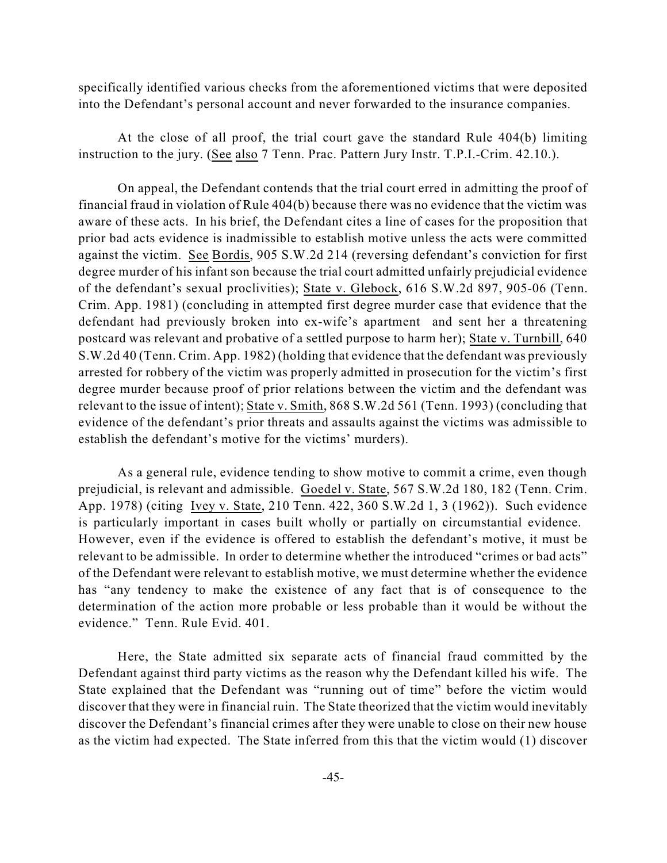specifically identified various checks from the aforementioned victims that were deposited into the Defendant's personal account and never forwarded to the insurance companies.

At the close of all proof, the trial court gave the standard Rule 404(b) limiting instruction to the jury. (See also 7 Tenn. Prac. Pattern Jury Instr. T.P.I.-Crim. 42.10.).

On appeal, the Defendant contends that the trial court erred in admitting the proof of financial fraud in violation of Rule 404(b) because there was no evidence that the victim was aware of these acts. In his brief, the Defendant cites a line of cases for the proposition that prior bad acts evidence is inadmissible to establish motive unless the acts were committed against the victim. See Bordis, 905 S.W.2d 214 (reversing defendant's conviction for first degree murder of his infant son because the trial court admitted unfairly prejudicial evidence of the defendant's sexual proclivities); State v. Glebock, 616 S.W.2d 897, 905-06 (Tenn. Crim. App. 1981) (concluding in attempted first degree murder case that evidence that the defendant had previously broken into ex-wife's apartment and sent her a threatening postcard was relevant and probative of a settled purpose to harm her); State v. Turnbill, 640 S.W.2d 40 (Tenn. Crim. App. 1982) (holding that evidence that the defendant was previously arrested for robbery of the victim was properly admitted in prosecution for the victim's first degree murder because proof of prior relations between the victim and the defendant was relevant to the issue of intent); State v. Smith, 868 S.W.2d 561 (Tenn. 1993) (concluding that evidence of the defendant's prior threats and assaults against the victims was admissible to establish the defendant's motive for the victims' murders).

As a general rule, evidence tending to show motive to commit a crime, even though prejudicial, is relevant and admissible. Goedel v. State, 567 S.W.2d 180, 182 (Tenn. Crim. App. 1978) (citing Ivey v. State, 210 Tenn. 422, 360 S.W.2d 1, 3 (1962)). Such evidence is particularly important in cases built wholly or partially on circumstantial evidence. However, even if the evidence is offered to establish the defendant's motive, it must be relevant to be admissible. In order to determine whether the introduced "crimes or bad acts" of the Defendant were relevant to establish motive, we must determine whether the evidence has "any tendency to make the existence of any fact that is of consequence to the determination of the action more probable or less probable than it would be without the evidence." Tenn. Rule Evid. 401.

Here, the State admitted six separate acts of financial fraud committed by the Defendant against third party victims as the reason why the Defendant killed his wife. The State explained that the Defendant was "running out of time" before the victim would discover that they were in financial ruin. The State theorized that the victim would inevitably discover the Defendant's financial crimes after they were unable to close on their new house as the victim had expected. The State inferred from this that the victim would (1) discover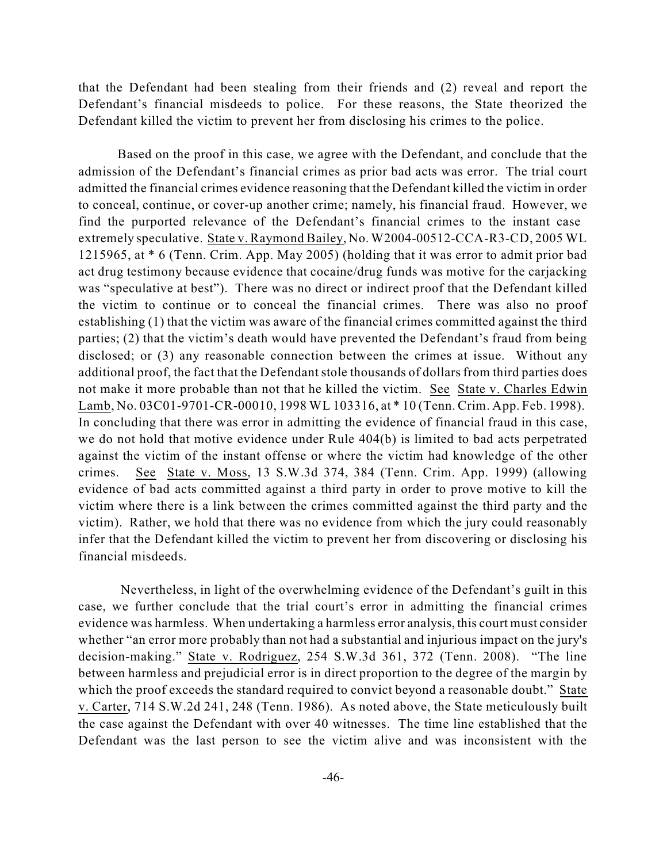that the Defendant had been stealing from their friends and (2) reveal and report the Defendant's financial misdeeds to police. For these reasons, the State theorized the Defendant killed the victim to prevent her from disclosing his crimes to the police.

Based on the proof in this case, we agree with the Defendant, and conclude that the admission of the Defendant's financial crimes as prior bad acts was error. The trial court admitted the financial crimes evidence reasoning that the Defendant killed the victim in order to conceal, continue, or cover-up another crime; namely, his financial fraud. However, we find the purported relevance of the Defendant's financial crimes to the instant case extremely speculative. State v. Raymond Bailey, No. W2004-00512-CCA-R3-CD, 2005 WL 1215965, at \* 6 (Tenn. Crim. App. May 2005) (holding that it was error to admit prior bad act drug testimony because evidence that cocaine/drug funds was motive for the carjacking was "speculative at best"). There was no direct or indirect proof that the Defendant killed the victim to continue or to conceal the financial crimes. There was also no proof establishing (1) that the victim was aware of the financial crimes committed against the third parties; (2) that the victim's death would have prevented the Defendant's fraud from being disclosed; or (3) any reasonable connection between the crimes at issue. Without any additional proof, the fact that the Defendant stole thousands of dollars from third parties does not make it more probable than not that he killed the victim. See State v. Charles Edwin Lamb, No. 03C01-9701-CR-00010, 1998 WL 103316, at \* 10 (Tenn. Crim. App. Feb. 1998). In concluding that there was error in admitting the evidence of financial fraud in this case, we do not hold that motive evidence under Rule 404(b) is limited to bad acts perpetrated against the victim of the instant offense or where the victim had knowledge of the other crimes. See State v. Moss, 13 S.W.3d 374, 384 (Tenn. Crim. App. 1999) (allowing evidence of bad acts committed against a third party in order to prove motive to kill the victim where there is a link between the crimes committed against the third party and the victim). Rather, we hold that there was no evidence from which the jury could reasonably infer that the Defendant killed the victim to prevent her from discovering or disclosing his financial misdeeds.

Nevertheless, in light of the overwhelming evidence of the Defendant's guilt in this case, we further conclude that the trial court's error in admitting the financial crimes evidence was harmless. When undertaking a harmless error analysis, this court must consider whether "an error more probably than not had a substantial and injurious impact on the jury's decision-making." State v. Rodriguez, 254 S.W.3d 361, 372 (Tenn. 2008). "The line between harmless and prejudicial error is in direct proportion to the degree of the margin by which the proof exceeds the standard required to convict beyond a reasonable doubt." State v. Carter, 714 S.W.2d 241, 248 (Tenn. 1986). As noted above, the State meticulously built the case against the Defendant with over 40 witnesses. The time line established that the Defendant was the last person to see the victim alive and was inconsistent with the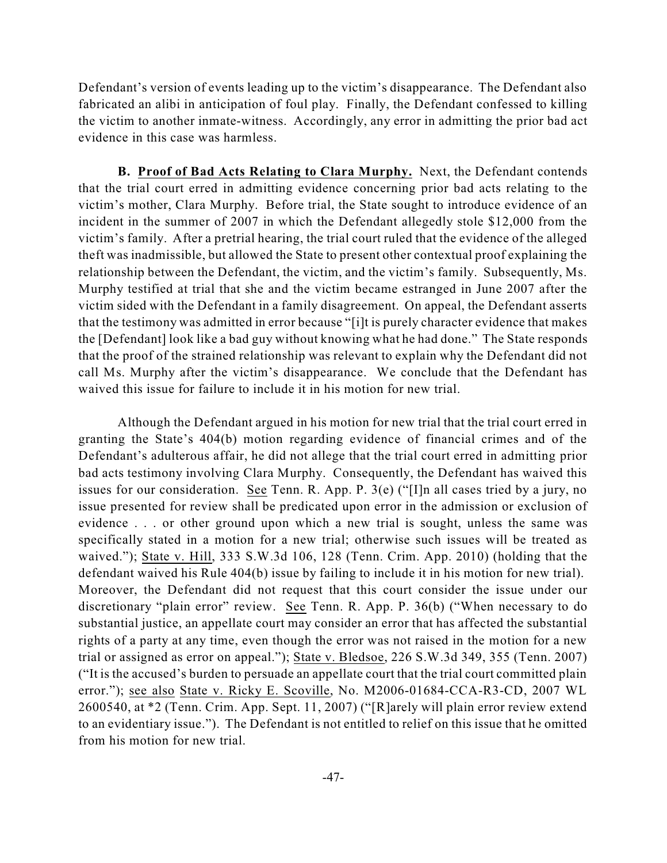Defendant's version of events leading up to the victim's disappearance. The Defendant also fabricated an alibi in anticipation of foul play. Finally, the Defendant confessed to killing the victim to another inmate-witness. Accordingly, any error in admitting the prior bad act evidence in this case was harmless.

**B. Proof of Bad Acts Relating to Clara Murphy.** Next, the Defendant contends that the trial court erred in admitting evidence concerning prior bad acts relating to the victim's mother, Clara Murphy. Before trial, the State sought to introduce evidence of an incident in the summer of 2007 in which the Defendant allegedly stole \$12,000 from the victim's family. After a pretrial hearing, the trial court ruled that the evidence of the alleged theft was inadmissible, but allowed the State to present other contextual proof explaining the relationship between the Defendant, the victim, and the victim's family. Subsequently, Ms. Murphy testified at trial that she and the victim became estranged in June 2007 after the victim sided with the Defendant in a family disagreement. On appeal, the Defendant asserts that the testimony was admitted in error because "[i]t is purely character evidence that makes the [Defendant] look like a bad guy without knowing what he had done." The State responds that the proof of the strained relationship was relevant to explain why the Defendant did not call Ms. Murphy after the victim's disappearance. We conclude that the Defendant has waived this issue for failure to include it in his motion for new trial.

Although the Defendant argued in his motion for new trial that the trial court erred in granting the State's 404(b) motion regarding evidence of financial crimes and of the Defendant's adulterous affair, he did not allege that the trial court erred in admitting prior bad acts testimony involving Clara Murphy. Consequently, the Defendant has waived this issues for our consideration. See Tenn. R. App. P. 3(e) ("[I]n all cases tried by a jury, no issue presented for review shall be predicated upon error in the admission or exclusion of evidence . . . or other ground upon which a new trial is sought, unless the same was specifically stated in a motion for a new trial; otherwise such issues will be treated as waived."); State v. Hill, 333 S.W.3d 106, 128 (Tenn. Crim. App. 2010) (holding that the defendant waived his Rule 404(b) issue by failing to include it in his motion for new trial). Moreover, the Defendant did not request that this court consider the issue under our discretionary "plain error" review. See Tenn. R. App. P. 36(b) ("When necessary to do substantial justice, an appellate court may consider an error that has affected the substantial rights of a party at any time, even though the error was not raised in the motion for a new trial or assigned as error on appeal."); State v. Bledsoe, 226 S.W.3d 349, 355 (Tenn. 2007) ("It is the accused's burden to persuade an appellate court that the trial court committed plain error."); see also State v. Ricky E. Scoville, No. M2006-01684-CCA-R3-CD, 2007 WL 2600540, at \*2 (Tenn. Crim. App. Sept. 11, 2007) ("[R]arely will plain error review extend to an evidentiary issue."). The Defendant is not entitled to relief on this issue that he omitted from his motion for new trial.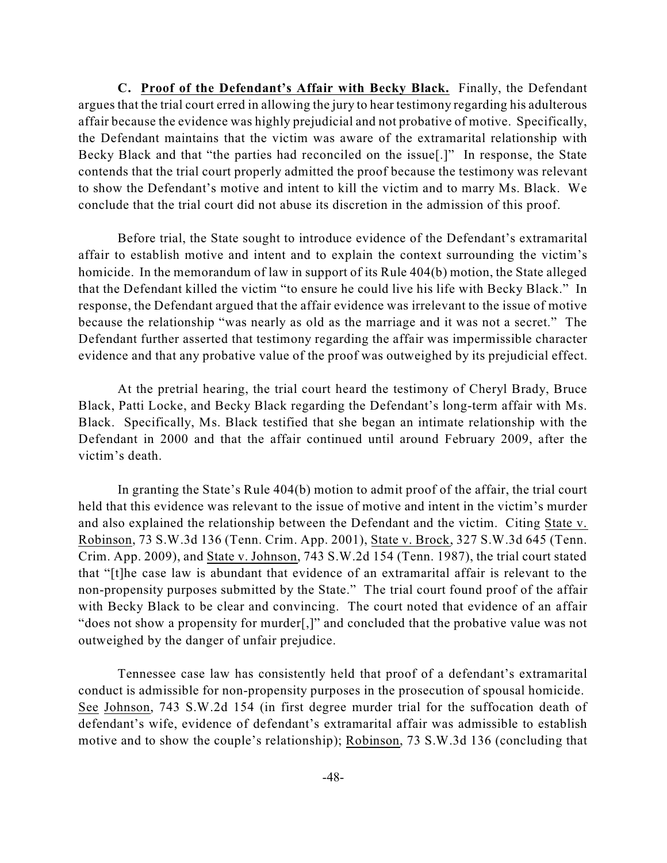**C. Proof of the Defendant's Affair with Becky Black.** Finally, the Defendant argues that the trial court erred in allowing the jury to hear testimony regarding his adulterous affair because the evidence was highly prejudicial and not probative of motive. Specifically, the Defendant maintains that the victim was aware of the extramarital relationship with Becky Black and that "the parties had reconciled on the issue[.]" In response, the State contends that the trial court properly admitted the proof because the testimony was relevant to show the Defendant's motive and intent to kill the victim and to marry Ms. Black. We conclude that the trial court did not abuse its discretion in the admission of this proof.

Before trial, the State sought to introduce evidence of the Defendant's extramarital affair to establish motive and intent and to explain the context surrounding the victim's homicide. In the memorandum of law in support of its Rule 404(b) motion, the State alleged that the Defendant killed the victim "to ensure he could live his life with Becky Black." In response, the Defendant argued that the affair evidence was irrelevant to the issue of motive because the relationship "was nearly as old as the marriage and it was not a secret." The Defendant further asserted that testimony regarding the affair was impermissible character evidence and that any probative value of the proof was outweighed by its prejudicial effect.

At the pretrial hearing, the trial court heard the testimony of Cheryl Brady, Bruce Black, Patti Locke, and Becky Black regarding the Defendant's long-term affair with Ms. Black. Specifically, Ms. Black testified that she began an intimate relationship with the Defendant in 2000 and that the affair continued until around February 2009, after the victim's death.

In granting the State's Rule 404(b) motion to admit proof of the affair, the trial court held that this evidence was relevant to the issue of motive and intent in the victim's murder and also explained the relationship between the Defendant and the victim. Citing State v. Robinson, 73 S.W.3d 136 (Tenn. Crim. App. 2001), State v. Brock, 327 S.W.3d 645 (Tenn. Crim. App. 2009), and State v. Johnson, 743 S.W.2d 154 (Tenn. 1987), the trial court stated that "[t]he case law is abundant that evidence of an extramarital affair is relevant to the non-propensity purposes submitted by the State." The trial court found proof of the affair with Becky Black to be clear and convincing. The court noted that evidence of an affair "does not show a propensity for murder[,]" and concluded that the probative value was not outweighed by the danger of unfair prejudice.

Tennessee case law has consistently held that proof of a defendant's extramarital conduct is admissible for non-propensity purposes in the prosecution of spousal homicide. See Johnson, 743 S.W.2d 154 (in first degree murder trial for the suffocation death of defendant's wife, evidence of defendant's extramarital affair was admissible to establish motive and to show the couple's relationship); Robinson, 73 S.W.3d 136 (concluding that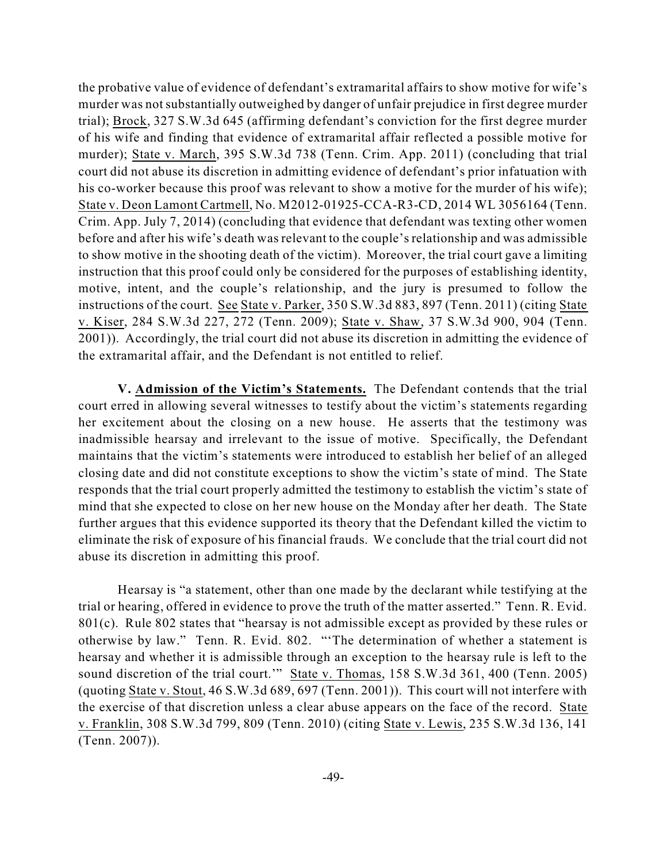the probative value of evidence of defendant's extramarital affairs to show motive for wife's murder was notsubstantially outweighed by danger of unfair prejudice in first degree murder trial); Brock, 327 S.W.3d 645 (affirming defendant's conviction for the first degree murder of his wife and finding that evidence of extramarital affair reflected a possible motive for murder); State v. March, 395 S.W.3d 738 (Tenn. Crim. App. 2011) (concluding that trial court did not abuse its discretion in admitting evidence of defendant's prior infatuation with his co-worker because this proof was relevant to show a motive for the murder of his wife); State v. Deon Lamont Cartmell, No. M2012-01925-CCA-R3-CD, 2014 WL 3056164 (Tenn. Crim. App. July 7, 2014) (concluding that evidence that defendant was texting other women before and after his wife's death was relevant to the couple's relationship and was admissible to show motive in the shooting death of the victim). Moreover, the trial court gave a limiting instruction that this proof could only be considered for the purposes of establishing identity, motive, intent, and the couple's relationship, and the jury is presumed to follow the instructions of the court. See State v. Parker, 350 S.W.3d 883, 897 (Tenn. 2011) (citing State v. Kiser, 284 S.W.3d 227, 272 (Tenn. 2009); State v. Shaw, 37 S.W.3d 900, 904 (Tenn. 2001)). Accordingly, the trial court did not abuse its discretion in admitting the evidence of the extramarital affair, and the Defendant is not entitled to relief.

**V. Admission of the Victim's Statements.** The Defendant contends that the trial court erred in allowing several witnesses to testify about the victim's statements regarding her excitement about the closing on a new house. He asserts that the testimony was inadmissible hearsay and irrelevant to the issue of motive. Specifically, the Defendant maintains that the victim's statements were introduced to establish her belief of an alleged closing date and did not constitute exceptions to show the victim's state of mind. The State responds that the trial court properly admitted the testimony to establish the victim's state of mind that she expected to close on her new house on the Monday after her death. The State further argues that this evidence supported its theory that the Defendant killed the victim to eliminate the risk of exposure of his financial frauds. We conclude that the trial court did not abuse its discretion in admitting this proof.

Hearsay is "a statement, other than one made by the declarant while testifying at the trial or hearing, offered in evidence to prove the truth of the matter asserted." Tenn. R. Evid. 801(c). Rule 802 states that "hearsay is not admissible except as provided by these rules or otherwise by law." Tenn. R. Evid. 802. "'The determination of whether a statement is hearsay and whether it is admissible through an exception to the hearsay rule is left to the sound discretion of the trial court.'" State v. Thomas, 158 S.W.3d 361, 400 (Tenn. 2005) (quoting State v. Stout, 46 S.W.3d 689, 697 (Tenn. 2001)). This court will not interfere with the exercise of that discretion unless a clear abuse appears on the face of the record. State v. Franklin, 308 S.W.3d 799, 809 (Tenn. 2010) (citing State v. Lewis, 235 S.W.3d 136, 141 (Tenn. 2007)).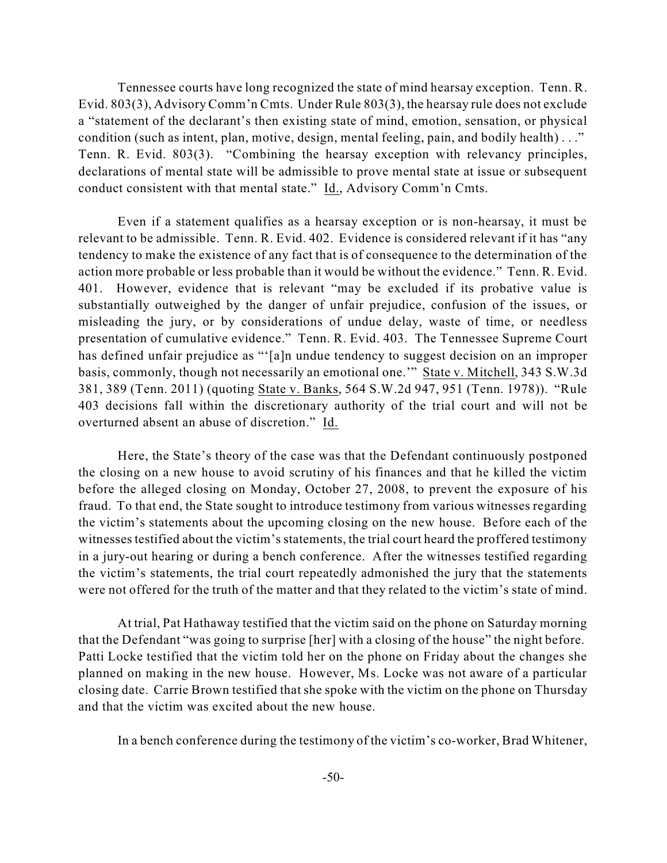Tennessee courts have long recognized the state of mind hearsay exception. Tenn. R. Evid. 803(3), Advisory Comm'n Cmts. Under Rule 803(3), the hearsay rule does not exclude a "statement of the declarant's then existing state of mind, emotion, sensation, or physical condition (such as intent, plan, motive, design, mental feeling, pain, and bodily health) . . ." Tenn. R. Evid. 803(3). "Combining the hearsay exception with relevancy principles, declarations of mental state will be admissible to prove mental state at issue or subsequent conduct consistent with that mental state." Id., Advisory Comm'n Cmts.

Even if a statement qualifies as a hearsay exception or is non-hearsay, it must be relevant to be admissible. Tenn. R. Evid. 402. Evidence is considered relevant if it has "any tendency to make the existence of any fact that is of consequence to the determination of the action more probable or less probable than it would be without the evidence." Tenn. R. Evid. 401. However, evidence that is relevant "may be excluded if its probative value is substantially outweighed by the danger of unfair prejudice, confusion of the issues, or misleading the jury, or by considerations of undue delay, waste of time, or needless presentation of cumulative evidence." Tenn. R. Evid. 403. The Tennessee Supreme Court has defined unfair prejudice as "'[a]n undue tendency to suggest decision on an improper basis, commonly, though not necessarily an emotional one.'" State v. Mitchell, 343 S.W.3d 381, 389 (Tenn. 2011) (quoting State v. Banks, 564 S.W.2d 947, 951 (Tenn. 1978)). "Rule 403 decisions fall within the discretionary authority of the trial court and will not be overturned absent an abuse of discretion." Id.

Here, the State's theory of the case was that the Defendant continuously postponed the closing on a new house to avoid scrutiny of his finances and that he killed the victim before the alleged closing on Monday, October 27, 2008, to prevent the exposure of his fraud. To that end, the State sought to introduce testimony from various witnesses regarding the victim's statements about the upcoming closing on the new house. Before each of the witnesses testified about the victim's statements, the trial court heard the proffered testimony in a jury-out hearing or during a bench conference. After the witnesses testified regarding the victim's statements, the trial court repeatedly admonished the jury that the statements were not offered for the truth of the matter and that they related to the victim's state of mind.

At trial, Pat Hathaway testified that the victim said on the phone on Saturday morning that the Defendant "was going to surprise [her] with a closing of the house" the night before. Patti Locke testified that the victim told her on the phone on Friday about the changes she planned on making in the new house. However, Ms. Locke was not aware of a particular closing date. Carrie Brown testified that she spoke with the victim on the phone on Thursday and that the victim was excited about the new house.

In a bench conference during the testimony of the victim's co-worker, Brad Whitener,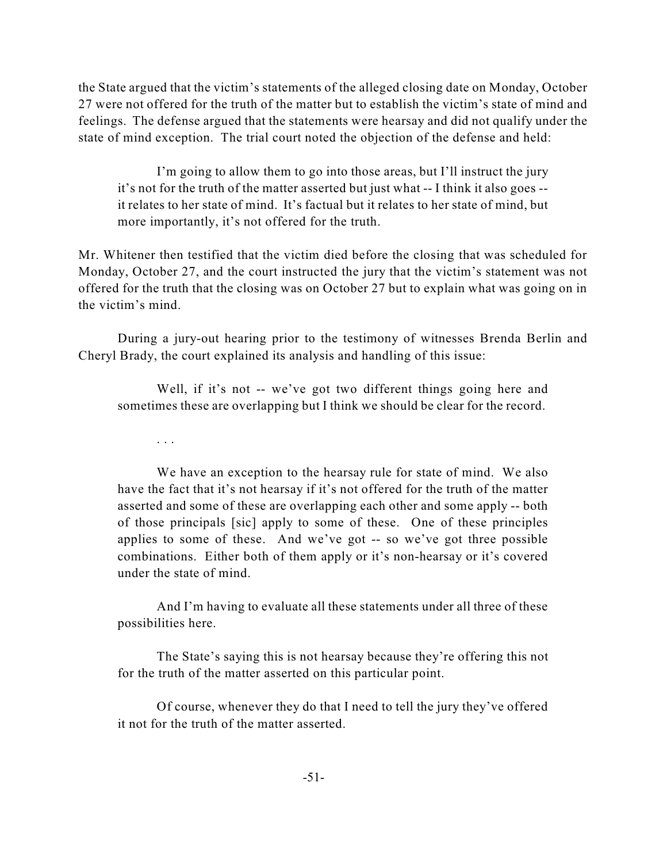the State argued that the victim's statements of the alleged closing date on Monday, October 27 were not offered for the truth of the matter but to establish the victim's state of mind and feelings. The defense argued that the statements were hearsay and did not qualify under the state of mind exception. The trial court noted the objection of the defense and held:

I'm going to allow them to go into those areas, but I'll instruct the jury it's not for the truth of the matter asserted but just what -- I think it also goes - it relates to her state of mind. It's factual but it relates to her state of mind, but more importantly, it's not offered for the truth.

Mr. Whitener then testified that the victim died before the closing that was scheduled for Monday, October 27, and the court instructed the jury that the victim's statement was not offered for the truth that the closing was on October 27 but to explain what was going on in the victim's mind.

During a jury-out hearing prior to the testimony of witnesses Brenda Berlin and Cheryl Brady, the court explained its analysis and handling of this issue:

Well, if it's not -- we've got two different things going here and sometimes these are overlapping but I think we should be clear for the record.

. . .

We have an exception to the hearsay rule for state of mind. We also have the fact that it's not hearsay if it's not offered for the truth of the matter asserted and some of these are overlapping each other and some apply -- both of those principals [sic] apply to some of these. One of these principles applies to some of these. And we've got -- so we've got three possible combinations. Either both of them apply or it's non-hearsay or it's covered under the state of mind.

And I'm having to evaluate all these statements under all three of these possibilities here.

The State's saying this is not hearsay because they're offering this not for the truth of the matter asserted on this particular point.

Of course, whenever they do that I need to tell the jury they've offered it not for the truth of the matter asserted.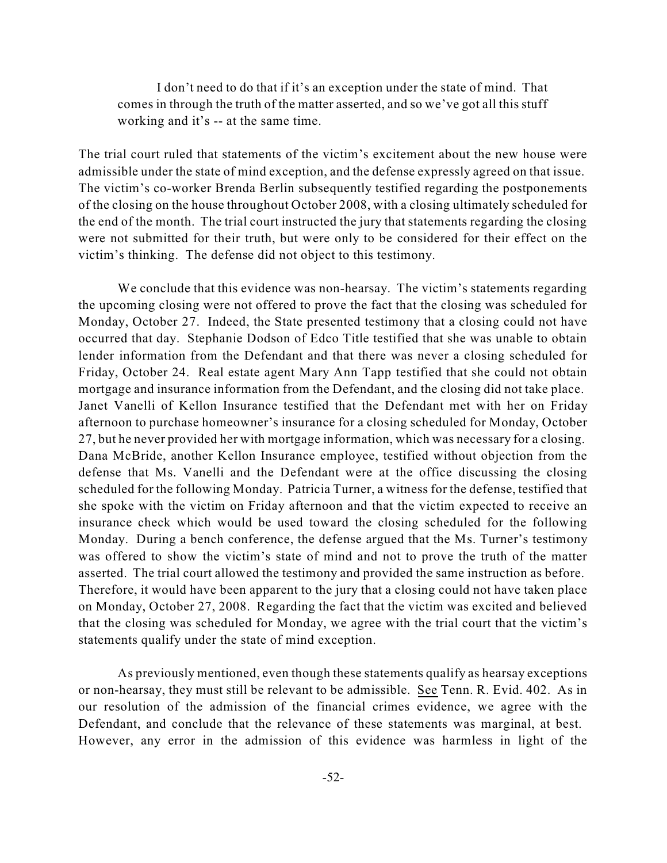I don't need to do that if it's an exception under the state of mind. That comes in through the truth of the matter asserted, and so we've got all this stuff working and it's -- at the same time.

The trial court ruled that statements of the victim's excitement about the new house were admissible under the state of mind exception, and the defense expressly agreed on that issue. The victim's co-worker Brenda Berlin subsequently testified regarding the postponements of the closing on the house throughout October 2008, with a closing ultimately scheduled for the end of the month. The trial court instructed the jury that statements regarding the closing were not submitted for their truth, but were only to be considered for their effect on the victim's thinking. The defense did not object to this testimony.

We conclude that this evidence was non-hearsay. The victim's statements regarding the upcoming closing were not offered to prove the fact that the closing was scheduled for Monday, October 27. Indeed, the State presented testimony that a closing could not have occurred that day. Stephanie Dodson of Edco Title testified that she was unable to obtain lender information from the Defendant and that there was never a closing scheduled for Friday, October 24. Real estate agent Mary Ann Tapp testified that she could not obtain mortgage and insurance information from the Defendant, and the closing did not take place. Janet Vanelli of Kellon Insurance testified that the Defendant met with her on Friday afternoon to purchase homeowner's insurance for a closing scheduled for Monday, October 27, but he never provided her with mortgage information, which was necessary for a closing. Dana McBride, another Kellon Insurance employee, testified without objection from the defense that Ms. Vanelli and the Defendant were at the office discussing the closing scheduled for the following Monday. Patricia Turner, a witness for the defense, testified that she spoke with the victim on Friday afternoon and that the victim expected to receive an insurance check which would be used toward the closing scheduled for the following Monday. During a bench conference, the defense argued that the Ms. Turner's testimony was offered to show the victim's state of mind and not to prove the truth of the matter asserted. The trial court allowed the testimony and provided the same instruction as before. Therefore, it would have been apparent to the jury that a closing could not have taken place on Monday, October 27, 2008. Regarding the fact that the victim was excited and believed that the closing was scheduled for Monday, we agree with the trial court that the victim's statements qualify under the state of mind exception.

As previously mentioned, even though these statements qualify as hearsay exceptions or non-hearsay, they must still be relevant to be admissible. See Tenn. R. Evid. 402. As in our resolution of the admission of the financial crimes evidence, we agree with the Defendant, and conclude that the relevance of these statements was marginal, at best. However, any error in the admission of this evidence was harmless in light of the